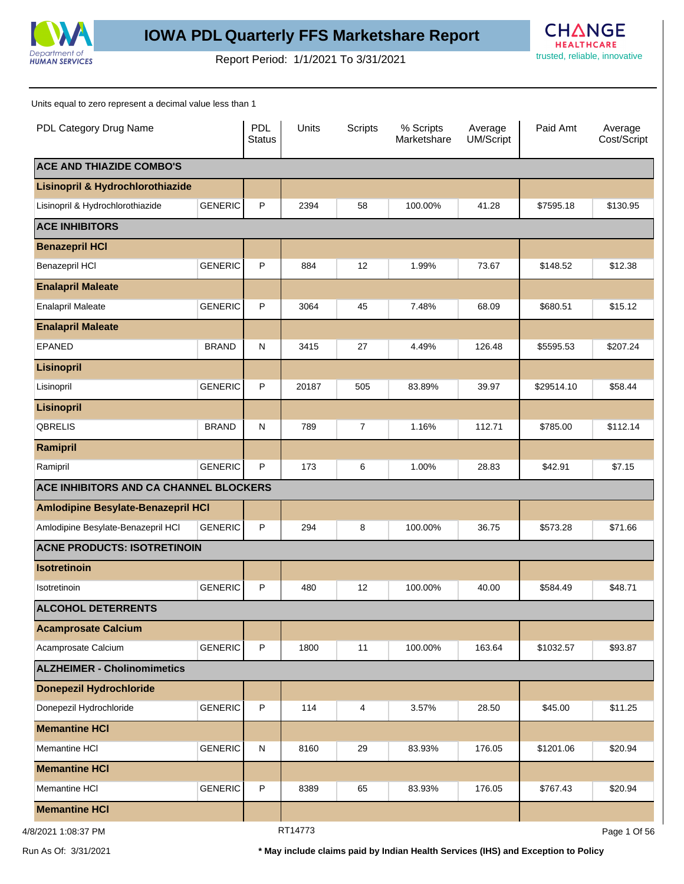

## **IOWA PDL Quarterly FFS Marketshare Report**

trusted, reliable, innovative Report Period: 1/1/2021 To 3/31/2021



Units equal to zero represent a decimal value less than 1

| PDL Category Drug Name                    |                | <b>PDL</b><br><b>Status</b> | Units   | <b>Scripts</b> | % Scripts<br>Marketshare | Average<br>UM/Script | Paid Amt   | Average<br>Cost/Script |
|-------------------------------------------|----------------|-----------------------------|---------|----------------|--------------------------|----------------------|------------|------------------------|
| <b>ACE AND THIAZIDE COMBO'S</b>           |                |                             |         |                |                          |                      |            |                        |
| Lisinopril & Hydrochlorothiazide          |                |                             |         |                |                          |                      |            |                        |
| Lisinopril & Hydrochlorothiazide          | <b>GENERIC</b> | P                           | 2394    | 58             | 100.00%                  | 41.28                | \$7595.18  | \$130.95               |
| <b>ACE INHIBITORS</b>                     |                |                             |         |                |                          |                      |            |                        |
| <b>Benazepril HCI</b>                     |                |                             |         |                |                          |                      |            |                        |
| Benazepril HCI                            | <b>GENERIC</b> | P                           | 884     | 12             | 1.99%                    | 73.67                | \$148.52   | \$12.38                |
| <b>Enalapril Maleate</b>                  |                |                             |         |                |                          |                      |            |                        |
| <b>Enalapril Maleate</b>                  | <b>GENERIC</b> | P                           | 3064    | 45             | 7.48%                    | 68.09                | \$680.51   | \$15.12                |
| <b>Enalapril Maleate</b>                  |                |                             |         |                |                          |                      |            |                        |
| <b>EPANED</b>                             | <b>BRAND</b>   | $\mathsf{N}$                | 3415    | 27             | 4.49%                    | 126.48               | \$5595.53  | \$207.24               |
| <b>Lisinopril</b>                         |                |                             |         |                |                          |                      |            |                        |
| Lisinopril                                | <b>GENERIC</b> | $\mathsf{P}$                | 20187   | 505            | 83.89%                   | 39.97                | \$29514.10 | \$58.44                |
| <b>Lisinopril</b>                         |                |                             |         |                |                          |                      |            |                        |
| <b>QBRELIS</b>                            | <b>BRAND</b>   | $\mathsf{N}$                | 789     | $\overline{7}$ | 1.16%                    | 112.71               | \$785.00   | \$112.14               |
| Ramipril                                  |                |                             |         |                |                          |                      |            |                        |
| Ramipril                                  | <b>GENERIC</b> | P                           | 173     | 6              | 1.00%                    | 28.83                | \$42.91    | \$7.15                 |
| ACE INHIBITORS AND CA CHANNEL BLOCKERS    |                |                             |         |                |                          |                      |            |                        |
| <b>Amlodipine Besylate-Benazepril HCI</b> |                |                             |         |                |                          |                      |            |                        |
| Amlodipine Besylate-Benazepril HCI        | <b>GENERIC</b> | P                           | 294     | 8              | 100.00%                  | 36.75                | \$573.28   | \$71.66                |
| <b>ACNE PRODUCTS: ISOTRETINOIN</b>        |                |                             |         |                |                          |                      |            |                        |
| <b>Isotretinoin</b>                       |                |                             |         |                |                          |                      |            |                        |
| Isotretinoin                              | <b>GENERIC</b> | P                           | 480     | 12             | 100.00%                  | 40.00                | \$584.49   | \$48.71                |
| <b>ALCOHOL DETERRENTS</b>                 |                |                             |         |                |                          |                      |            |                        |
| <b>Acamprosate Calcium</b>                |                |                             |         |                |                          |                      |            |                        |
| Acamprosate Calcium                       | <b>GENERIC</b> | $\mathsf{P}$                | 1800    | 11             | 100.00%                  | 163.64               | \$1032.57  | \$93.87                |
| <b>ALZHEIMER - Cholinomimetics</b>        |                |                             |         |                |                          |                      |            |                        |
| <b>Donepezil Hydrochloride</b>            |                |                             |         |                |                          |                      |            |                        |
| Donepezil Hydrochloride                   | <b>GENERIC</b> | $\mathsf P$                 | 114     | 4              | 3.57%                    | 28.50                | \$45.00    | \$11.25                |
| <b>Memantine HCI</b>                      |                |                             |         |                |                          |                      |            |                        |
| Memantine HCI                             | <b>GENERIC</b> | $\mathsf{N}$                | 8160    | 29             | 83.93%                   | 176.05               | \$1201.06  | \$20.94                |
| <b>Memantine HCI</b>                      |                |                             |         |                |                          |                      |            |                        |
| Memantine HCI                             | <b>GENERIC</b> | $\mathsf P$                 | 8389    | 65             | 83.93%                   | 176.05               | \$767.43   | \$20.94                |
| <b>Memantine HCI</b>                      |                |                             |         |                |                          |                      |            |                        |
| 4/8/2021 1:08:37 PM                       |                |                             | RT14773 |                |                          |                      |            | Page 1 Of 56           |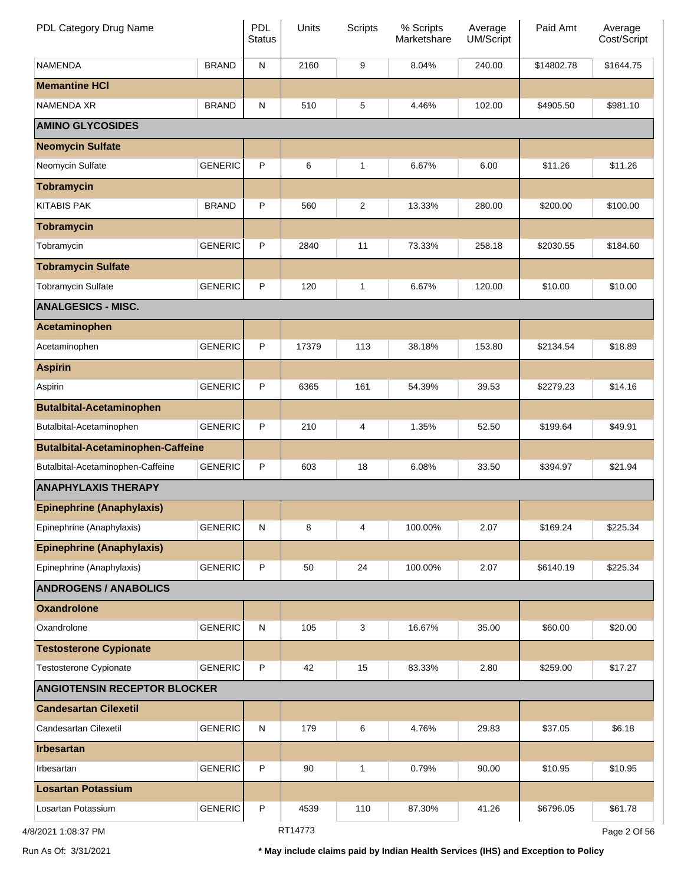| PDL Category Drug Name                   |                | <b>PDL</b><br><b>Status</b> | Units   | <b>Scripts</b> | % Scripts<br>Marketshare | Average<br>UM/Script | Paid Amt   | Average<br>Cost/Script |
|------------------------------------------|----------------|-----------------------------|---------|----------------|--------------------------|----------------------|------------|------------------------|
| <b>NAMENDA</b>                           | <b>BRAND</b>   | ${\sf N}$                   | 2160    | 9              | 8.04%                    | 240.00               | \$14802.78 | \$1644.75              |
| <b>Memantine HCI</b>                     |                |                             |         |                |                          |                      |            |                        |
| NAMENDA XR                               | <b>BRAND</b>   | ${\sf N}$                   | 510     | 5              | 4.46%                    | 102.00               | \$4905.50  | \$981.10               |
| <b>AMINO GLYCOSIDES</b>                  |                |                             |         |                |                          |                      |            |                        |
| <b>Neomycin Sulfate</b>                  |                |                             |         |                |                          |                      |            |                        |
| Neomycin Sulfate                         | <b>GENERIC</b> | P                           | 6       | 1              | 6.67%                    | 6.00                 | \$11.26    | \$11.26                |
| <b>Tobramycin</b>                        |                |                             |         |                |                          |                      |            |                        |
| <b>KITABIS PAK</b>                       | <b>BRAND</b>   | P                           | 560     | 2              | 13.33%                   | 280.00               | \$200.00   | \$100.00               |
| <b>Tobramycin</b>                        |                |                             |         |                |                          |                      |            |                        |
| Tobramycin                               | <b>GENERIC</b> | P                           | 2840    | 11             | 73.33%                   | 258.18               | \$2030.55  | \$184.60               |
| <b>Tobramycin Sulfate</b>                |                |                             |         |                |                          |                      |            |                        |
| <b>Tobramycin Sulfate</b>                | <b>GENERIC</b> | P                           | 120     | 1              | 6.67%                    | 120.00               | \$10.00    | \$10.00                |
| <b>ANALGESICS - MISC.</b>                |                |                             |         |                |                          |                      |            |                        |
| Acetaminophen                            |                |                             |         |                |                          |                      |            |                        |
| Acetaminophen                            | <b>GENERIC</b> | $\sf P$                     | 17379   | 113            | 38.18%                   | 153.80               | \$2134.54  | \$18.89                |
| <b>Aspirin</b>                           |                |                             |         |                |                          |                      |            |                        |
| Aspirin                                  | <b>GENERIC</b> | P                           | 6365    | 161            | 54.39%                   | 39.53                | \$2279.23  | \$14.16                |
| <b>Butalbital-Acetaminophen</b>          |                |                             |         |                |                          |                      |            |                        |
| Butalbital-Acetaminophen                 | <b>GENERIC</b> | P                           | 210     | 4              | 1.35%                    | 52.50                | \$199.64   | \$49.91                |
| <b>Butalbital-Acetaminophen-Caffeine</b> |                |                             |         |                |                          |                      |            |                        |
| Butalbital-Acetaminophen-Caffeine        | <b>GENERIC</b> | P                           | 603     | 18             | 6.08%                    | 33.50                | \$394.97   | \$21.94                |
| <b>ANAPHYLAXIS THERAPY</b>               |                |                             |         |                |                          |                      |            |                        |
| <b>Epinephrine (Anaphylaxis)</b>         |                |                             |         |                |                          |                      |            |                        |
| Epinephrine (Anaphylaxis)                | <b>GENERIC</b> | ${\sf N}$                   | 8       | 4              | 100.00%                  | 2.07                 | \$169.24   | \$225.34               |
| <b>Epinephrine (Anaphylaxis)</b>         |                |                             |         |                |                          |                      |            |                        |
| Epinephrine (Anaphylaxis)                | <b>GENERIC</b> | P                           | 50      | 24             | 100.00%                  | 2.07                 | \$6140.19  | \$225.34               |
| <b>ANDROGENS / ANABOLICS</b>             |                |                             |         |                |                          |                      |            |                        |
| <b>Oxandrolone</b>                       |                |                             |         |                |                          |                      |            |                        |
| Oxandrolone                              | <b>GENERIC</b> | ${\sf N}$                   | 105     | 3              | 16.67%                   | 35.00                | \$60.00    | \$20.00                |
| <b>Testosterone Cypionate</b>            |                |                             |         |                |                          |                      |            |                        |
| Testosterone Cypionate                   | <b>GENERIC</b> | P                           | 42      | 15             | 83.33%                   | 2.80                 | \$259.00   | \$17.27                |
| <b>ANGIOTENSIN RECEPTOR BLOCKER</b>      |                |                             |         |                |                          |                      |            |                        |
| <b>Candesartan Cilexetil</b>             |                |                             |         |                |                          |                      |            |                        |
| Candesartan Cilexetil                    | <b>GENERIC</b> | ${\sf N}$                   | 179     | 6              | 4.76%                    | 29.83                | \$37.05    | \$6.18                 |
| <b>Irbesartan</b>                        |                |                             |         |                |                          |                      |            |                        |
| Irbesartan                               | <b>GENERIC</b> | P                           | 90      | 1              | 0.79%                    | 90.00                | \$10.95    | \$10.95                |
| <b>Losartan Potassium</b>                |                |                             |         |                |                          |                      |            |                        |
| Losartan Potassium                       | <b>GENERIC</b> | P                           | 4539    | 110            | 87.30%                   | 41.26                | \$6796.05  | \$61.78                |
| 4/8/2021 1:08:37 PM                      |                |                             | RT14773 |                |                          |                      |            | Page 2 Of 56           |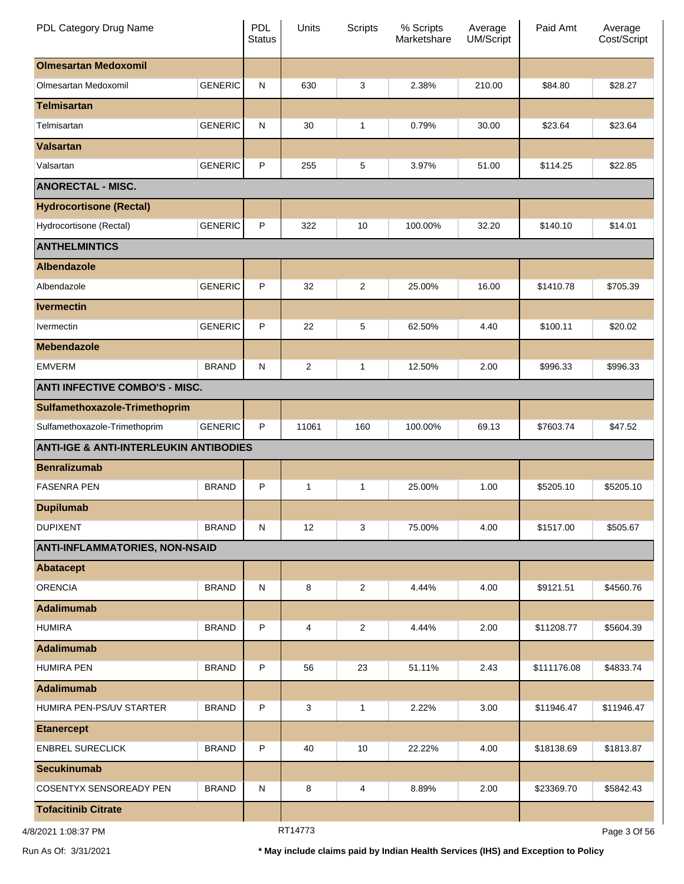| PDL Category Drug Name                            |                | <b>PDL</b><br><b>Status</b> | Units          | <b>Scripts</b> | % Scripts<br>Marketshare | Average<br><b>UM/Script</b> | Paid Amt    | Average<br>Cost/Script |
|---------------------------------------------------|----------------|-----------------------------|----------------|----------------|--------------------------|-----------------------------|-------------|------------------------|
| <b>Olmesartan Medoxomil</b>                       |                |                             |                |                |                          |                             |             |                        |
| Olmesartan Medoxomil                              | <b>GENERIC</b> | $\mathsf{N}$                | 630            | 3              | 2.38%                    | 210.00                      | \$84.80     | \$28.27                |
| <b>Telmisartan</b>                                |                |                             |                |                |                          |                             |             |                        |
| Telmisartan                                       | <b>GENERIC</b> | $\mathsf{N}$                | 30             | 1              | 0.79%                    | 30.00                       | \$23.64     | \$23.64                |
| <b>Valsartan</b>                                  |                |                             |                |                |                          |                             |             |                        |
| Valsartan                                         | <b>GENERIC</b> | P                           | 255            | 5              | 3.97%                    | 51.00                       | \$114.25    | \$22.85                |
| <b>ANORECTAL - MISC.</b>                          |                |                             |                |                |                          |                             |             |                        |
| <b>Hydrocortisone (Rectal)</b>                    |                |                             |                |                |                          |                             |             |                        |
| Hydrocortisone (Rectal)                           | <b>GENERIC</b> | P                           | 322            | 10             | 100.00%                  | 32.20                       | \$140.10    | \$14.01                |
| <b>ANTHELMINTICS</b>                              |                |                             |                |                |                          |                             |             |                        |
| <b>Albendazole</b>                                |                |                             |                |                |                          |                             |             |                        |
| Albendazole                                       | <b>GENERIC</b> | P                           | 32             | $\overline{2}$ | 25.00%                   | 16.00                       | \$1410.78   | \$705.39               |
| <b>Ivermectin</b>                                 |                |                             |                |                |                          |                             |             |                        |
| Ivermectin                                        | <b>GENERIC</b> | P                           | 22             | 5              | 62.50%                   | 4.40                        | \$100.11    | \$20.02                |
| <b>Mebendazole</b>                                |                |                             |                |                |                          |                             |             |                        |
| <b>EMVERM</b>                                     | <b>BRAND</b>   | $\mathsf{N}$                | $\overline{c}$ | 1              | 12.50%                   | 2.00                        | \$996.33    | \$996.33               |
| <b>ANTI INFECTIVE COMBO'S - MISC.</b>             |                |                             |                |                |                          |                             |             |                        |
| Sulfamethoxazole-Trimethoprim                     |                |                             |                |                |                          |                             |             |                        |
| Sulfamethoxazole-Trimethoprim                     | <b>GENERIC</b> | P                           | 11061          | 160            | 100.00%                  | 69.13                       | \$7603.74   | \$47.52                |
| <b>ANTI-IGE &amp; ANTI-INTERLEUKIN ANTIBODIES</b> |                |                             |                |                |                          |                             |             |                        |
| <b>Benralizumab</b>                               |                |                             |                |                |                          |                             |             |                        |
| <b>FASENRA PEN</b>                                | <b>BRAND</b>   | P                           | $\mathbf{1}$   | 1              | 25.00%                   | 1.00                        | \$5205.10   | \$5205.10              |
| <b>Dupilumab</b>                                  |                |                             |                |                |                          |                             |             |                        |
| <b>DUPIXENT</b>                                   | <b>BRAND</b>   | N                           | 12             | 3              | 75.00%                   | 4.00                        | \$1517.00   | \$505.67               |
| <b>ANTI-INFLAMMATORIES, NON-NSAID</b>             |                |                             |                |                |                          |                             |             |                        |
| <b>Abatacept</b>                                  |                |                             |                |                |                          |                             |             |                        |
| <b>ORENCIA</b>                                    | <b>BRAND</b>   | N                           | 8              | $\overline{c}$ | 4.44%                    | 4.00                        | \$9121.51   | \$4560.76              |
| <b>Adalimumab</b>                                 |                |                             |                |                |                          |                             |             |                        |
| <b>HUMIRA</b>                                     | <b>BRAND</b>   | P                           | 4              | $\overline{c}$ | 4.44%                    | 2.00                        | \$11208.77  | \$5604.39              |
| Adalimumab                                        |                |                             |                |                |                          |                             |             |                        |
| <b>HUMIRA PEN</b>                                 | <b>BRAND</b>   | P                           | 56             | 23             | 51.11%                   | 2.43                        | \$111176.08 | \$4833.74              |
| Adalimumab                                        |                |                             |                |                |                          |                             |             |                        |
| HUMIRA PEN-PS/UV STARTER                          | <b>BRAND</b>   | P                           | 3              | 1              | 2.22%                    | 3.00                        | \$11946.47  | \$11946.47             |
| <b>Etanercept</b>                                 |                |                             |                |                |                          |                             |             |                        |
| <b>ENBREL SURECLICK</b>                           | <b>BRAND</b>   | P                           | 40             | 10             | 22.22%                   | 4.00                        | \$18138.69  | \$1813.87              |
| <b>Secukinumab</b>                                |                |                             |                |                |                          |                             |             |                        |
| <b>COSENTYX SENSOREADY PEN</b>                    | <b>BRAND</b>   | N                           | 8              | 4              | 8.89%                    | 2.00                        | \$23369.70  | \$5842.43              |
| <b>Tofacitinib Citrate</b>                        |                |                             |                |                |                          |                             |             |                        |
|                                                   |                |                             | DTA1770        |                |                          |                             |             |                        |

4/8/2021 1:08:37 PM

RT14773

Page 3 Of 56

Run As Of: 3/31/2021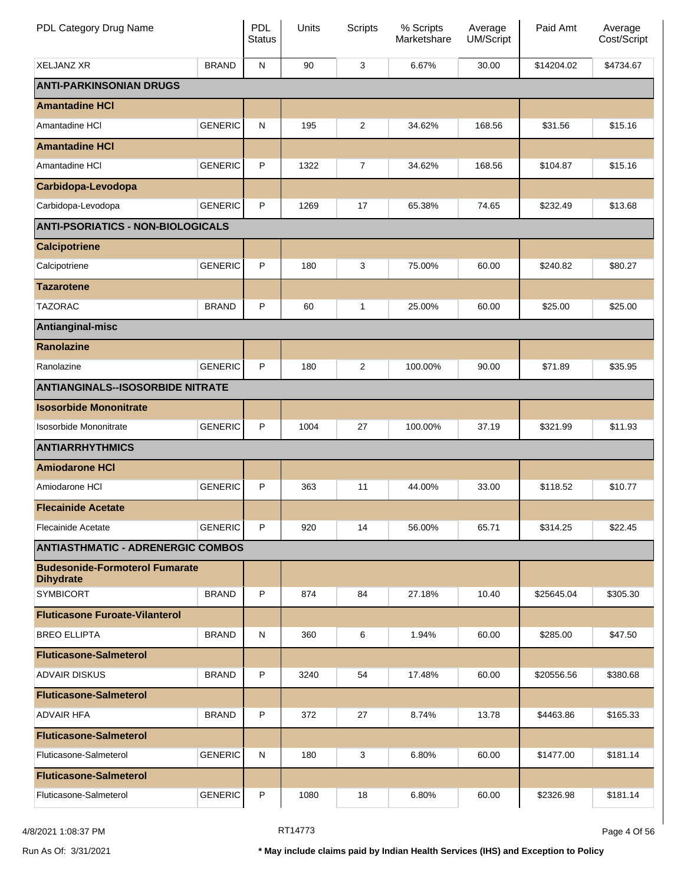| PDL Category Drug Name                                    |                | PDL<br><b>Status</b> | Units | Scripts        | % Scripts<br>Marketshare | Average<br><b>UM/Script</b> | Paid Amt   | Average<br>Cost/Script |
|-----------------------------------------------------------|----------------|----------------------|-------|----------------|--------------------------|-----------------------------|------------|------------------------|
| <b>XELJANZ XR</b>                                         | <b>BRAND</b>   | N                    | 90    | 3              | 6.67%                    | 30.00                       | \$14204.02 | \$4734.67              |
| <b>ANTI-PARKINSONIAN DRUGS</b>                            |                |                      |       |                |                          |                             |            |                        |
| <b>Amantadine HCI</b>                                     |                |                      |       |                |                          |                             |            |                        |
| Amantadine HCI                                            | <b>GENERIC</b> | N                    | 195   | $\overline{2}$ | 34.62%                   | 168.56                      | \$31.56    | \$15.16                |
| <b>Amantadine HCI</b>                                     |                |                      |       |                |                          |                             |            |                        |
| Amantadine HCI                                            | <b>GENERIC</b> | P                    | 1322  | $\overline{7}$ | 34.62%                   | 168.56                      | \$104.87   | \$15.16                |
| Carbidopa-Levodopa                                        |                |                      |       |                |                          |                             |            |                        |
| Carbidopa-Levodopa                                        | <b>GENERIC</b> | P                    | 1269  | 17             | 65.38%                   | 74.65                       | \$232.49   | \$13.68                |
| <b>ANTI-PSORIATICS - NON-BIOLOGICALS</b>                  |                |                      |       |                |                          |                             |            |                        |
| <b>Calcipotriene</b>                                      |                |                      |       |                |                          |                             |            |                        |
| Calcipotriene                                             | <b>GENERIC</b> | P                    | 180   | 3              | 75.00%                   | 60.00                       | \$240.82   | \$80.27                |
| <b>Tazarotene</b>                                         |                |                      |       |                |                          |                             |            |                        |
| <b>TAZORAC</b>                                            | <b>BRAND</b>   | P                    | 60    | 1              | 25.00%                   | 60.00                       | \$25.00    | \$25.00                |
| Antianginal-misc                                          |                |                      |       |                |                          |                             |            |                        |
| <b>Ranolazine</b>                                         |                |                      |       |                |                          |                             |            |                        |
| Ranolazine                                                | <b>GENERIC</b> | P                    | 180   | $\overline{2}$ | 100.00%                  | 90.00                       | \$71.89    | \$35.95                |
| <b>ANTIANGINALS--ISOSORBIDE NITRATE</b>                   |                |                      |       |                |                          |                             |            |                        |
| <b>Isosorbide Mononitrate</b>                             |                |                      |       |                |                          |                             |            |                        |
| <b>Isosorbide Mononitrate</b>                             | <b>GENERIC</b> | P                    | 1004  | 27             | 100.00%                  | 37.19                       | \$321.99   | \$11.93                |
| <b>ANTIARRHYTHMICS</b>                                    |                |                      |       |                |                          |                             |            |                        |
| <b>Amiodarone HCI</b>                                     |                |                      |       |                |                          |                             |            |                        |
| Amiodarone HCI                                            | <b>GENERIC</b> | P                    | 363   | 11             | 44.00%                   | 33.00                       | \$118.52   | \$10.77                |
| <b>Flecainide Acetate</b>                                 |                |                      |       |                |                          |                             |            |                        |
| <b>Flecainide Acetate</b>                                 | <b>GENERIC</b> | P                    | 920   | 14             | 56.00%                   | 65.71                       | \$314.25   | \$22.45                |
| <b>ANTIASTHMATIC - ADRENERGIC COMBOS</b>                  |                |                      |       |                |                          |                             |            |                        |
| <b>Budesonide-Formoterol Fumarate</b><br><b>Dihydrate</b> |                |                      |       |                |                          |                             |            |                        |
| <b>SYMBICORT</b>                                          | <b>BRAND</b>   | P                    | 874   | 84             | 27.18%                   | 10.40                       | \$25645.04 | \$305.30               |
| <b>Fluticasone Furoate-Vilanterol</b>                     |                |                      |       |                |                          |                             |            |                        |
| <b>BREO ELLIPTA</b>                                       | <b>BRAND</b>   | N                    | 360   | 6              | 1.94%                    | 60.00                       | \$285.00   | \$47.50                |
| <b>Fluticasone-Salmeterol</b>                             |                |                      |       |                |                          |                             |            |                        |
| <b>ADVAIR DISKUS</b>                                      | <b>BRAND</b>   | P                    | 3240  | 54             | 17.48%                   | 60.00                       | \$20556.56 | \$380.68               |
| <b>Fluticasone-Salmeterol</b>                             |                |                      |       |                |                          |                             |            |                        |
| <b>ADVAIR HFA</b>                                         | <b>BRAND</b>   | P                    | 372   | 27             | 8.74%                    | 13.78                       | \$4463.86  | \$165.33               |
| <b>Fluticasone-Salmeterol</b>                             |                |                      |       |                |                          |                             |            |                        |
| Fluticasone-Salmeterol                                    | <b>GENERIC</b> | N                    | 180   | 3              | 6.80%                    | 60.00                       | \$1477.00  | \$181.14               |
| <b>Fluticasone-Salmeterol</b>                             |                |                      |       |                |                          |                             |            |                        |
| Fluticasone-Salmeterol                                    | <b>GENERIC</b> | P                    | 1080  | 18             | 6.80%                    | 60.00                       | \$2326.98  | \$181.14               |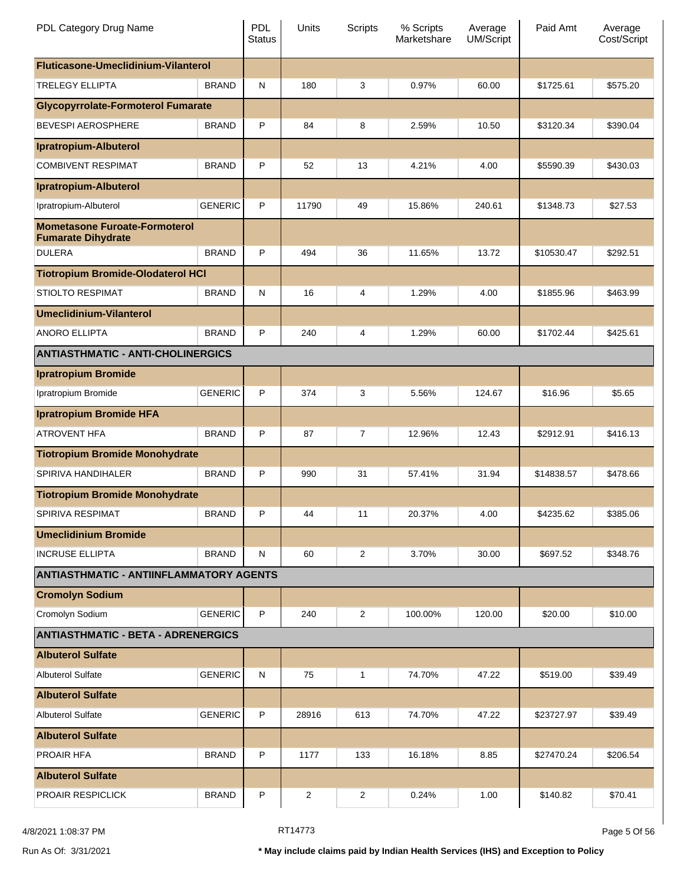| PDL Category Drug Name                                            |                | <b>PDL</b><br><b>Status</b> | Units          | Scripts        | % Scripts<br>Marketshare | Average<br><b>UM/Script</b> | Paid Amt   | Average<br>Cost/Script |
|-------------------------------------------------------------------|----------------|-----------------------------|----------------|----------------|--------------------------|-----------------------------|------------|------------------------|
| Fluticasone-Umeclidinium-Vilanterol                               |                |                             |                |                |                          |                             |            |                        |
| <b>TRELEGY ELLIPTA</b>                                            | <b>BRAND</b>   | N                           | 180            | 3              | 0.97%                    | 60.00                       | \$1725.61  | \$575.20               |
| <b>Glycopyrrolate-Formoterol Fumarate</b>                         |                |                             |                |                |                          |                             |            |                        |
| <b>BEVESPI AEROSPHERE</b>                                         | <b>BRAND</b>   | P                           | 84             | 8              | 2.59%                    | 10.50                       | \$3120.34  | \$390.04               |
| <b>Ipratropium-Albuterol</b>                                      |                |                             |                |                |                          |                             |            |                        |
| <b>COMBIVENT RESPIMAT</b>                                         | <b>BRAND</b>   | P                           | 52             | 13             | 4.21%                    | 4.00                        | \$5590.39  | \$430.03               |
| <b>Ipratropium-Albuterol</b>                                      |                |                             |                |                |                          |                             |            |                        |
| Ipratropium-Albuterol                                             | <b>GENERIC</b> | P                           | 11790          | 49             | 15.86%                   | 240.61                      | \$1348.73  | \$27.53                |
| <b>Mometasone Furoate-Formoterol</b><br><b>Fumarate Dihydrate</b> |                |                             |                |                |                          |                             |            |                        |
| <b>DULERA</b>                                                     | <b>BRAND</b>   | P                           | 494            | 36             | 11.65%                   | 13.72                       | \$10530.47 | \$292.51               |
| <b>Tiotropium Bromide-Olodaterol HCI</b>                          |                |                             |                |                |                          |                             |            |                        |
| STIOLTO RESPIMAT                                                  | <b>BRAND</b>   | N                           | 16             | 4              | 1.29%                    | 4.00                        | \$1855.96  | \$463.99               |
| <b>Umeclidinium-Vilanterol</b>                                    |                |                             |                |                |                          |                             |            |                        |
| <b>ANORO ELLIPTA</b>                                              | <b>BRAND</b>   | P                           | 240            | 4              | 1.29%                    | 60.00                       | \$1702.44  | \$425.61               |
| <b>ANTIASTHMATIC - ANTI-CHOLINERGICS</b>                          |                |                             |                |                |                          |                             |            |                        |
| <b>Ipratropium Bromide</b>                                        |                |                             |                |                |                          |                             |            |                        |
| Ipratropium Bromide                                               | <b>GENERIC</b> | P                           | 374            | 3              | 5.56%                    | 124.67                      | \$16.96    | \$5.65                 |
| <b>Ipratropium Bromide HFA</b>                                    |                |                             |                |                |                          |                             |            |                        |
| <b>ATROVENT HFA</b>                                               | <b>BRAND</b>   | P                           | 87             | 7              | 12.96%                   | 12.43                       | \$2912.91  | \$416.13               |
| <b>Tiotropium Bromide Monohydrate</b>                             |                |                             |                |                |                          |                             |            |                        |
| SPIRIVA HANDIHALER                                                | <b>BRAND</b>   | P                           | 990            | 31             | 57.41%                   | 31.94                       | \$14838.57 | \$478.66               |
| <b>Tiotropium Bromide Monohydrate</b>                             |                |                             |                |                |                          |                             |            |                        |
| SPIRIVA RESPIMAT                                                  | <b>BRAND</b>   | P                           | 44             | 11             | 20.37%                   | 4.00                        | \$4235.62  | \$385.06               |
| <b>Umeclidinium Bromide</b>                                       |                |                             |                |                |                          |                             |            |                        |
| <b>INCRUSE ELLIPTA</b>                                            | <b>BRAND</b>   | N                           | 60             | $\overline{2}$ | 3.70%                    | 30.00                       | \$697.52   | \$348.76               |
| <b>ANTIASTHMATIC - ANTIINFLAMMATORY AGENTS</b>                    |                |                             |                |                |                          |                             |            |                        |
| <b>Cromolyn Sodium</b>                                            |                |                             |                |                |                          |                             |            |                        |
| Cromolyn Sodium                                                   | <b>GENERIC</b> | P                           | 240            | $\overline{2}$ | 100.00%                  | 120.00                      | \$20.00    | \$10.00                |
| <b>ANTIASTHMATIC - BETA - ADRENERGICS</b>                         |                |                             |                |                |                          |                             |            |                        |
| <b>Albuterol Sulfate</b>                                          |                |                             |                |                |                          |                             |            |                        |
| <b>Albuterol Sulfate</b>                                          | <b>GENERIC</b> | N                           | 75             | 1              | 74.70%                   | 47.22                       | \$519.00   | \$39.49                |
| <b>Albuterol Sulfate</b>                                          |                |                             |                |                |                          |                             |            |                        |
| <b>Albuterol Sulfate</b>                                          | <b>GENERIC</b> | P                           | 28916          | 613            | 74.70%                   | 47.22                       | \$23727.97 | \$39.49                |
| <b>Albuterol Sulfate</b>                                          |                |                             |                |                |                          |                             |            |                        |
| PROAIR HFA                                                        | <b>BRAND</b>   | P                           | 1177           | 133            | 16.18%                   | 8.85                        | \$27470.24 | \$206.54               |
| <b>Albuterol Sulfate</b>                                          |                |                             |                |                |                          |                             |            |                        |
| PROAIR RESPICLICK                                                 | <b>BRAND</b>   | P                           | $\overline{2}$ | 2              | 0.24%                    | 1.00                        | \$140.82   | \$70.41                |

A/8/2021 1:08:37 PM Page 5 Of 56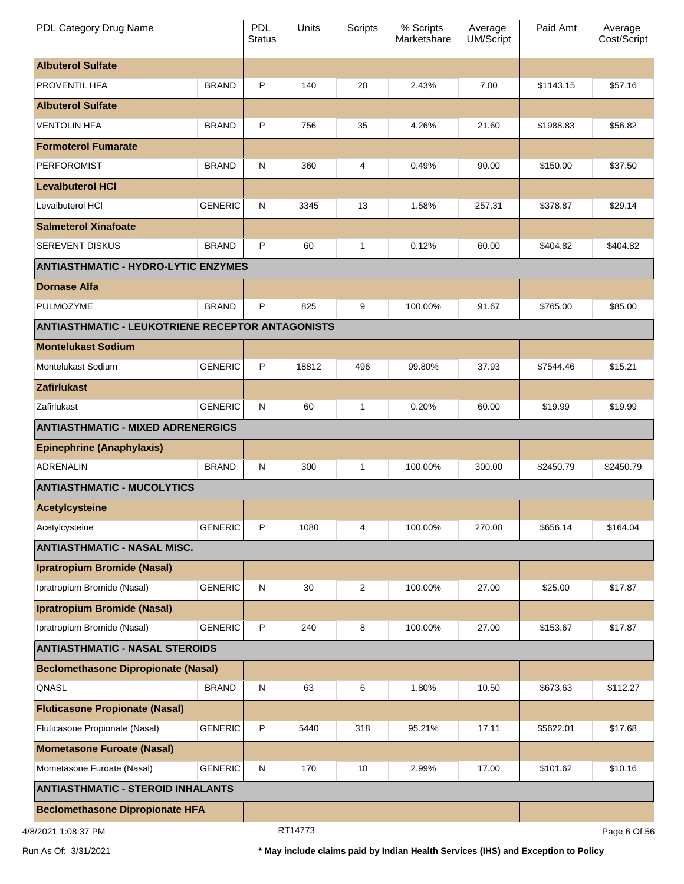| PDL Category Drug Name                                  |                                          | <b>PDL</b><br>Status | Units          | Scripts        | % Scripts<br>Marketshare | Average<br><b>UM/Script</b> | Paid Amt  | Average<br>Cost/Script |
|---------------------------------------------------------|------------------------------------------|----------------------|----------------|----------------|--------------------------|-----------------------------|-----------|------------------------|
| <b>Albuterol Sulfate</b>                                |                                          |                      |                |                |                          |                             |           |                        |
| PROVENTIL HFA                                           | <b>BRAND</b>                             | P                    | 140            | 20             | 2.43%                    | 7.00                        | \$1143.15 | \$57.16                |
| <b>Albuterol Sulfate</b>                                |                                          |                      |                |                |                          |                             |           |                        |
| <b>VENTOLIN HFA</b>                                     | <b>BRAND</b>                             | P                    | 756            | 35             | 4.26%                    | 21.60                       | \$1988.83 | \$56.82                |
| <b>Formoterol Fumarate</b>                              |                                          |                      |                |                |                          |                             |           |                        |
| <b>PERFOROMIST</b>                                      | <b>BRAND</b>                             | N                    | 360            | 4              | 0.49%                    | 90.00                       | \$150.00  | \$37.50                |
| <b>Levalbuterol HCI</b>                                 |                                          |                      |                |                |                          |                             |           |                        |
| Levalbuterol HCI                                        | <b>GENERIC</b>                           | N                    | 3345           | 13             | 1.58%                    | 257.31                      | \$378.87  | \$29.14                |
| <b>Salmeterol Xinafoate</b>                             |                                          |                      |                |                |                          |                             |           |                        |
| <b>SEREVENT DISKUS</b>                                  | <b>BRAND</b>                             | P                    | 60             | 1              | 0.12%                    | 60.00                       | \$404.82  | \$404.82               |
| <b>ANTIASTHMATIC - HYDRO-LYTIC ENZYMES</b>              |                                          |                      |                |                |                          |                             |           |                        |
| <b>Dornase Alfa</b>                                     |                                          |                      |                |                |                          |                             |           |                        |
| PULMOZYME                                               | <b>BRAND</b>                             | P                    | 825            | 9              | 100.00%                  | 91.67                       | \$765.00  | \$85.00                |
| <b>ANTIASTHMATIC - LEUKOTRIENE RECEPTOR ANTAGONISTS</b> |                                          |                      |                |                |                          |                             |           |                        |
| <b>Montelukast Sodium</b>                               |                                          |                      |                |                |                          |                             |           |                        |
| Montelukast Sodium                                      | <b>GENERIC</b>                           | P                    | 18812          | 496            | 99.80%                   | 37.93                       | \$7544.46 | \$15.21                |
| <b>Zafirlukast</b>                                      |                                          |                      |                |                |                          |                             |           |                        |
| Zafirlukast                                             | <b>GENERIC</b>                           | N                    | 60             | $\mathbf{1}$   | 0.20%                    | 60.00                       | \$19.99   | \$19.99                |
|                                                         | <b>ANTIASTHMATIC - MIXED ADRENERGICS</b> |                      |                |                |                          |                             |           |                        |
| <b>Epinephrine (Anaphylaxis)</b>                        |                                          |                      |                |                |                          |                             |           |                        |
| ADRENALIN                                               | <b>BRAND</b>                             | N                    | 300            | $\mathbf{1}$   | 100.00%                  | 300.00                      | \$2450.79 | \$2450.79              |
| <b>ANTIASTHMATIC - MUCOLYTICS</b>                       |                                          |                      |                |                |                          |                             |           |                        |
| <b>Acetylcysteine</b>                                   |                                          |                      |                |                |                          |                             |           |                        |
| Acetylcysteine                                          | <b>GENERIC</b>                           | P                    | 1080           | 4              | 100.00%                  | 270.00                      | \$656.14  | \$164.04               |
| <b>ANTIASTHMATIC - NASAL MISC.</b>                      |                                          |                      |                |                |                          |                             |           |                        |
| <b>Ipratropium Bromide (Nasal)</b>                      |                                          |                      |                |                |                          |                             |           |                        |
| Ipratropium Bromide (Nasal)                             | <b>GENERIC</b>                           | N                    | 30             | $\overline{c}$ | 100.00%                  | 27.00                       | \$25.00   | \$17.87                |
| <b>Ipratropium Bromide (Nasal)</b>                      |                                          |                      |                |                |                          |                             |           |                        |
| Ipratropium Bromide (Nasal)                             | <b>GENERIC</b>                           | P                    | 240            | 8              | 100.00%                  | 27.00                       | \$153.67  | \$17.87                |
| <b>ANTIASTHMATIC - NASAL STEROIDS</b>                   |                                          |                      |                |                |                          |                             |           |                        |
| <b>Beclomethasone Dipropionate (Nasal)</b>              |                                          |                      |                |                |                          |                             |           |                        |
| QNASL                                                   | <b>BRAND</b>                             | ${\sf N}$            | 63             | 6              | 1.80%                    | 10.50                       | \$673.63  | \$112.27               |
| <b>Fluticasone Propionate (Nasal)</b>                   |                                          |                      |                |                |                          |                             |           |                        |
| Fluticasone Propionate (Nasal)                          | <b>GENERIC</b>                           | P                    | 5440           | 318            | 95.21%                   | 17.11                       | \$5622.01 | \$17.68                |
| <b>Mometasone Furoate (Nasal)</b>                       |                                          |                      |                |                |                          |                             |           |                        |
| Mometasone Furoate (Nasal)                              | <b>GENERIC</b>                           | N                    | 170            | 10             | 2.99%                    | 17.00                       | \$101.62  | \$10.16                |
| <b>ANTIASTHMATIC - STEROID INHALANTS</b>                |                                          |                      |                |                |                          |                             |           |                        |
| <b>Beclomethasone Dipropionate HFA</b>                  |                                          |                      |                |                |                          |                             |           |                        |
| ום דפיסטיון ופטטונ                                      |                                          |                      | <b>PT14773</b> |                |                          |                             |           | DoseC OLEC             |

4/8/2021 1:08:37 PM

RT14773

Page 6 Of 56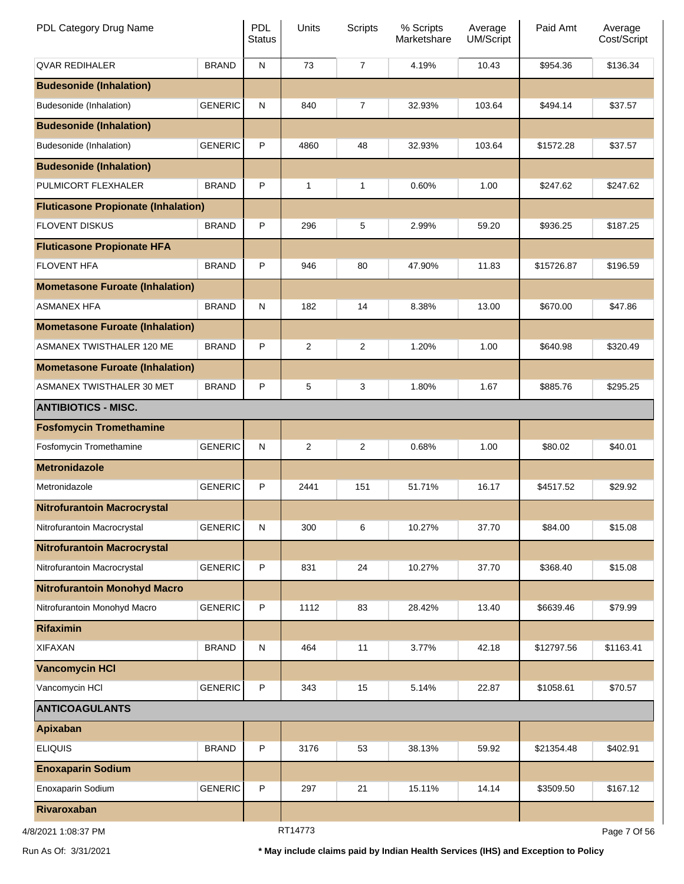| PDL Category Drug Name                     |                | PDL<br><b>Status</b> | Units          | <b>Scripts</b> | % Scripts<br>Marketshare | Average<br>UM/Script | Paid Amt   | Average<br>Cost/Script |
|--------------------------------------------|----------------|----------------------|----------------|----------------|--------------------------|----------------------|------------|------------------------|
| <b>QVAR REDIHALER</b>                      | <b>BRAND</b>   | ${\sf N}$            | 73             | $\overline{7}$ | 4.19%                    | 10.43                | \$954.36   | \$136.34               |
| <b>Budesonide (Inhalation)</b>             |                |                      |                |                |                          |                      |            |                        |
| Budesonide (Inhalation)                    | <b>GENERIC</b> | ${\sf N}$            | 840            | 7              | 32.93%                   | 103.64               | \$494.14   | \$37.57                |
| <b>Budesonide (Inhalation)</b>             |                |                      |                |                |                          |                      |            |                        |
| Budesonide (Inhalation)                    | <b>GENERIC</b> | P                    | 4860           | 48             | 32.93%                   | 103.64               | \$1572.28  | \$37.57                |
| <b>Budesonide (Inhalation)</b>             |                |                      |                |                |                          |                      |            |                        |
| PULMICORT FLEXHALER                        | <b>BRAND</b>   | P                    | 1              | 1              | 0.60%                    | 1.00                 | \$247.62   | \$247.62               |
| <b>Fluticasone Propionate (Inhalation)</b> |                |                      |                |                |                          |                      |            |                        |
| <b>FLOVENT DISKUS</b>                      | <b>BRAND</b>   | P                    | 296            | 5              | 2.99%                    | 59.20                | \$936.25   | \$187.25               |
| <b>Fluticasone Propionate HFA</b>          |                |                      |                |                |                          |                      |            |                        |
| <b>FLOVENT HFA</b>                         | <b>BRAND</b>   | P                    | 946            | 80             | 47.90%                   | 11.83                | \$15726.87 | \$196.59               |
| <b>Mometasone Furoate (Inhalation)</b>     |                |                      |                |                |                          |                      |            |                        |
| <b>ASMANEX HFA</b>                         | <b>BRAND</b>   | ${\sf N}$            | 182            | 14             | 8.38%                    | 13.00                | \$670.00   | \$47.86                |
| <b>Mometasone Furoate (Inhalation)</b>     |                |                      |                |                |                          |                      |            |                        |
| ASMANEX TWISTHALER 120 ME                  | <b>BRAND</b>   | P                    | 2              | 2              | 1.20%                    | 1.00                 | \$640.98   | \$320.49               |
| <b>Mometasone Furoate (Inhalation)</b>     |                |                      |                |                |                          |                      |            |                        |
| ASMANEX TWISTHALER 30 MET                  | <b>BRAND</b>   | P                    | 5              | 3              | 1.80%                    | 1.67                 | \$885.76   | \$295.25               |
| <b>ANTIBIOTICS - MISC.</b>                 |                |                      |                |                |                          |                      |            |                        |
| <b>Fosfomycin Tromethamine</b>             |                |                      |                |                |                          |                      |            |                        |
| Fosfomycin Tromethamine                    | <b>GENERIC</b> | $\mathsf{N}$         | $\overline{2}$ | 2              | 0.68%                    | 1.00                 | \$80.02    | \$40.01                |
| <b>Metronidazole</b>                       |                |                      |                |                |                          |                      |            |                        |
| Metronidazole                              | <b>GENERIC</b> | P                    | 2441           | 151            | 51.71%                   | 16.17                | \$4517.52  | \$29.92                |
| <b>Nitrofurantoin Macrocrystal</b>         |                |                      |                |                |                          |                      |            |                        |
| Nitrofurantoin Macrocrystal                | <b>GENERIC</b> | ${\sf N}$            | 300            | 6              | 10.27%                   | 37.70                | \$84.00    | \$15.08                |
| <b>Nitrofurantoin Macrocrystal</b>         |                |                      |                |                |                          |                      |            |                        |
| Nitrofurantoin Macrocrystal                | <b>GENERIC</b> | P                    | 831            | 24             | 10.27%                   | 37.70                | \$368.40   | \$15.08                |
| <b>Nitrofurantoin Monohyd Macro</b>        |                |                      |                |                |                          |                      |            |                        |
| Nitrofurantoin Monohyd Macro               | <b>GENERIC</b> | P                    | 1112           | 83             | 28.42%                   | 13.40                | \$6639.46  | \$79.99                |
| <b>Rifaximin</b>                           |                |                      |                |                |                          |                      |            |                        |
| <b>XIFAXAN</b>                             | <b>BRAND</b>   | ${\sf N}$            | 464            | 11             | 3.77%                    | 42.18                | \$12797.56 | \$1163.41              |
| <b>Vancomycin HCI</b>                      |                |                      |                |                |                          |                      |            |                        |
| Vancomycin HCI                             | <b>GENERIC</b> | P                    | 343            | 15             | 5.14%                    | 22.87                | \$1058.61  | \$70.57                |
| <b>ANTICOAGULANTS</b>                      |                |                      |                |                |                          |                      |            |                        |
| Apixaban                                   |                |                      |                |                |                          |                      |            |                        |
| <b>ELIQUIS</b>                             | <b>BRAND</b>   | P                    | 3176           | 53             | 38.13%                   | 59.92                | \$21354.48 | \$402.91               |
| <b>Enoxaparin Sodium</b>                   |                |                      |                |                |                          |                      |            |                        |
| Enoxaparin Sodium                          | <b>GENERIC</b> | P                    | 297            | 21             | 15.11%                   | 14.14                | \$3509.50  | \$167.12               |
| Rivaroxaban                                |                |                      |                |                |                          |                      |            |                        |
| 4/8/2021 1:08:37 PM                        |                |                      | RT14773        |                |                          |                      |            | Page 7 Of 56           |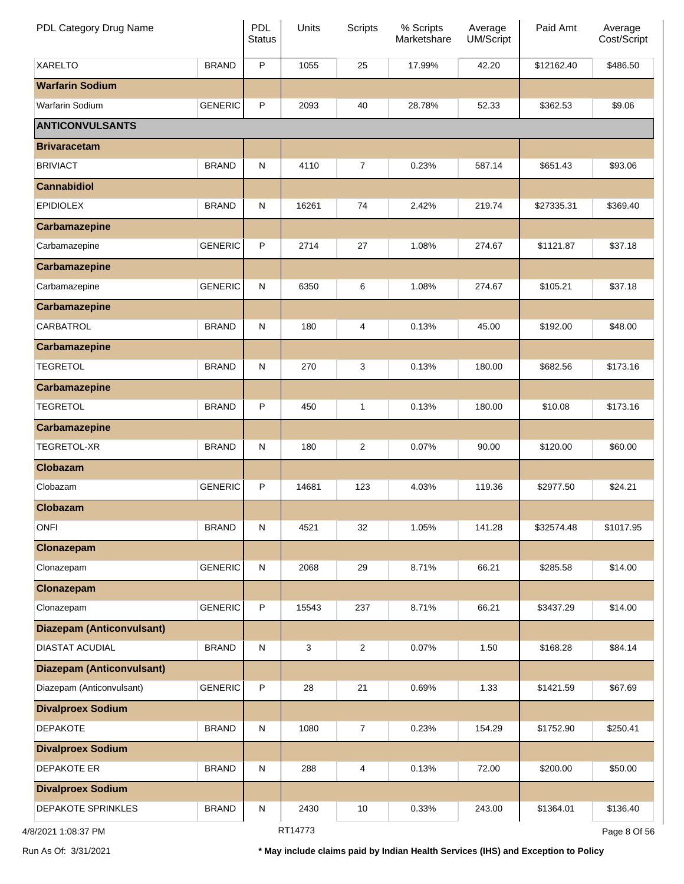| PDL Category Drug Name           |                | PDL<br><b>Status</b> | Units   | <b>Scripts</b> | % Scripts<br>Marketshare | Average<br>UM/Script | Paid Amt   | Average<br>Cost/Script |
|----------------------------------|----------------|----------------------|---------|----------------|--------------------------|----------------------|------------|------------------------|
| <b>XARELTO</b>                   | <b>BRAND</b>   | $\mathsf{P}$         | 1055    | 25             | 17.99%                   | 42.20                | \$12162.40 | \$486.50               |
| <b>Warfarin Sodium</b>           |                |                      |         |                |                          |                      |            |                        |
| Warfarin Sodium                  | <b>GENERIC</b> | P                    | 2093    | 40             | 28.78%                   | 52.33                | \$362.53   | \$9.06                 |
| <b>ANTICONVULSANTS</b>           |                |                      |         |                |                          |                      |            |                        |
| <b>Brivaracetam</b>              |                |                      |         |                |                          |                      |            |                        |
| <b>BRIVIACT</b>                  | <b>BRAND</b>   | ${\sf N}$            | 4110    | $\overline{7}$ | 0.23%                    | 587.14               | \$651.43   | \$93.06                |
| <b>Cannabidiol</b>               |                |                      |         |                |                          |                      |            |                        |
| <b>EPIDIOLEX</b>                 | <b>BRAND</b>   | $\mathsf{N}$         | 16261   | 74             | 2.42%                    | 219.74               | \$27335.31 | \$369.40               |
| <b>Carbamazepine</b>             |                |                      |         |                |                          |                      |            |                        |
| Carbamazepine                    | <b>GENERIC</b> | $\mathsf{P}$         | 2714    | 27             | 1.08%                    | 274.67               | \$1121.87  | \$37.18                |
| <b>Carbamazepine</b>             |                |                      |         |                |                          |                      |            |                        |
| Carbamazepine                    | <b>GENERIC</b> | $\mathsf{N}$         | 6350    | 6              | 1.08%                    | 274.67               | \$105.21   | \$37.18                |
| <b>Carbamazepine</b>             |                |                      |         |                |                          |                      |            |                        |
| CARBATROL                        | <b>BRAND</b>   | $\mathsf{N}$         | 180     | 4              | 0.13%                    | 45.00                | \$192.00   | \$48.00                |
| <b>Carbamazepine</b>             |                |                      |         |                |                          |                      |            |                        |
| <b>TEGRETOL</b>                  | <b>BRAND</b>   | $\mathsf{N}$         | 270     | 3              | 0.13%                    | 180.00               | \$682.56   | \$173.16               |
| <b>Carbamazepine</b>             |                |                      |         |                |                          |                      |            |                        |
| <b>TEGRETOL</b>                  | <b>BRAND</b>   | $\mathsf{P}$         | 450     | $\mathbf{1}$   | 0.13%                    | 180.00               | \$10.08    | \$173.16               |
| <b>Carbamazepine</b>             |                |                      |         |                |                          |                      |            |                        |
| TEGRETOL-XR                      | <b>BRAND</b>   | $\mathsf{N}$         | 180     | $\overline{2}$ | 0.07%                    | 90.00                | \$120.00   | \$60.00                |
| <b>Clobazam</b>                  |                |                      |         |                |                          |                      |            |                        |
| Clobazam                         | <b>GENERIC</b> | $\mathsf{P}$         | 14681   | 123            | 4.03%                    | 119.36               | \$2977.50  | \$24.21                |
| <b>Clobazam</b>                  |                |                      |         |                |                          |                      |            |                        |
| <b>ONFI</b>                      | <b>BRAND</b>   | ${\sf N}$            | 4521    | 32             | 1.05%                    | 141.28               | \$32574.48 | \$1017.95              |
| Clonazepam                       |                |                      |         |                |                          |                      |            |                        |
| Clonazepam                       | <b>GENERIC</b> | ${\sf N}$            | 2068    | 29             | 8.71%                    | 66.21                | \$285.58   | \$14.00                |
| Clonazepam                       |                |                      |         |                |                          |                      |            |                        |
| Clonazepam                       | <b>GENERIC</b> | $\mathsf P$          | 15543   | 237            | 8.71%                    | 66.21                | \$3437.29  | \$14.00                |
| <b>Diazepam (Anticonvulsant)</b> |                |                      |         |                |                          |                      |            |                        |
| DIASTAT ACUDIAL                  | <b>BRAND</b>   | ${\sf N}$            | 3       | 2              | 0.07%                    | 1.50                 | \$168.28   | \$84.14                |
| <b>Diazepam (Anticonvulsant)</b> |                |                      |         |                |                          |                      |            |                        |
| Diazepam (Anticonvulsant)        | <b>GENERIC</b> | $\mathsf{P}$         | 28      | 21             | 0.69%                    | 1.33                 | \$1421.59  | \$67.69                |
| <b>Divalproex Sodium</b>         |                |                      |         |                |                          |                      |            |                        |
| <b>DEPAKOTE</b>                  | <b>BRAND</b>   | ${\sf N}$            | 1080    | $\overline{7}$ | 0.23%                    | 154.29               | \$1752.90  | \$250.41               |
| <b>Divalproex Sodium</b>         |                |                      |         |                |                          |                      |            |                        |
| DEPAKOTE ER                      | <b>BRAND</b>   | ${\sf N}$            | 288     | 4              | 0.13%                    | 72.00                | \$200.00   | \$50.00                |
| <b>Divalproex Sodium</b>         |                |                      |         |                |                          |                      |            |                        |
| DEPAKOTE SPRINKLES               | <b>BRAND</b>   | ${\sf N}$            | 2430    | 10             | 0.33%                    | 243.00               | \$1364.01  | \$136.40               |
| 4/8/2021 1:08:37 PM              |                |                      | RT14773 |                |                          |                      |            | Page 8 Of 56           |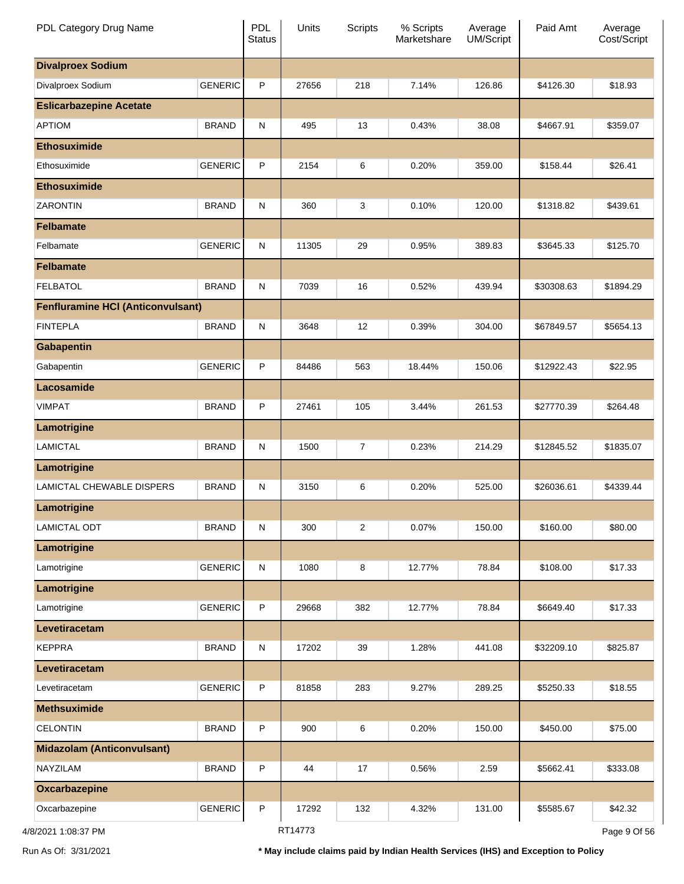| PDL Category Drug Name                   |                | PDL<br><b>Status</b> | Units   | <b>Scripts</b> | % Scripts<br>Marketshare | Average<br>UM/Script | Paid Amt   | Average<br>Cost/Script |
|------------------------------------------|----------------|----------------------|---------|----------------|--------------------------|----------------------|------------|------------------------|
| <b>Divalproex Sodium</b>                 |                |                      |         |                |                          |                      |            |                        |
| Divalproex Sodium                        | <b>GENERIC</b> | $\mathsf{P}$         | 27656   | 218            | 7.14%                    | 126.86               | \$4126.30  | \$18.93                |
| <b>Eslicarbazepine Acetate</b>           |                |                      |         |                |                          |                      |            |                        |
| <b>APTIOM</b>                            | <b>BRAND</b>   | $\mathsf{N}$         | 495     | 13             | 0.43%                    | 38.08                | \$4667.91  | \$359.07               |
| <b>Ethosuximide</b>                      |                |                      |         |                |                          |                      |            |                        |
| Ethosuximide                             | <b>GENERIC</b> | $\mathsf{P}$         | 2154    | 6              | 0.20%                    | 359.00               | \$158.44   | \$26.41                |
| <b>Ethosuximide</b>                      |                |                      |         |                |                          |                      |            |                        |
| <b>ZARONTIN</b>                          | <b>BRAND</b>   | $\mathsf{N}$         | 360     | 3              | 0.10%                    | 120.00               | \$1318.82  | \$439.61               |
| <b>Felbamate</b>                         |                |                      |         |                |                          |                      |            |                        |
| Felbamate                                | <b>GENERIC</b> | $\mathsf{N}$         | 11305   | 29             | 0.95%                    | 389.83               | \$3645.33  | \$125.70               |
| <b>Felbamate</b>                         |                |                      |         |                |                          |                      |            |                        |
| <b>FELBATOL</b>                          | <b>BRAND</b>   | $\mathsf{N}$         | 7039    | 16             | 0.52%                    | 439.94               | \$30308.63 | \$1894.29              |
| <b>Fenfluramine HCI (Anticonvulsant)</b> |                |                      |         |                |                          |                      |            |                        |
| <b>FINTEPLA</b>                          | <b>BRAND</b>   | $\mathsf{N}$         | 3648    | 12             | 0.39%                    | 304.00               | \$67849.57 | \$5654.13              |
| <b>Gabapentin</b>                        |                |                      |         |                |                          |                      |            |                        |
| Gabapentin                               | <b>GENERIC</b> | $\mathsf{P}$         | 84486   | 563            | 18.44%                   | 150.06               | \$12922.43 | \$22.95                |
| Lacosamide                               |                |                      |         |                |                          |                      |            |                        |
| <b>VIMPAT</b>                            | <b>BRAND</b>   | $\mathsf{P}$         | 27461   | 105            | 3.44%                    | 261.53               | \$27770.39 | \$264.48               |
| Lamotrigine                              |                |                      |         |                |                          |                      |            |                        |
| <b>LAMICTAL</b>                          | <b>BRAND</b>   | $\mathsf{N}$         | 1500    | $\overline{7}$ | 0.23%                    | 214.29               | \$12845.52 | \$1835.07              |
| Lamotrigine                              |                |                      |         |                |                          |                      |            |                        |
| LAMICTAL CHEWABLE DISPERS                | <b>BRAND</b>   | N                    | 3150    | 6              | 0.20%                    | 525.00               | \$26036.61 | \$4339.44              |
| Lamotrigine                              |                |                      |         |                |                          |                      |            |                        |
| <b>LAMICTAL ODT</b>                      | <b>BRAND</b>   | ${\sf N}$            | 300     | $\overline{2}$ | 0.07%                    | 150.00               | \$160.00   | \$80.00                |
| Lamotrigine                              |                |                      |         |                |                          |                      |            |                        |
| Lamotrigine                              | <b>GENERIC</b> | ${\sf N}$            | 1080    | 8              | 12.77%                   | 78.84                | \$108.00   | \$17.33                |
| Lamotrigine                              |                |                      |         |                |                          |                      |            |                        |
| Lamotrigine                              | <b>GENERIC</b> | $\mathsf{P}$         | 29668   | 382            | 12.77%                   | 78.84                | \$6649.40  | \$17.33                |
| Levetiracetam                            |                |                      |         |                |                          |                      |            |                        |
| <b>KEPPRA</b>                            | <b>BRAND</b>   | N                    | 17202   | 39             | 1.28%                    | 441.08               | \$32209.10 | \$825.87               |
| Levetiracetam                            |                |                      |         |                |                          |                      |            |                        |
| Levetiracetam                            | <b>GENERIC</b> | $\mathsf{P}$         | 81858   | 283            | 9.27%                    | 289.25               | \$5250.33  | \$18.55                |
| <b>Methsuximide</b>                      |                |                      |         |                |                          |                      |            |                        |
| <b>CELONTIN</b>                          | <b>BRAND</b>   | $\mathsf{P}$         | 900     | 6              | 0.20%                    | 150.00               | \$450.00   | \$75.00                |
| <b>Midazolam (Anticonvulsant)</b>        |                |                      |         |                |                          |                      |            |                        |
| NAYZILAM                                 | <b>BRAND</b>   | $\mathsf{P}$         | 44      | 17             | 0.56%                    | 2.59                 | \$5662.41  | \$333.08               |
| Oxcarbazepine                            |                |                      |         |                |                          |                      |            |                        |
| Oxcarbazepine                            | <b>GENERIC</b> | $\sf P$              | 17292   | 132            | 4.32%                    | 131.00               | \$5585.67  | \$42.32                |
| 4/8/2021 1:08:37 PM                      |                |                      | RT14773 |                |                          |                      |            | Page 9 Of 56           |

Run As Of: 3/31/2021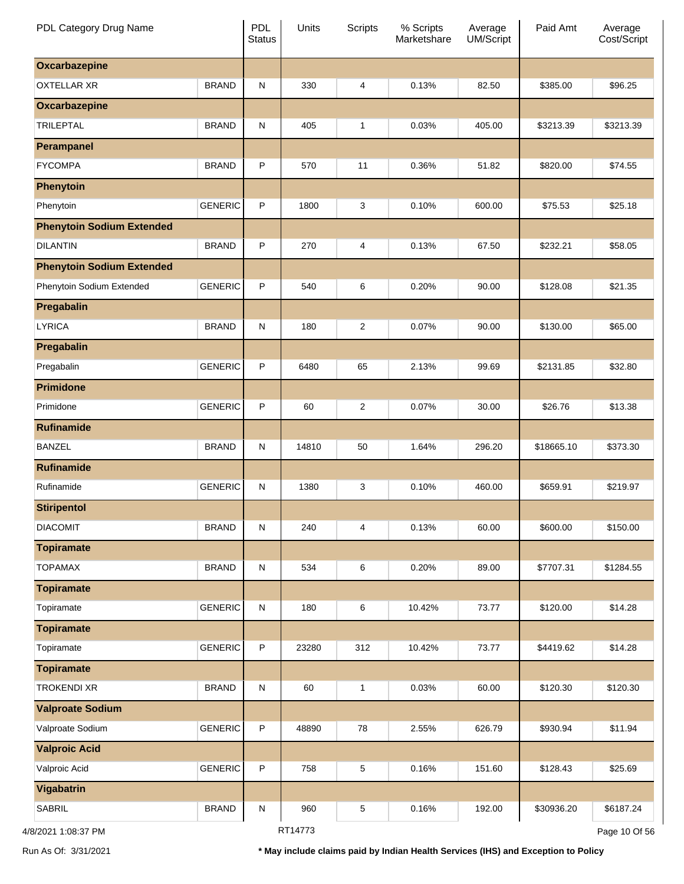| PDL Category Drug Name           |                | PDL<br><b>Status</b> | Units   | <b>Scripts</b> | % Scripts<br>Marketshare | Average<br>UM/Script | Paid Amt   | Average<br>Cost/Script |
|----------------------------------|----------------|----------------------|---------|----------------|--------------------------|----------------------|------------|------------------------|
| <b>Oxcarbazepine</b>             |                |                      |         |                |                          |                      |            |                        |
| <b>OXTELLAR XR</b>               | <b>BRAND</b>   | ${\sf N}$            | 330     | 4              | 0.13%                    | 82.50                | \$385.00   | \$96.25                |
| <b>Oxcarbazepine</b>             |                |                      |         |                |                          |                      |            |                        |
| <b>TRILEPTAL</b>                 | <b>BRAND</b>   | ${\sf N}$            | 405     | $\mathbf{1}$   | 0.03%                    | 405.00               | \$3213.39  | \$3213.39              |
| <b>Perampanel</b>                |                |                      |         |                |                          |                      |            |                        |
| <b>FYCOMPA</b>                   | <b>BRAND</b>   | P                    | 570     | 11             | 0.36%                    | 51.82                | \$820.00   | \$74.55                |
| <b>Phenytoin</b>                 |                |                      |         |                |                          |                      |            |                        |
| Phenytoin                        | <b>GENERIC</b> | $\mathsf{P}$         | 1800    | 3              | 0.10%                    | 600.00               | \$75.53    | \$25.18                |
| <b>Phenytoin Sodium Extended</b> |                |                      |         |                |                          |                      |            |                        |
| <b>DILANTIN</b>                  | <b>BRAND</b>   | P                    | 270     | 4              | 0.13%                    | 67.50                | \$232.21   | \$58.05                |
| <b>Phenytoin Sodium Extended</b> |                |                      |         |                |                          |                      |            |                        |
| Phenytoin Sodium Extended        | <b>GENERIC</b> | P                    | 540     | 6              | 0.20%                    | 90.00                | \$128.08   | \$21.35                |
| Pregabalin                       |                |                      |         |                |                          |                      |            |                        |
| <b>LYRICA</b>                    | <b>BRAND</b>   | ${\sf N}$            | 180     | $\overline{c}$ | 0.07%                    | 90.00                | \$130.00   | \$65.00                |
| Pregabalin                       |                |                      |         |                |                          |                      |            |                        |
| Pregabalin                       | <b>GENERIC</b> | P                    | 6480    | 65             | 2.13%                    | 99.69                | \$2131.85  | \$32.80                |
| <b>Primidone</b>                 |                |                      |         |                |                          |                      |            |                        |
| Primidone                        | <b>GENERIC</b> | P                    | 60      | $\overline{c}$ | 0.07%                    | 30.00                | \$26.76    | \$13.38                |
| <b>Rufinamide</b>                |                |                      |         |                |                          |                      |            |                        |
| <b>BANZEL</b>                    | <b>BRAND</b>   | ${\sf N}$            | 14810   | 50             | 1.64%                    | 296.20               | \$18665.10 | \$373.30               |
| <b>Rufinamide</b>                |                |                      |         |                |                          |                      |            |                        |
| Rufinamide                       | <b>GENERIC</b> | ${\sf N}$            | 1380    | 3              | 0.10%                    | 460.00               | \$659.91   | \$219.97               |
| <b>Stiripentol</b>               |                |                      |         |                |                          |                      |            |                        |
| <b>DIACOMIT</b>                  | <b>BRAND</b>   | ${\sf N}$            | 240     | 4              | 0.13%                    | 60.00                | \$600.00   | \$150.00               |
| <b>Topiramate</b>                |                |                      |         |                |                          |                      |            |                        |
| <b>TOPAMAX</b>                   | <b>BRAND</b>   | ${\sf N}$            | 534     | 6              | 0.20%                    | 89.00                | \$7707.31  | \$1284.55              |
| <b>Topiramate</b>                |                |                      |         |                |                          |                      |            |                        |
| Topiramate                       | <b>GENERIC</b> | ${\sf N}$            | 180     | 6              | 10.42%                   | 73.77                | \$120.00   | \$14.28                |
| <b>Topiramate</b>                |                |                      |         |                |                          |                      |            |                        |
| Topiramate                       | <b>GENERIC</b> | $\sf P$              | 23280   | 312            | 10.42%                   | 73.77                | \$4419.62  | \$14.28                |
| <b>Topiramate</b>                |                |                      |         |                |                          |                      |            |                        |
| <b>TROKENDI XR</b>               | <b>BRAND</b>   | ${\sf N}$            | 60      | $\mathbf{1}$   | 0.03%                    | 60.00                | \$120.30   | \$120.30               |
| <b>Valproate Sodium</b>          |                |                      |         |                |                          |                      |            |                        |
| Valproate Sodium                 | <b>GENERIC</b> | $\sf P$              | 48890   | 78             | 2.55%                    | 626.79               | \$930.94   | \$11.94                |
| <b>Valproic Acid</b>             |                |                      |         |                |                          |                      |            |                        |
| Valproic Acid                    | <b>GENERIC</b> | $\sf P$              | 758     | 5              | 0.16%                    | 151.60               | \$128.43   | \$25.69                |
| Vigabatrin                       |                |                      |         |                |                          |                      |            |                        |
| SABRIL                           | <b>BRAND</b>   | ${\sf N}$            | 960     | 5              | 0.16%                    | 192.00               | \$30936.20 | \$6187.24              |
| 4/8/2021 1:08:37 PM              |                |                      | RT14773 |                |                          |                      |            | Page 10 Of 56          |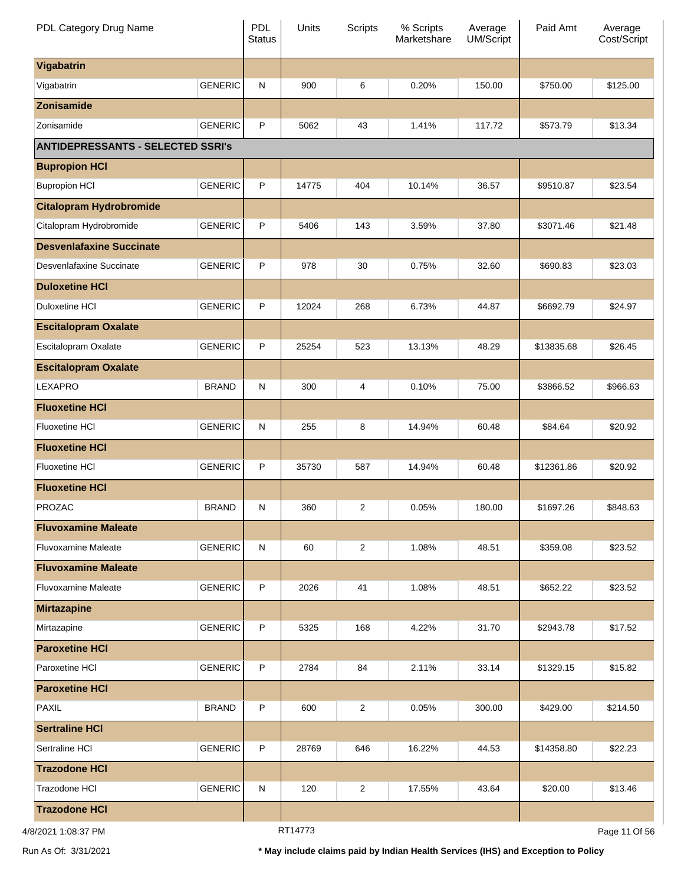| PDL Category Drug Name                   |                | PDL<br><b>Status</b> | Units   | <b>Scripts</b> | % Scripts<br>Marketshare | Average<br>UM/Script | Paid Amt   | Average<br>Cost/Script |
|------------------------------------------|----------------|----------------------|---------|----------------|--------------------------|----------------------|------------|------------------------|
| Vigabatrin                               |                |                      |         |                |                          |                      |            |                        |
| Vigabatrin                               | <b>GENERIC</b> | ${\sf N}$            | 900     | 6              | 0.20%                    | 150.00               | \$750.00   | \$125.00               |
| <b>Zonisamide</b>                        |                |                      |         |                |                          |                      |            |                        |
| Zonisamide                               | <b>GENERIC</b> | P                    | 5062    | 43             | 1.41%                    | 117.72               | \$573.79   | \$13.34                |
| <b>ANTIDEPRESSANTS - SELECTED SSRI's</b> |                |                      |         |                |                          |                      |            |                        |
| <b>Bupropion HCI</b>                     |                |                      |         |                |                          |                      |            |                        |
| <b>Bupropion HCI</b>                     | <b>GENERIC</b> | $\mathsf{P}$         | 14775   | 404            | 10.14%                   | 36.57                | \$9510.87  | \$23.54                |
| <b>Citalopram Hydrobromide</b>           |                |                      |         |                |                          |                      |            |                        |
| Citalopram Hydrobromide                  | <b>GENERIC</b> | P                    | 5406    | 143            | 3.59%                    | 37.80                | \$3071.46  | \$21.48                |
| <b>Desvenlafaxine Succinate</b>          |                |                      |         |                |                          |                      |            |                        |
| Desvenlafaxine Succinate                 | <b>GENERIC</b> | P                    | 978     | 30             | 0.75%                    | 32.60                | \$690.83   | \$23.03                |
| <b>Duloxetine HCI</b>                    |                |                      |         |                |                          |                      |            |                        |
| Duloxetine HCI                           | <b>GENERIC</b> | P                    | 12024   | 268            | 6.73%                    | 44.87                | \$6692.79  | \$24.97                |
| <b>Escitalopram Oxalate</b>              |                |                      |         |                |                          |                      |            |                        |
| Escitalopram Oxalate                     | <b>GENERIC</b> | P                    | 25254   | 523            | 13.13%                   | 48.29                | \$13835.68 | \$26.45                |
| <b>Escitalopram Oxalate</b>              |                |                      |         |                |                          |                      |            |                        |
| LEXAPRO                                  | <b>BRAND</b>   | ${\sf N}$            | 300     | 4              | 0.10%                    | 75.00                | \$3866.52  | \$966.63               |
| <b>Fluoxetine HCI</b>                    |                |                      |         |                |                          |                      |            |                        |
| <b>Fluoxetine HCI</b>                    | <b>GENERIC</b> | ${\sf N}$            | 255     | 8              | 14.94%                   | 60.48                | \$84.64    | \$20.92                |
| <b>Fluoxetine HCI</b>                    |                |                      |         |                |                          |                      |            |                        |
| <b>Fluoxetine HCI</b>                    | <b>GENERIC</b> | P                    | 35730   | 587            | 14.94%                   | 60.48                | \$12361.86 | \$20.92                |
| <b>Fluoxetine HCI</b>                    |                |                      |         |                |                          |                      |            |                        |
| <b>PROZAC</b>                            | <b>BRAND</b>   | $\mathsf{N}$         | 360     | 2              | 0.05%                    | 180.00               | \$1697.26  | \$848.63               |
| <b>Fluvoxamine Maleate</b>               |                |                      |         |                |                          |                      |            |                        |
| <b>Fluvoxamine Maleate</b>               | <b>GENERIC</b> | ${\sf N}$            | 60      | $\overline{2}$ | 1.08%                    | 48.51                | \$359.08   | \$23.52                |
| <b>Fluvoxamine Maleate</b>               |                |                      |         |                |                          |                      |            |                        |
| <b>Fluvoxamine Maleate</b>               | <b>GENERIC</b> | P                    | 2026    | 41             | 1.08%                    | 48.51                | \$652.22   | \$23.52                |
| <b>Mirtazapine</b>                       |                |                      |         |                |                          |                      |            |                        |
| Mirtazapine                              | <b>GENERIC</b> | P                    | 5325    | 168            | 4.22%                    | 31.70                | \$2943.78  | \$17.52                |
| <b>Paroxetine HCI</b>                    |                |                      |         |                |                          |                      |            |                        |
| Paroxetine HCI                           | <b>GENERIC</b> | P                    | 2784    | 84             | 2.11%                    | 33.14                | \$1329.15  | \$15.82                |
| <b>Paroxetine HCI</b>                    |                |                      |         |                |                          |                      |            |                        |
| <b>PAXIL</b>                             | <b>BRAND</b>   | P                    | 600     | $\overline{2}$ | 0.05%                    | 300.00               | \$429.00   | \$214.50               |
| <b>Sertraline HCI</b>                    |                |                      |         |                |                          |                      |            |                        |
| Sertraline HCI                           | <b>GENERIC</b> | $\mathsf{P}$         | 28769   | 646            | 16.22%                   | 44.53                | \$14358.80 | \$22.23                |
| <b>Trazodone HCI</b>                     |                |                      |         |                |                          |                      |            |                        |
| Trazodone HCI                            | <b>GENERIC</b> | ${\sf N}$            | 120     | $\overline{2}$ | 17.55%                   | 43.64                | \$20.00    | \$13.46                |
| <b>Trazodone HCI</b>                     |                |                      |         |                |                          |                      |            |                        |
| 4/8/2021 1:08:37 PM                      |                |                      | RT14773 |                |                          |                      |            | Page 11 Of 56          |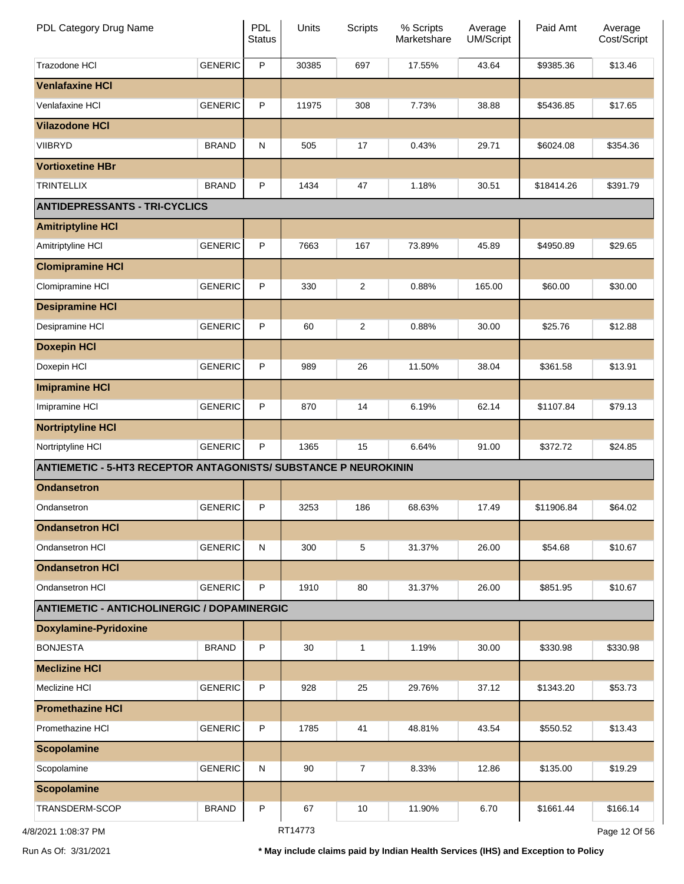| PDL Category Drug Name                                                 |                | <b>PDL</b><br><b>Status</b> | Units   | Scripts          | % Scripts<br>Marketshare | Average<br><b>UM/Script</b> | Paid Amt   | Average<br>Cost/Script |
|------------------------------------------------------------------------|----------------|-----------------------------|---------|------------------|--------------------------|-----------------------------|------------|------------------------|
| Trazodone HCI                                                          | <b>GENERIC</b> | P                           | 30385   | 697              | 17.55%                   | 43.64                       | \$9385.36  | \$13.46                |
| <b>Venlafaxine HCI</b>                                                 |                |                             |         |                  |                          |                             |            |                        |
| Venlafaxine HCI                                                        | <b>GENERIC</b> | P                           | 11975   | 308              | 7.73%                    | 38.88                       | \$5436.85  | \$17.65                |
| <b>Vilazodone HCI</b>                                                  |                |                             |         |                  |                          |                             |            |                        |
| <b>VIIBRYD</b>                                                         | <b>BRAND</b>   | $\mathsf{N}$                | 505     | 17               | 0.43%                    | 29.71                       | \$6024.08  | \$354.36               |
| <b>Vortioxetine HBr</b>                                                |                |                             |         |                  |                          |                             |            |                        |
| <b>TRINTELLIX</b>                                                      | <b>BRAND</b>   | P                           | 1434    | 47               | 1.18%                    | 30.51                       | \$18414.26 | \$391.79               |
| <b>ANTIDEPRESSANTS - TRI-CYCLICS</b>                                   |                |                             |         |                  |                          |                             |            |                        |
| <b>Amitriptyline HCI</b>                                               |                |                             |         |                  |                          |                             |            |                        |
| Amitriptyline HCI                                                      | <b>GENERIC</b> | P                           | 7663    | 167              | 73.89%                   | 45.89                       | \$4950.89  | \$29.65                |
| <b>Clomipramine HCI</b>                                                |                |                             |         |                  |                          |                             |            |                        |
| Clomipramine HCI                                                       | <b>GENERIC</b> | P                           | 330     | $\overline{c}$   | 0.88%                    | 165.00                      | \$60.00    | \$30.00                |
| <b>Desipramine HCI</b>                                                 |                |                             |         |                  |                          |                             |            |                        |
| Desipramine HCI                                                        | <b>GENERIC</b> | P                           | 60      | $\overline{2}$   | 0.88%                    | 30.00                       | \$25.76    | \$12.88                |
| <b>Doxepin HCI</b>                                                     |                |                             |         |                  |                          |                             |            |                        |
| Doxepin HCI                                                            | <b>GENERIC</b> | P                           | 989     | 26               | 11.50%                   | 38.04                       | \$361.58   | \$13.91                |
| <b>Imipramine HCI</b>                                                  |                |                             |         |                  |                          |                             |            |                        |
| Imipramine HCI                                                         | <b>GENERIC</b> | P                           | 870     | 14               | 6.19%                    | 62.14                       | \$1107.84  | \$79.13                |
| <b>Nortriptyline HCI</b>                                               |                |                             |         |                  |                          |                             |            |                        |
| Nortriptyline HCI                                                      | <b>GENERIC</b> | P                           | 1365    | 15               | 6.64%                    | 91.00                       | \$372.72   | \$24.85                |
| <b>ANTIEMETIC - 5-HT3 RECEPTOR ANTAGONISTS/ SUBSTANCE P NEUROKININ</b> |                |                             |         |                  |                          |                             |            |                        |
| <b>Ondansetron</b>                                                     |                |                             |         |                  |                          |                             |            |                        |
| Ondansetron                                                            | <b>GENERIC</b> | P                           | 3253    | 186              | 68.63%                   | 17.49                       | \$11906.84 | \$64.02                |
| <b>Ondansetron HCI</b>                                                 |                |                             |         |                  |                          |                             |            |                        |
| Ondansetron HCI                                                        | <b>GENERIC</b> | ${\sf N}$                   | 300     | 5                | 31.37%                   | 26.00                       | \$54.68    | \$10.67                |
| <b>Ondansetron HCI</b>                                                 |                |                             |         |                  |                          |                             |            |                        |
| Ondansetron HCI                                                        | <b>GENERIC</b> | P                           | 1910    | 80               | 31.37%                   | 26.00                       | \$851.95   | \$10.67                |
| <b>ANTIEMETIC - ANTICHOLINERGIC / DOPAMINERGIC</b>                     |                |                             |         |                  |                          |                             |            |                        |
| <b>Doxylamine-Pyridoxine</b>                                           |                |                             |         |                  |                          |                             |            |                        |
| <b>BONJESTA</b>                                                        | <b>BRAND</b>   | P                           | 30      | 1                | 1.19%                    | 30.00                       | \$330.98   | \$330.98               |
| <b>Meclizine HCI</b>                                                   |                |                             |         |                  |                          |                             |            |                        |
| Meclizine HCI                                                          | <b>GENERIC</b> | P                           | 928     | 25               | 29.76%                   | 37.12                       | \$1343.20  | \$53.73                |
| <b>Promethazine HCI</b>                                                |                |                             |         |                  |                          |                             |            |                        |
| Promethazine HCI                                                       | <b>GENERIC</b> | P                           | 1785    | 41               | 48.81%                   | 43.54                       | \$550.52   | \$13.43                |
| <b>Scopolamine</b>                                                     |                |                             |         |                  |                          |                             |            |                        |
| Scopolamine                                                            | <b>GENERIC</b> | ${\sf N}$                   | 90      | $\boldsymbol{7}$ | 8.33%                    | 12.86                       | \$135.00   | \$19.29                |
| <b>Scopolamine</b>                                                     |                |                             |         |                  |                          |                             |            |                        |
| TRANSDERM-SCOP                                                         | <b>BRAND</b>   | P                           | 67      | 10               | 11.90%                   | 6.70                        | \$1661.44  | \$166.14               |
| 3/2021 1:08:37 PM                                                      |                |                             | RT14773 |                  |                          |                             |            | Page 12 Of 56          |

4/8/2021 1:08:37 PM

Run As Of: 3/31/2021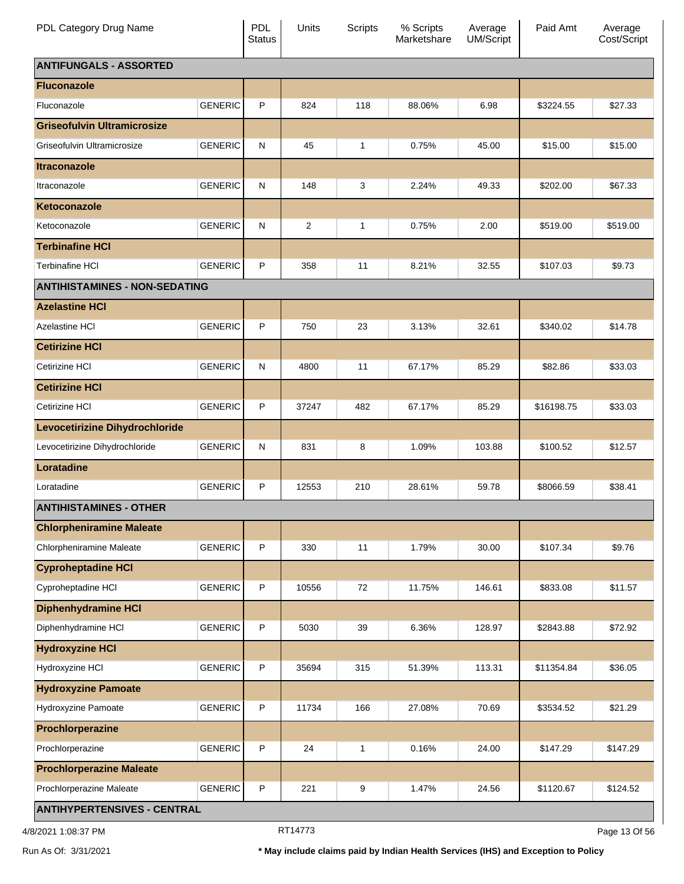| PDL Category Drug Name               |                | <b>PDL</b><br><b>Status</b> | Units          | <b>Scripts</b> | % Scripts<br>Marketshare | Average<br><b>UM/Script</b> | Paid Amt   | Average<br>Cost/Script |  |
|--------------------------------------|----------------|-----------------------------|----------------|----------------|--------------------------|-----------------------------|------------|------------------------|--|
| <b>ANTIFUNGALS - ASSORTED</b>        |                |                             |                |                |                          |                             |            |                        |  |
| <b>Fluconazole</b>                   |                |                             |                |                |                          |                             |            |                        |  |
| Fluconazole                          | <b>GENERIC</b> | P                           | 824            | 118            | 88.06%                   | 6.98                        | \$3224.55  | \$27.33                |  |
| <b>Griseofulvin Ultramicrosize</b>   |                |                             |                |                |                          |                             |            |                        |  |
| Griseofulvin Ultramicrosize          | <b>GENERIC</b> | N                           | 45             | 1              | 0.75%                    | 45.00                       | \$15.00    | \$15.00                |  |
| <b>Itraconazole</b>                  |                |                             |                |                |                          |                             |            |                        |  |
| Itraconazole                         | <b>GENERIC</b> | $\mathsf{N}$                | 148            | 3              | 2.24%                    | 49.33                       | \$202.00   | \$67.33                |  |
| Ketoconazole                         |                |                             |                |                |                          |                             |            |                        |  |
| Ketoconazole                         | <b>GENERIC</b> | $\mathsf{N}$                | $\overline{2}$ | 1              | 0.75%                    | 2.00                        | \$519.00   | \$519.00               |  |
| <b>Terbinafine HCI</b>               |                |                             |                |                |                          |                             |            |                        |  |
| <b>Terbinafine HCI</b>               | <b>GENERIC</b> | P                           | 358            | 11             | 8.21%                    | 32.55                       | \$107.03   | \$9.73                 |  |
| <b>ANTIHISTAMINES - NON-SEDATING</b> |                |                             |                |                |                          |                             |            |                        |  |
| <b>Azelastine HCI</b>                |                |                             |                |                |                          |                             |            |                        |  |
| <b>Azelastine HCI</b>                | <b>GENERIC</b> | P                           | 750            | 23             | 3.13%                    | 32.61                       | \$340.02   | \$14.78                |  |
| <b>Cetirizine HCI</b>                |                |                             |                |                |                          |                             |            |                        |  |
| Cetirizine HCI                       | <b>GENERIC</b> | N                           | 4800           | 11             | 67.17%                   | 85.29                       | \$82.86    | \$33.03                |  |
| <b>Cetirizine HCI</b>                |                |                             |                |                |                          |                             |            |                        |  |
| Cetirizine HCI                       | <b>GENERIC</b> | P                           | 37247          | 482            | 67.17%                   | 85.29                       | \$16198.75 | \$33.03                |  |
| Levocetirizine Dihydrochloride       |                |                             |                |                |                          |                             |            |                        |  |
| Levocetirizine Dihydrochloride       | <b>GENERIC</b> | N                           | 831            | 8              | 1.09%                    | 103.88                      | \$100.52   | \$12.57                |  |
| Loratadine                           |                |                             |                |                |                          |                             |            |                        |  |
| Loratadine                           | <b>GENERIC</b> | P                           | 12553          | 210            | 28.61%                   | 59.78                       | \$8066.59  | \$38.41                |  |
| <b>ANTIHISTAMINES - OTHER</b>        |                |                             |                |                |                          |                             |            |                        |  |
| <b>Chlorpheniramine Maleate</b>      |                |                             |                |                |                          |                             |            |                        |  |
| <b>Chlorpheniramine Maleate</b>      | <b>GENERIC</b> | P                           | 330            | 11             | 1.79%                    | 30.00                       | \$107.34   | \$9.76                 |  |
| <b>Cyproheptadine HCI</b>            |                |                             |                |                |                          |                             |            |                        |  |
| Cyproheptadine HCI                   | <b>GENERIC</b> | P                           | 10556          | 72             | 11.75%                   | 146.61                      | \$833.08   | \$11.57                |  |
| <b>Diphenhydramine HCI</b>           |                |                             |                |                |                          |                             |            |                        |  |
| Diphenhydramine HCI                  | <b>GENERIC</b> | P                           | 5030           | 39             | 6.36%                    | 128.97                      | \$2843.88  | \$72.92                |  |
| <b>Hydroxyzine HCI</b>               |                |                             |                |                |                          |                             |            |                        |  |
| Hydroxyzine HCI                      | <b>GENERIC</b> | P                           | 35694          | 315            | 51.39%                   | 113.31                      | \$11354.84 | \$36.05                |  |
| <b>Hydroxyzine Pamoate</b>           |                |                             |                |                |                          |                             |            |                        |  |
| Hydroxyzine Pamoate                  | <b>GENERIC</b> | P                           | 11734          | 166            | 27.08%                   | 70.69                       | \$3534.52  | \$21.29                |  |
| Prochlorperazine                     |                |                             |                |                |                          |                             |            |                        |  |
| Prochlorperazine                     | <b>GENERIC</b> | P                           | 24             | $\mathbf{1}$   | 0.16%                    | 24.00                       | \$147.29   | \$147.29               |  |
| <b>Prochlorperazine Maleate</b>      |                |                             |                |                |                          |                             |            |                        |  |
| Prochlorperazine Maleate             | <b>GENERIC</b> | P                           | 221            | 9              | 1.47%                    | 24.56                       | \$1120.67  | \$124.52               |  |
| <b>ANTIHYPERTENSIVES - CENTRAL</b>   |                |                             |                |                |                          |                             |            |                        |  |

4/8/2021 1:08:37 PM **RT14773** RT14773 **PM** RT14773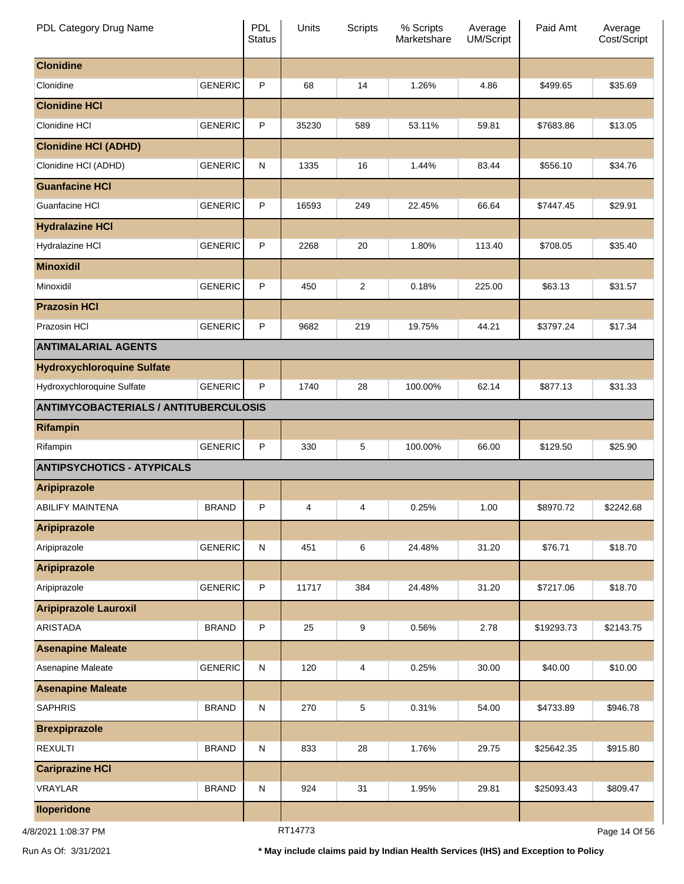| PDL Category Drug Name                       |                | PDL<br><b>Status</b> | Units   | <b>Scripts</b> | % Scripts<br>Marketshare | Average<br>UM/Script | Paid Amt   | Average<br>Cost/Script |
|----------------------------------------------|----------------|----------------------|---------|----------------|--------------------------|----------------------|------------|------------------------|
| <b>Clonidine</b>                             |                |                      |         |                |                          |                      |            |                        |
| Clonidine                                    | <b>GENERIC</b> | P                    | 68      | 14             | 1.26%                    | 4.86                 | \$499.65   | \$35.69                |
| <b>Clonidine HCI</b>                         |                |                      |         |                |                          |                      |            |                        |
| Clonidine HCI                                | <b>GENERIC</b> | P                    | 35230   | 589            | 53.11%                   | 59.81                | \$7683.86  | \$13.05                |
| <b>Clonidine HCI (ADHD)</b>                  |                |                      |         |                |                          |                      |            |                        |
| Clonidine HCI (ADHD)                         | <b>GENERIC</b> | ${\sf N}$            | 1335    | 16             | 1.44%                    | 83.44                | \$556.10   | \$34.76                |
| <b>Guanfacine HCI</b>                        |                |                      |         |                |                          |                      |            |                        |
| Guanfacine HCI                               | <b>GENERIC</b> | P                    | 16593   | 249            | 22.45%                   | 66.64                | \$7447.45  | \$29.91                |
| <b>Hydralazine HCI</b>                       |                |                      |         |                |                          |                      |            |                        |
| Hydralazine HCI                              | <b>GENERIC</b> | P                    | 2268    | 20             | 1.80%                    | 113.40               | \$708.05   | \$35.40                |
| <b>Minoxidil</b>                             |                |                      |         |                |                          |                      |            |                        |
| Minoxidil                                    | <b>GENERIC</b> | P                    | 450     | 2              | 0.18%                    | 225.00               | \$63.13    | \$31.57                |
| <b>Prazosin HCI</b>                          |                |                      |         |                |                          |                      |            |                        |
| Prazosin HCI                                 | <b>GENERIC</b> | P                    | 9682    | 219            | 19.75%                   | 44.21                | \$3797.24  | \$17.34                |
| <b>ANTIMALARIAL AGENTS</b>                   |                |                      |         |                |                          |                      |            |                        |
| <b>Hydroxychloroquine Sulfate</b>            |                |                      |         |                |                          |                      |            |                        |
| Hydroxychloroquine Sulfate                   | <b>GENERIC</b> | P                    | 1740    | 28             | 100.00%                  | 62.14                | \$877.13   | \$31.33                |
| <b>ANTIMYCOBACTERIALS / ANTITUBERCULOSIS</b> |                |                      |         |                |                          |                      |            |                        |
| <b>Rifampin</b>                              |                |                      |         |                |                          |                      |            |                        |
| Rifampin                                     | <b>GENERIC</b> | P                    | 330     | 5              | 100.00%                  | 66.00                | \$129.50   | \$25.90                |
| <b>ANTIPSYCHOTICS - ATYPICALS</b>            |                |                      |         |                |                          |                      |            |                        |
| <b>Aripiprazole</b>                          |                |                      |         |                |                          |                      |            |                        |
| <b>ABILIFY MAINTENA</b>                      | <b>BRAND</b>   | P                    | 4       | 4              | 0.25%                    | 1.00                 | \$8970.72  | \$2242.68              |
| <b>Aripiprazole</b>                          |                |                      |         |                |                          |                      |            |                        |
| Aripiprazole                                 | <b>GENERIC</b> | ${\sf N}$            | 451     | 6              | 24.48%                   | 31.20                | \$76.71    | \$18.70                |
| <b>Aripiprazole</b>                          |                |                      |         |                |                          |                      |            |                        |
| Aripiprazole                                 | <b>GENERIC</b> | $\sf P$              | 11717   | 384            | 24.48%                   | 31.20                | \$7217.06  | \$18.70                |
| <b>Aripiprazole Lauroxil</b>                 |                |                      |         |                |                          |                      |            |                        |
| <b>ARISTADA</b>                              | <b>BRAND</b>   | $\sf P$              | 25      | 9              | 0.56%                    | 2.78                 | \$19293.73 | \$2143.75              |
| <b>Asenapine Maleate</b>                     |                |                      |         |                |                          |                      |            |                        |
| Asenapine Maleate                            | <b>GENERIC</b> | ${\sf N}$            | 120     | 4              | 0.25%                    | 30.00                | \$40.00    | \$10.00                |
| <b>Asenapine Maleate</b>                     |                |                      |         |                |                          |                      |            |                        |
| <b>SAPHRIS</b>                               | <b>BRAND</b>   | ${\sf N}$            | 270     | 5              | 0.31%                    | 54.00                | \$4733.89  | \$946.78               |
| <b>Brexpiprazole</b>                         |                |                      |         |                |                          |                      |            |                        |
| <b>REXULTI</b>                               | <b>BRAND</b>   | ${\sf N}$            | 833     | 28             | 1.76%                    | 29.75                | \$25642.35 | \$915.80               |
| <b>Cariprazine HCI</b>                       |                |                      |         |                |                          |                      |            |                        |
| VRAYLAR                                      | <b>BRAND</b>   | ${\sf N}$            | 924     | 31             | 1.95%                    | 29.81                | \$25093.43 | \$809.47               |
| <b>Iloperidone</b>                           |                |                      |         |                |                          |                      |            |                        |
| 4/8/2021 1:08:37 PM                          |                |                      | RT14773 |                |                          |                      |            | Page 14 Of 56          |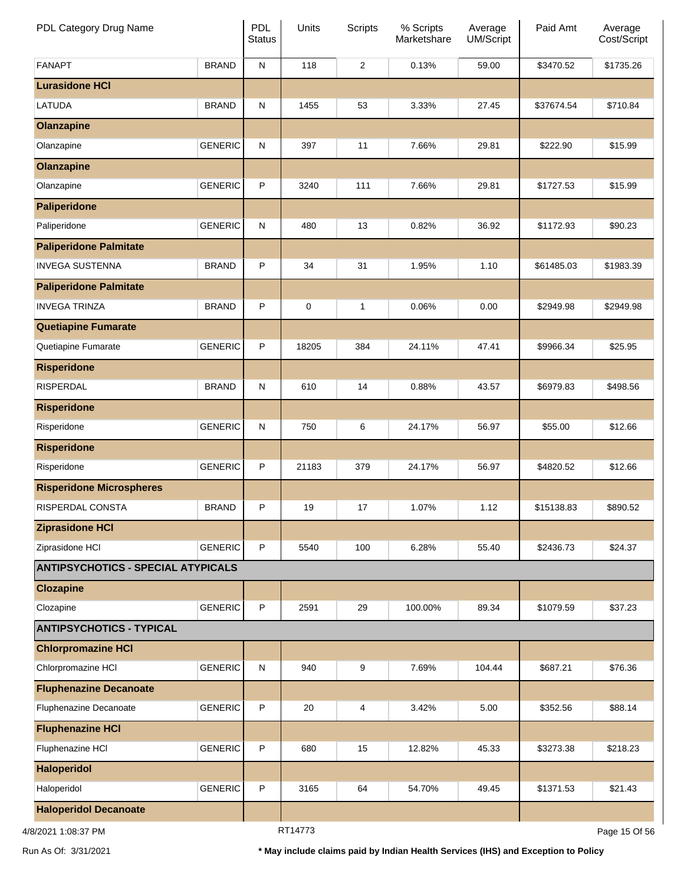| PDL Category Drug Name                    |                | PDL<br><b>Status</b> | Units   | <b>Scripts</b> | % Scripts<br>Marketshare | Average<br>UM/Script | Paid Amt   | Average<br>Cost/Script |
|-------------------------------------------|----------------|----------------------|---------|----------------|--------------------------|----------------------|------------|------------------------|
| <b>FANAPT</b>                             | <b>BRAND</b>   | ${\sf N}$            | 118     | $\overline{2}$ | 0.13%                    | 59.00                | \$3470.52  | \$1735.26              |
| <b>Lurasidone HCI</b>                     |                |                      |         |                |                          |                      |            |                        |
| <b>LATUDA</b>                             | <b>BRAND</b>   | ${\sf N}$            | 1455    | 53             | 3.33%                    | 27.45                | \$37674.54 | \$710.84               |
| <b>Olanzapine</b>                         |                |                      |         |                |                          |                      |            |                        |
| Olanzapine                                | <b>GENERIC</b> | ${\sf N}$            | 397     | 11             | 7.66%                    | 29.81                | \$222.90   | \$15.99                |
| <b>Olanzapine</b>                         |                |                      |         |                |                          |                      |            |                        |
| Olanzapine                                | <b>GENERIC</b> | P                    | 3240    | 111            | 7.66%                    | 29.81                | \$1727.53  | \$15.99                |
| <b>Paliperidone</b>                       |                |                      |         |                |                          |                      |            |                        |
| Paliperidone                              | <b>GENERIC</b> | ${\sf N}$            | 480     | 13             | 0.82%                    | 36.92                | \$1172.93  | \$90.23                |
| <b>Paliperidone Palmitate</b>             |                |                      |         |                |                          |                      |            |                        |
| <b>INVEGA SUSTENNA</b>                    | <b>BRAND</b>   | P                    | 34      | 31             | 1.95%                    | 1.10                 | \$61485.03 | \$1983.39              |
| <b>Paliperidone Palmitate</b>             |                |                      |         |                |                          |                      |            |                        |
| <b>INVEGA TRINZA</b>                      | <b>BRAND</b>   | P                    | 0       | 1              | 0.06%                    | 0.00                 | \$2949.98  | \$2949.98              |
| <b>Quetiapine Fumarate</b>                |                |                      |         |                |                          |                      |            |                        |
| Quetiapine Fumarate                       | <b>GENERIC</b> | P                    | 18205   | 384            | 24.11%                   | 47.41                | \$9966.34  | \$25.95                |
| <b>Risperidone</b>                        |                |                      |         |                |                          |                      |            |                        |
| <b>RISPERDAL</b>                          | <b>BRAND</b>   | ${\sf N}$            | 610     | 14             | 0.88%                    | 43.57                | \$6979.83  | \$498.56               |
| <b>Risperidone</b>                        |                |                      |         |                |                          |                      |            |                        |
| Risperidone                               | <b>GENERIC</b> | ${\sf N}$            | 750     | 6              | 24.17%                   | 56.97                | \$55.00    | \$12.66                |
| <b>Risperidone</b>                        |                |                      |         |                |                          |                      |            |                        |
| Risperidone                               | <b>GENERIC</b> | P                    | 21183   | 379            | 24.17%                   | 56.97                | \$4820.52  | \$12.66                |
| <b>Risperidone Microspheres</b>           |                |                      |         |                |                          |                      |            |                        |
| RISPERDAL CONSTA                          | <b>BRAND</b>   | P                    | 19      | 17             | 1.07%                    | 1.12                 | \$15138.83 | \$890.52               |
| <b>Ziprasidone HCI</b>                    |                |                      |         |                |                          |                      |            |                        |
| Ziprasidone HCI                           | <b>GENERIC</b> | P                    | 5540    | 100            | 6.28%                    | 55.40                | \$2436.73  | \$24.37                |
| <b>ANTIPSYCHOTICS - SPECIAL ATYPICALS</b> |                |                      |         |                |                          |                      |            |                        |
| <b>Clozapine</b>                          |                |                      |         |                |                          |                      |            |                        |
| Clozapine                                 | <b>GENERIC</b> | $\sf P$              | 2591    | 29             | 100.00%                  | 89.34                | \$1079.59  | \$37.23                |
| <b>ANTIPSYCHOTICS - TYPICAL</b>           |                |                      |         |                |                          |                      |            |                        |
| <b>Chlorpromazine HCI</b>                 |                |                      |         |                |                          |                      |            |                        |
| Chlorpromazine HCI                        | <b>GENERIC</b> | ${\sf N}$            | 940     | 9              | 7.69%                    | 104.44               | \$687.21   | \$76.36                |
| <b>Fluphenazine Decanoate</b>             |                |                      |         |                |                          |                      |            |                        |
| Fluphenazine Decanoate                    | <b>GENERIC</b> | P                    | 20      | 4              | 3.42%                    | 5.00                 | \$352.56   | \$88.14                |
| <b>Fluphenazine HCI</b>                   |                |                      |         |                |                          |                      |            |                        |
| Fluphenazine HCl                          | <b>GENERIC</b> | P                    | 680     | 15             | 12.82%                   | 45.33                | \$3273.38  | \$218.23               |
| <b>Haloperidol</b>                        |                |                      |         |                |                          |                      |            |                        |
| Haloperidol                               | <b>GENERIC</b> | P                    | 3165    | 64             | 54.70%                   | 49.45                | \$1371.53  | \$21.43                |
| <b>Haloperidol Decanoate</b>              |                |                      |         |                |                          |                      |            |                        |
| 4/8/2021 1:08:37 PM                       |                |                      | RT14773 |                |                          |                      |            | Page 15 Of 56          |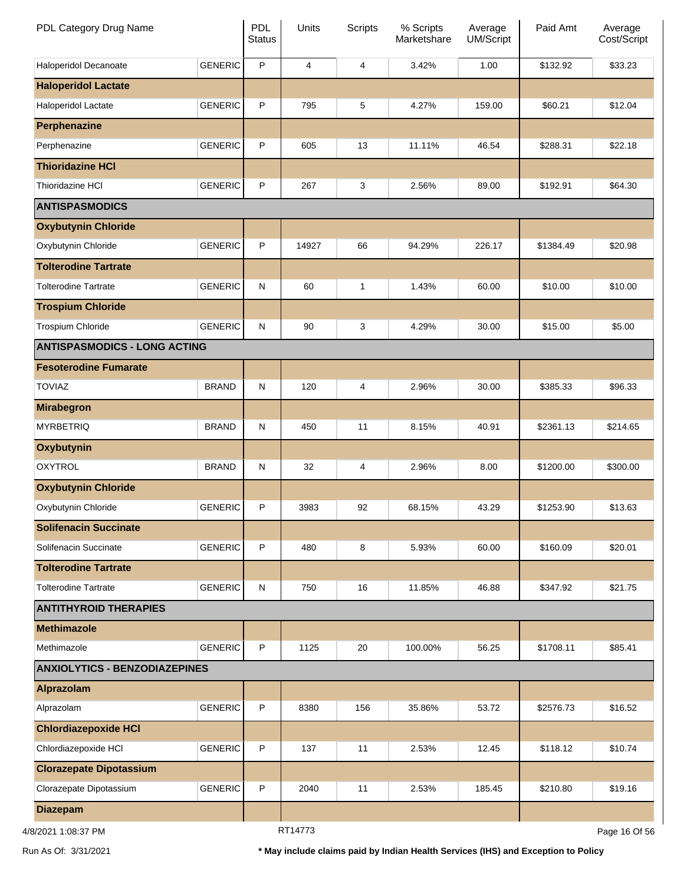| PDL Category Drug Name               |                | PDL<br><b>Status</b> | Units   | <b>Scripts</b> | % Scripts<br>Marketshare | Average<br>UM/Script | Paid Amt  | Average<br>Cost/Script |
|--------------------------------------|----------------|----------------------|---------|----------------|--------------------------|----------------------|-----------|------------------------|
| Haloperidol Decanoate                | <b>GENERIC</b> | $\sf P$              | 4       | 4              | 3.42%                    | 1.00                 | \$132.92  | \$33.23                |
| <b>Haloperidol Lactate</b>           |                |                      |         |                |                          |                      |           |                        |
| Haloperidol Lactate                  | <b>GENERIC</b> | P                    | 795     | 5              | 4.27%                    | 159.00               | \$60.21   | \$12.04                |
| Perphenazine                         |                |                      |         |                |                          |                      |           |                        |
| Perphenazine                         | <b>GENERIC</b> | P                    | 605     | 13             | 11.11%                   | 46.54                | \$288.31  | \$22.18                |
| <b>Thioridazine HCI</b>              |                |                      |         |                |                          |                      |           |                        |
| <b>Thioridazine HCI</b>              | <b>GENERIC</b> | P                    | 267     | 3              | 2.56%                    | 89.00                | \$192.91  | \$64.30                |
| <b>ANTISPASMODICS</b>                |                |                      |         |                |                          |                      |           |                        |
| <b>Oxybutynin Chloride</b>           |                |                      |         |                |                          |                      |           |                        |
| Oxybutynin Chloride                  | <b>GENERIC</b> | P                    | 14927   | 66             | 94.29%                   | 226.17               | \$1384.49 | \$20.98                |
| <b>Tolterodine Tartrate</b>          |                |                      |         |                |                          |                      |           |                        |
| <b>Tolterodine Tartrate</b>          | <b>GENERIC</b> | ${\sf N}$            | 60      | 1              | 1.43%                    | 60.00                | \$10.00   | \$10.00                |
| <b>Trospium Chloride</b>             |                |                      |         |                |                          |                      |           |                        |
| Trospium Chloride                    | <b>GENERIC</b> | ${\sf N}$            | 90      | 3              | 4.29%                    | 30.00                | \$15.00   | \$5.00                 |
| <b>ANTISPASMODICS - LONG ACTING</b>  |                |                      |         |                |                          |                      |           |                        |
| <b>Fesoterodine Fumarate</b>         |                |                      |         |                |                          |                      |           |                        |
| <b>TOVIAZ</b>                        | <b>BRAND</b>   | ${\sf N}$            | 120     | 4              | 2.96%                    | 30.00                | \$385.33  | \$96.33                |
| <b>Mirabegron</b>                    |                |                      |         |                |                          |                      |           |                        |
| <b>MYRBETRIQ</b>                     | <b>BRAND</b>   | ${\sf N}$            | 450     | 11             | 8.15%                    | 40.91                | \$2361.13 | \$214.65               |
| <b>Oxybutynin</b>                    |                |                      |         |                |                          |                      |           |                        |
| <b>OXYTROL</b>                       | <b>BRAND</b>   | ${\sf N}$            | 32      | 4              | 2.96%                    | 8.00                 | \$1200.00 | \$300.00               |
| <b>Oxybutynin Chloride</b>           |                |                      |         |                |                          |                      |           |                        |
| Oxybutynin Chloride                  | <b>GENERIC</b> | P                    | 3983    | 92             | 68.15%                   | 43.29                | \$1253.90 | \$13.63                |
| <b>Solifenacin Succinate</b>         |                |                      |         |                |                          |                      |           |                        |
| Solifenacin Succinate                | <b>GENERIC</b> | P                    | 480     | 8              | 5.93%                    | 60.00                | \$160.09  | \$20.01                |
| <b>Tolterodine Tartrate</b>          |                |                      |         |                |                          |                      |           |                        |
| <b>Tolterodine Tartrate</b>          | <b>GENERIC</b> | ${\sf N}$            | 750     | 16             | 11.85%                   | 46.88                | \$347.92  | \$21.75                |
| <b>ANTITHYROID THERAPIES</b>         |                |                      |         |                |                          |                      |           |                        |
| <b>Methimazole</b>                   |                |                      |         |                |                          |                      |           |                        |
| Methimazole                          | <b>GENERIC</b> | P                    | 1125    | 20             | 100.00%                  | 56.25                | \$1708.11 | \$85.41                |
| <b>ANXIOLYTICS - BENZODIAZEPINES</b> |                |                      |         |                |                          |                      |           |                        |
| Alprazolam                           |                |                      |         |                |                          |                      |           |                        |
| Alprazolam                           | <b>GENERIC</b> | P                    | 8380    | 156            | 35.86%                   | 53.72                | \$2576.73 | \$16.52                |
| <b>Chlordiazepoxide HCI</b>          |                |                      |         |                |                          |                      |           |                        |
| Chlordiazepoxide HCI                 | <b>GENERIC</b> | P                    | 137     | 11             | 2.53%                    | 12.45                | \$118.12  | \$10.74                |
| <b>Clorazepate Dipotassium</b>       |                |                      |         |                |                          |                      |           |                        |
| Clorazepate Dipotassium              | <b>GENERIC</b> | P                    | 2040    | 11             | 2.53%                    | 185.45               | \$210.80  | \$19.16                |
| <b>Diazepam</b>                      |                |                      |         |                |                          |                      |           |                        |
| 4/8/2021 1:08:37 PM                  |                |                      | RT14773 |                |                          |                      |           | Page 16 Of 56          |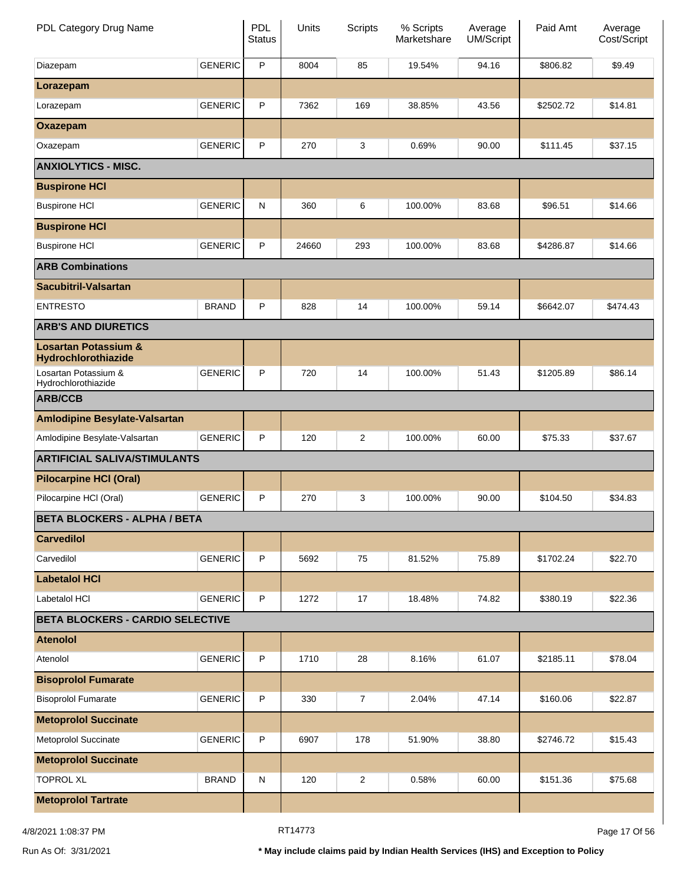| PDL Category Drug Name                                 |                | <b>PDL</b><br><b>Status</b> | Units | Scripts        | % Scripts<br>Marketshare | Average<br><b>UM/Script</b> | Paid Amt  | Average<br>Cost/Script |
|--------------------------------------------------------|----------------|-----------------------------|-------|----------------|--------------------------|-----------------------------|-----------|------------------------|
| Diazepam                                               | <b>GENERIC</b> | P                           | 8004  | 85             | 19.54%                   | 94.16                       | \$806.82  | \$9.49                 |
| Lorazepam                                              |                |                             |       |                |                          |                             |           |                        |
| Lorazepam                                              | <b>GENERIC</b> | P                           | 7362  | 169            | 38.85%                   | 43.56                       | \$2502.72 | \$14.81                |
| Oxazepam                                               |                |                             |       |                |                          |                             |           |                        |
| Oxazepam                                               | <b>GENERIC</b> | P                           | 270   | 3              | 0.69%                    | 90.00                       | \$111.45  | \$37.15                |
| <b>ANXIOLYTICS - MISC.</b>                             |                |                             |       |                |                          |                             |           |                        |
| <b>Buspirone HCI</b>                                   |                |                             |       |                |                          |                             |           |                        |
| <b>Buspirone HCI</b>                                   | <b>GENERIC</b> | N                           | 360   | 6              | 100.00%                  | 83.68                       | \$96.51   | \$14.66                |
| <b>Buspirone HCI</b>                                   |                |                             |       |                |                          |                             |           |                        |
| <b>Buspirone HCI</b>                                   | <b>GENERIC</b> | P                           | 24660 | 293            | 100.00%                  | 83.68                       | \$4286.87 | \$14.66                |
| <b>ARB Combinations</b>                                |                |                             |       |                |                          |                             |           |                        |
| <b>Sacubitril-Valsartan</b>                            |                |                             |       |                |                          |                             |           |                        |
| <b>ENTRESTO</b>                                        | <b>BRAND</b>   | P                           | 828   | 14             | 100.00%                  | 59.14                       | \$6642.07 | \$474.43               |
| <b>ARB'S AND DIURETICS</b>                             |                |                             |       |                |                          |                             |           |                        |
| <b>Losartan Potassium &amp;</b><br>Hydrochlorothiazide |                |                             |       |                |                          |                             |           |                        |
| Losartan Potassium &<br>Hydrochlorothiazide            | <b>GENERIC</b> | P                           | 720   | 14             | 100.00%                  | 51.43                       | \$1205.89 | \$86.14                |
| <b>ARB/CCB</b>                                         |                |                             |       |                |                          |                             |           |                        |
| <b>Amlodipine Besylate-Valsartan</b>                   |                |                             |       |                |                          |                             |           |                        |
| Amlodipine Besylate-Valsartan                          | <b>GENERIC</b> | P                           | 120   | 2              | 100.00%                  | 60.00                       | \$75.33   | \$37.67                |
| <b>ARTIFICIAL SALIVA/STIMULANTS</b>                    |                |                             |       |                |                          |                             |           |                        |
| <b>Pilocarpine HCI (Oral)</b>                          |                |                             |       |                |                          |                             |           |                        |
| Pilocarpine HCI (Oral)                                 | <b>GENERIC</b> | P                           | 270   | 3              | 100.00%                  | 90.00                       | \$104.50  | \$34.83                |
| <b>BETA BLOCKERS - ALPHA / BETA</b>                    |                |                             |       |                |                          |                             |           |                        |
| <b>Carvedilol</b>                                      |                |                             |       |                |                          |                             |           |                        |
| Carvedilol                                             | <b>GENERIC</b> | P                           | 5692  | 75             | 81.52%                   | 75.89                       | \$1702.24 | \$22.70                |
| <b>Labetalol HCI</b>                                   |                |                             |       |                |                          |                             |           |                        |
| Labetalol HCI                                          | <b>GENERIC</b> | P                           | 1272  | 17             | 18.48%                   | 74.82                       | \$380.19  | \$22.36                |
| <b>BETA BLOCKERS - CARDIO SELECTIVE</b>                |                |                             |       |                |                          |                             |           |                        |
| <b>Atenolol</b>                                        |                |                             |       |                |                          |                             |           |                        |
| Atenolol                                               | <b>GENERIC</b> | P                           | 1710  | 28             | 8.16%                    | 61.07                       | \$2185.11 | \$78.04                |
| <b>Bisoprolol Fumarate</b>                             |                |                             |       |                |                          |                             |           |                        |
| <b>Bisoprolol Fumarate</b>                             | <b>GENERIC</b> | P                           | 330   | $\overline{7}$ | 2.04%                    | 47.14                       | \$160.06  | \$22.87                |
| <b>Metoprolol Succinate</b>                            |                |                             |       |                |                          |                             |           |                        |
| Metoprolol Succinate                                   | <b>GENERIC</b> | P                           | 6907  | 178            | 51.90%                   | 38.80                       | \$2746.72 | \$15.43                |
| <b>Metoprolol Succinate</b>                            |                |                             |       |                |                          |                             |           |                        |
| <b>TOPROL XL</b>                                       | <b>BRAND</b>   | N                           | 120   | $\overline{c}$ | 0.58%                    | 60.00                       | \$151.36  | \$75.68                |
| <b>Metoprolol Tartrate</b>                             |                |                             |       |                |                          |                             |           |                        |

4/8/2021 1:08:37 PM Page 17 Of 56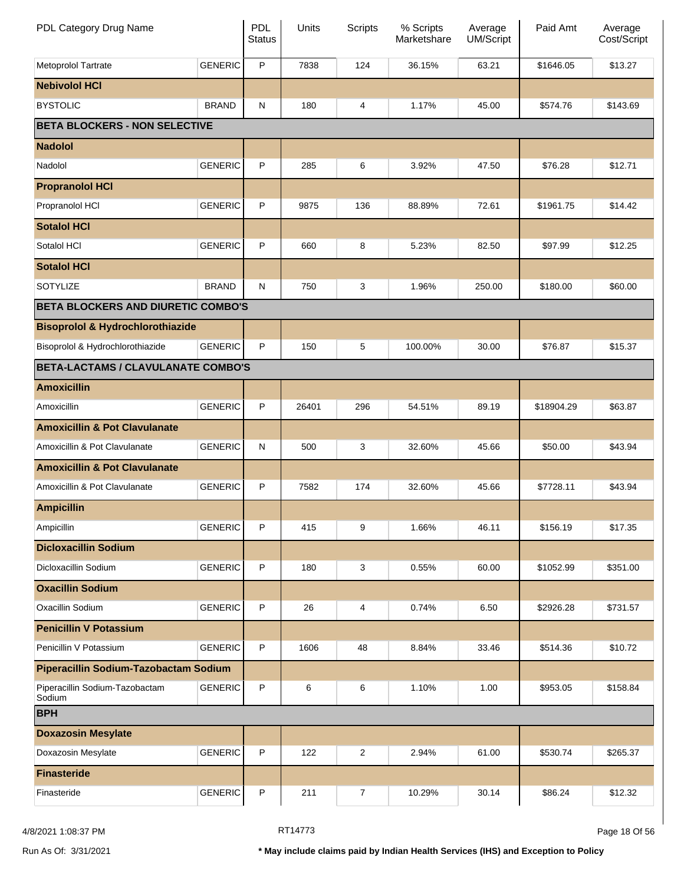| PDL Category Drug Name                      |                | <b>PDL</b><br><b>Status</b> | Units | Scripts | % Scripts<br>Marketshare | Average<br><b>UM/Script</b> | Paid Amt   | Average<br>Cost/Script |
|---------------------------------------------|----------------|-----------------------------|-------|---------|--------------------------|-----------------------------|------------|------------------------|
| Metoprolol Tartrate                         | <b>GENERIC</b> | P                           | 7838  | 124     | 36.15%                   | 63.21                       | \$1646.05  | \$13.27                |
| <b>Nebivolol HCI</b>                        |                |                             |       |         |                          |                             |            |                        |
| <b>BYSTOLIC</b>                             | <b>BRAND</b>   | N                           | 180   | 4       | 1.17%                    | 45.00                       | \$574.76   | \$143.69               |
| <b>BETA BLOCKERS - NON SELECTIVE</b>        |                |                             |       |         |                          |                             |            |                        |
| <b>Nadolol</b>                              |                |                             |       |         |                          |                             |            |                        |
| Nadolol                                     | <b>GENERIC</b> | P                           | 285   | 6       | 3.92%                    | 47.50                       | \$76.28    | \$12.71                |
| <b>Propranolol HCI</b>                      |                |                             |       |         |                          |                             |            |                        |
| Propranolol HCI                             | <b>GENERIC</b> | P                           | 9875  | 136     | 88.89%                   | 72.61                       | \$1961.75  | \$14.42                |
| <b>Sotalol HCI</b>                          |                |                             |       |         |                          |                             |            |                        |
| Sotalol HCI                                 | <b>GENERIC</b> | P                           | 660   | 8       | 5.23%                    | 82.50                       | \$97.99    | \$12.25                |
| <b>Sotalol HCI</b>                          |                |                             |       |         |                          |                             |            |                        |
| SOTYLIZE                                    | <b>BRAND</b>   | N                           | 750   | 3       | 1.96%                    | 250.00                      | \$180.00   | \$60.00                |
| <b>BETA BLOCKERS AND DIURETIC COMBO'S</b>   |                |                             |       |         |                          |                             |            |                        |
| <b>Bisoprolol &amp; Hydrochlorothiazide</b> |                |                             |       |         |                          |                             |            |                        |
| Bisoprolol & Hydrochlorothiazide            | <b>GENERIC</b> | P                           | 150   | 5       | 100.00%                  | 30.00                       | \$76.87    | \$15.37                |
| <b>BETA-LACTAMS / CLAVULANATE COMBO'S</b>   |                |                             |       |         |                          |                             |            |                        |
| <b>Amoxicillin</b>                          |                |                             |       |         |                          |                             |            |                        |
| Amoxicillin                                 | <b>GENERIC</b> | P                           | 26401 | 296     | 54.51%                   | 89.19                       | \$18904.29 | \$63.87                |
| <b>Amoxicillin &amp; Pot Clavulanate</b>    |                |                             |       |         |                          |                             |            |                        |
| Amoxicillin & Pot Clavulanate               | <b>GENERIC</b> | N                           | 500   | 3       | 32.60%                   | 45.66                       | \$50.00    | \$43.94                |
| <b>Amoxicillin &amp; Pot Clavulanate</b>    |                |                             |       |         |                          |                             |            |                        |
| Amoxicillin & Pot Clavulanate               | <b>GENERIC</b> | P                           | 7582  | 174     | 32.60%                   | 45.66                       | \$7728.11  | \$43.94                |
| <b>Ampicillin</b>                           |                |                             |       |         |                          |                             |            |                        |
| Ampicillin                                  | <b>GENERIC</b> | P                           | 415   | 9       | 1.66%                    | 46.11                       | \$156.19   | \$17.35                |
| <b>Dicloxacillin Sodium</b>                 |                |                             |       |         |                          |                             |            |                        |
| Dicloxacillin Sodium                        | <b>GENERIC</b> | $\mathsf P$                 | 180   | 3       | 0.55%                    | 60.00                       | \$1052.99  | \$351.00               |
| <b>Oxacillin Sodium</b>                     |                |                             |       |         |                          |                             |            |                        |
| Oxacillin Sodium                            | <b>GENERIC</b> | $\mathsf P$                 | 26    | 4       | 0.74%                    | 6.50                        | \$2926.28  | \$731.57               |
| <b>Penicillin V Potassium</b>               |                |                             |       |         |                          |                             |            |                        |
| Penicillin V Potassium                      | <b>GENERIC</b> | $\mathsf P$                 | 1606  | 48      | 8.84%                    | 33.46                       | \$514.36   | \$10.72                |
| Piperacillin Sodium-Tazobactam Sodium       |                |                             |       |         |                          |                             |            |                        |
| Piperacillin Sodium-Tazobactam<br>Sodium    | <b>GENERIC</b> | P                           | 6     | 6       | 1.10%                    | 1.00                        | \$953.05   | \$158.84               |
| <b>BPH</b>                                  |                |                             |       |         |                          |                             |            |                        |
| <b>Doxazosin Mesylate</b>                   |                |                             |       |         |                          |                             |            |                        |
| Doxazosin Mesylate                          | <b>GENERIC</b> | P                           | 122   | 2       | 2.94%                    | 61.00                       | \$530.74   | \$265.37               |
| <b>Finasteride</b>                          |                |                             |       |         |                          |                             |            |                        |
| Finasteride                                 | <b>GENERIC</b> | P                           | 211   | 7       | 10.29%                   | 30.14                       | \$86.24    | \$12.32                |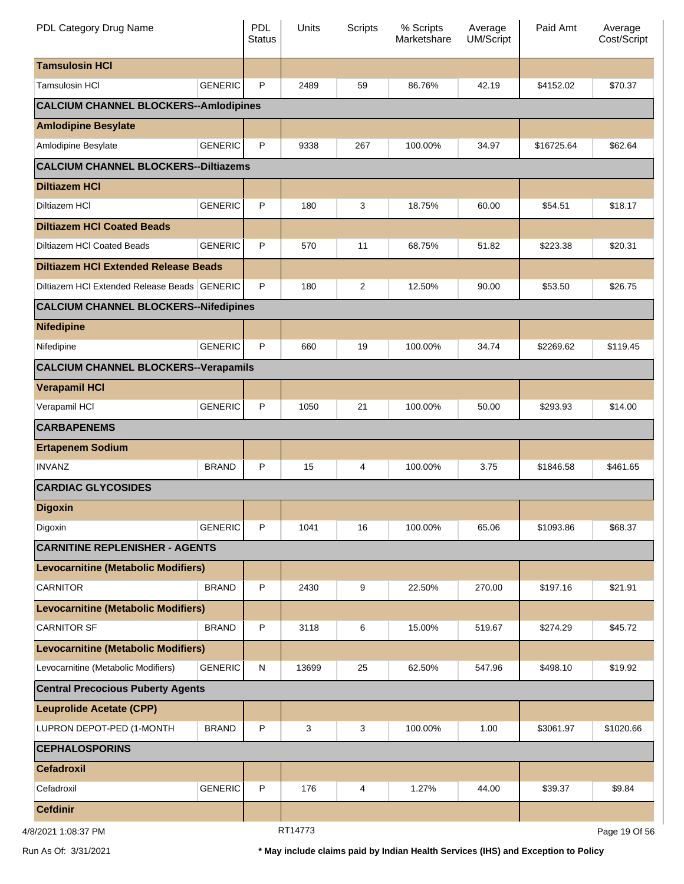| PDL Category Drug Name                       |                | <b>PDL</b><br><b>Status</b> | Units   | Scripts | % Scripts<br>Marketshare | Average<br><b>UM/Script</b> | Paid Amt   | Average<br>Cost/Script |
|----------------------------------------------|----------------|-----------------------------|---------|---------|--------------------------|-----------------------------|------------|------------------------|
| <b>Tamsulosin HCI</b>                        |                |                             |         |         |                          |                             |            |                        |
| <b>Tamsulosin HCI</b>                        | <b>GENERIC</b> | P                           | 2489    | 59      | 86.76%                   | 42.19                       | \$4152.02  | \$70.37                |
| <b>CALCIUM CHANNEL BLOCKERS--Amlodipines</b> |                |                             |         |         |                          |                             |            |                        |
| <b>Amlodipine Besylate</b>                   |                |                             |         |         |                          |                             |            |                        |
| Amlodipine Besylate                          | <b>GENERIC</b> | P                           | 9338    | 267     | 100.00%                  | 34.97                       | \$16725.64 | \$62.64                |
| <b>CALCIUM CHANNEL BLOCKERS--Diltiazems</b>  |                |                             |         |         |                          |                             |            |                        |
| <b>Diltiazem HCI</b>                         |                |                             |         |         |                          |                             |            |                        |
| Diltiazem HCI                                | <b>GENERIC</b> | P                           | 180     | 3       | 18.75%                   | 60.00                       | \$54.51    | \$18.17                |
| <b>Diltiazem HCI Coated Beads</b>            |                |                             |         |         |                          |                             |            |                        |
| Diltiazem HCI Coated Beads                   | <b>GENERIC</b> | P                           | 570     | 11      | 68.75%                   | 51.82                       | \$223.38   | \$20.31                |
| <b>Diltiazem HCI Extended Release Beads</b>  |                |                             |         |         |                          |                             |            |                        |
| Diltiazem HCI Extended Release Beads GENERIC |                | P                           | 180     | 2       | 12.50%                   | 90.00                       | \$53.50    | \$26.75                |
| <b>CALCIUM CHANNEL BLOCKERS--Nifedipines</b> |                |                             |         |         |                          |                             |            |                        |
| <b>Nifedipine</b>                            |                |                             |         |         |                          |                             |            |                        |
| Nifedipine                                   | <b>GENERIC</b> | P                           | 660     | 19      | 100.00%                  | 34.74                       | \$2269.62  | \$119.45               |
| <b>CALCIUM CHANNEL BLOCKERS--Verapamils</b>  |                |                             |         |         |                          |                             |            |                        |
| <b>Verapamil HCI</b>                         |                |                             |         |         |                          |                             |            |                        |
| Verapamil HCI                                | <b>GENERIC</b> | P                           | 1050    | 21      | 100.00%                  | 50.00                       | \$293.93   | \$14.00                |
| <b>CARBAPENEMS</b>                           |                |                             |         |         |                          |                             |            |                        |
| <b>Ertapenem Sodium</b>                      |                |                             |         |         |                          |                             |            |                        |
| <b>INVANZ</b>                                | <b>BRAND</b>   | P                           | 15      | 4       | 100.00%                  | 3.75                        | \$1846.58  | \$461.65               |
| <b>CARDIAC GLYCOSIDES</b>                    |                |                             |         |         |                          |                             |            |                        |
| <b>Digoxin</b>                               |                |                             |         |         |                          |                             |            |                        |
| Digoxin                                      | <b>GENERIC</b> | P                           | 1041    | 16      | 100.00%                  | 65.06                       | \$1093.86  | \$68.37                |
| <b>CARNITINE REPLENISHER - AGENTS</b>        |                |                             |         |         |                          |                             |            |                        |
| <b>Levocarnitine (Metabolic Modifiers)</b>   |                |                             |         |         |                          |                             |            |                        |
| <b>CARNITOR</b>                              | <b>BRAND</b>   | P                           | 2430    | 9       | 22.50%                   | 270.00                      | \$197.16   | \$21.91                |
| <b>Levocarnitine (Metabolic Modifiers)</b>   |                |                             |         |         |                          |                             |            |                        |
| <b>CARNITOR SF</b>                           | <b>BRAND</b>   | P                           | 3118    | 6       | 15.00%                   | 519.67                      | \$274.29   | \$45.72                |
| <b>Levocarnitine (Metabolic Modifiers)</b>   |                |                             |         |         |                          |                             |            |                        |
| Levocarnitine (Metabolic Modifiers)          | <b>GENERIC</b> | N                           | 13699   | 25      | 62.50%                   | 547.96                      | \$498.10   | \$19.92                |
| <b>Central Precocious Puberty Agents</b>     |                |                             |         |         |                          |                             |            |                        |
| <b>Leuprolide Acetate (CPP)</b>              |                |                             |         |         |                          |                             |            |                        |
| LUPRON DEPOT-PED (1-MONTH                    | <b>BRAND</b>   | P                           | 3       | 3       | 100.00%                  | 1.00                        | \$3061.97  | \$1020.66              |
| <b>CEPHALOSPORINS</b>                        |                |                             |         |         |                          |                             |            |                        |
| <b>Cefadroxil</b>                            |                |                             |         |         |                          |                             |            |                        |
| Cefadroxil                                   | <b>GENERIC</b> | P                           | 176     | 4       | 1.27%                    | 44.00                       | \$39.37    | \$9.84                 |
| <b>Cefdinir</b>                              |                |                             |         |         |                          |                             |            |                        |
| <b>NO 72-90-27 DNA</b>                       |                |                             | RT14773 |         |                          |                             |            | $Dao 10$ Of $56$       |

4/8/2021 1:08:37 PM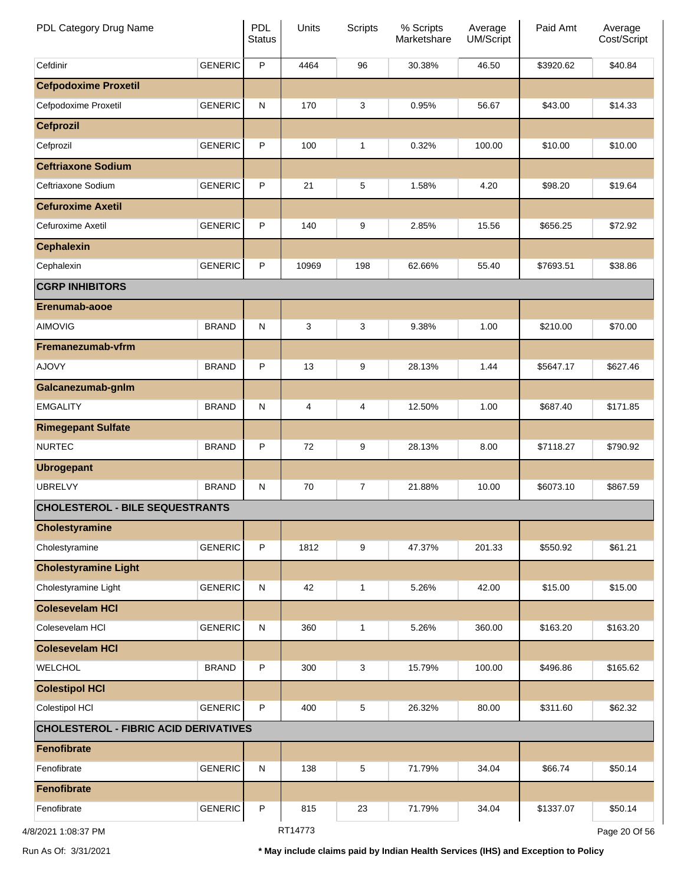| PDL Category Drug Name                       |                | PDL<br><b>Status</b> | Units   | <b>Scripts</b> | % Scripts<br>Marketshare | Average<br>UM/Script | Paid Amt  | Average<br>Cost/Script |
|----------------------------------------------|----------------|----------------------|---------|----------------|--------------------------|----------------------|-----------|------------------------|
| Cefdinir                                     | <b>GENERIC</b> | $\mathsf P$          | 4464    | 96             | 30.38%                   | 46.50                | \$3920.62 | \$40.84                |
| <b>Cefpodoxime Proxetil</b>                  |                |                      |         |                |                          |                      |           |                        |
| Cefpodoxime Proxetil                         | <b>GENERIC</b> | $\mathsf{N}$         | 170     | 3              | 0.95%                    | 56.67                | \$43.00   | \$14.33                |
| <b>Cefprozil</b>                             |                |                      |         |                |                          |                      |           |                        |
| Cefprozil                                    | <b>GENERIC</b> | $\mathsf{P}$         | 100     | $\mathbf{1}$   | 0.32%                    | 100.00               | \$10.00   | \$10.00                |
| <b>Ceftriaxone Sodium</b>                    |                |                      |         |                |                          |                      |           |                        |
| Ceftriaxone Sodium                           | <b>GENERIC</b> | $\mathsf{P}$         | 21      | 5              | 1.58%                    | 4.20                 | \$98.20   | \$19.64                |
| <b>Cefuroxime Axetil</b>                     |                |                      |         |                |                          |                      |           |                        |
| Cefuroxime Axetil                            | <b>GENERIC</b> | $\mathsf{P}$         | 140     | 9              | 2.85%                    | 15.56                | \$656.25  | \$72.92                |
| <b>Cephalexin</b>                            |                |                      |         |                |                          |                      |           |                        |
| Cephalexin                                   | <b>GENERIC</b> | $\mathsf{P}$         | 10969   | 198            | 62.66%                   | 55.40                | \$7693.51 | \$38.86                |
| <b>CGRP INHIBITORS</b>                       |                |                      |         |                |                          |                      |           |                        |
| Erenumab-aooe                                |                |                      |         |                |                          |                      |           |                        |
| <b>AIMOVIG</b>                               | <b>BRAND</b>   | N                    | 3       | 3              | 9.38%                    | 1.00                 | \$210.00  | \$70.00                |
| Fremanezumab-vfrm                            |                |                      |         |                |                          |                      |           |                        |
| <b>AJOVY</b>                                 | <b>BRAND</b>   | P                    | 13      | 9              | 28.13%                   | 1.44                 | \$5647.17 | \$627.46               |
| Galcanezumab-gnlm                            |                |                      |         |                |                          |                      |           |                        |
| <b>EMGALITY</b>                              | <b>BRAND</b>   | N                    | 4       | 4              | 12.50%                   | 1.00                 | \$687.40  | \$171.85               |
| <b>Rimegepant Sulfate</b>                    |                |                      |         |                |                          |                      |           |                        |
| <b>NURTEC</b>                                | <b>BRAND</b>   | P                    | 72      | 9              | 28.13%                   | 8.00                 | \$7118.27 | \$790.92               |
| <b>Ubrogepant</b>                            |                |                      |         |                |                          |                      |           |                        |
| <b>UBRELVY</b>                               | <b>BRAND</b>   | N                    | 70      | 7              | 21.88%                   | 10.00                | \$6073.10 | \$867.59               |
| <b>CHOLESTEROL - BILE SEQUESTRANTS</b>       |                |                      |         |                |                          |                      |           |                        |
| <b>Cholestyramine</b>                        |                |                      |         |                |                          |                      |           |                        |
| Cholestyramine                               | <b>GENERIC</b> | $\mathsf{P}$         | 1812    | 9              | 47.37%                   | 201.33               | \$550.92  | \$61.21                |
| <b>Cholestyramine Light</b>                  |                |                      |         |                |                          |                      |           |                        |
| Cholestyramine Light                         | <b>GENERIC</b> | N                    | 42      | $\mathbf{1}$   | 5.26%                    | 42.00                | \$15.00   | \$15.00                |
| <b>Colesevelam HCI</b>                       |                |                      |         |                |                          |                      |           |                        |
| Colesevelam HCI                              | <b>GENERIC</b> | $\mathsf{N}$         | 360     | $\mathbf{1}$   | 5.26%                    | 360.00               | \$163.20  | \$163.20               |
| <b>Colesevelam HCI</b>                       |                |                      |         |                |                          |                      |           |                        |
| WELCHOL                                      | <b>BRAND</b>   | P                    | 300     | 3              | 15.79%                   | 100.00               | \$496.86  | \$165.62               |
| <b>Colestipol HCI</b>                        |                |                      |         |                |                          |                      |           |                        |
| Colestipol HCI                               | <b>GENERIC</b> | $\mathsf{P}$         | 400     | 5              | 26.32%                   | 80.00                | \$311.60  | \$62.32                |
| <b>CHOLESTEROL - FIBRIC ACID DERIVATIVES</b> |                |                      |         |                |                          |                      |           |                        |
| <b>Fenofibrate</b>                           |                |                      |         |                |                          |                      |           |                        |
| Fenofibrate                                  | <b>GENERIC</b> | ${\sf N}$            | 138     | 5              | 71.79%                   | 34.04                | \$66.74   | \$50.14                |
| <b>Fenofibrate</b>                           |                |                      |         |                |                          |                      |           |                        |
| Fenofibrate                                  | <b>GENERIC</b> | $\mathsf{P}$         | 815     | 23             | 71.79%                   | 34.04                | \$1337.07 | \$50.14                |
| 4/8/2021 1:08:37 PM                          |                |                      | RT14773 |                |                          |                      |           | Page 20 Of 56          |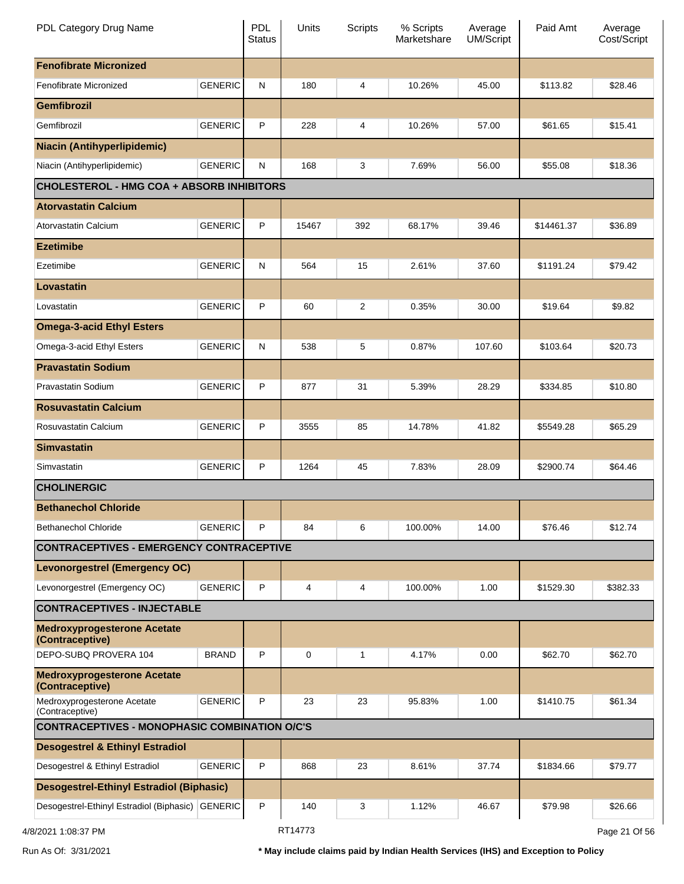| PDL Category Drug Name                                |                | <b>PDL</b><br><b>Status</b> | Units       | <b>Scripts</b> | % Scripts<br>Marketshare | Average<br>UM/Script | Paid Amt   | Average<br>Cost/Script |
|-------------------------------------------------------|----------------|-----------------------------|-------------|----------------|--------------------------|----------------------|------------|------------------------|
| <b>Fenofibrate Micronized</b>                         |                |                             |             |                |                          |                      |            |                        |
| Fenofibrate Micronized                                | <b>GENERIC</b> | ${\sf N}$                   | 180         | 4              | 10.26%                   | 45.00                | \$113.82   | \$28.46                |
| <b>Gemfibrozil</b>                                    |                |                             |             |                |                          |                      |            |                        |
| Gemfibrozil                                           | <b>GENERIC</b> | P                           | 228         | 4              | 10.26%                   | 57.00                | \$61.65    | \$15.41                |
| <b>Niacin (Antihyperlipidemic)</b>                    |                |                             |             |                |                          |                      |            |                        |
| Niacin (Antihyperlipidemic)                           | <b>GENERIC</b> | N                           | 168         | 3              | 7.69%                    | 56.00                | \$55.08    | \$18.36                |
| <b>CHOLESTEROL - HMG COA + ABSORB INHIBITORS</b>      |                |                             |             |                |                          |                      |            |                        |
| <b>Atorvastatin Calcium</b>                           |                |                             |             |                |                          |                      |            |                        |
| Atorvastatin Calcium                                  | <b>GENERIC</b> | P                           | 15467       | 392            | 68.17%                   | 39.46                | \$14461.37 | \$36.89                |
| <b>Ezetimibe</b>                                      |                |                             |             |                |                          |                      |            |                        |
| Ezetimibe                                             | <b>GENERIC</b> | ${\sf N}$                   | 564         | 15             | 2.61%                    | 37.60                | \$1191.24  | \$79.42                |
| <b>Lovastatin</b>                                     |                |                             |             |                |                          |                      |            |                        |
| Lovastatin                                            | <b>GENERIC</b> | P                           | 60          | 2              | 0.35%                    | 30.00                | \$19.64    | \$9.82                 |
| <b>Omega-3-acid Ethyl Esters</b>                      |                |                             |             |                |                          |                      |            |                        |
| Omega-3-acid Ethyl Esters                             | <b>GENERIC</b> | N                           | 538         | 5              | 0.87%                    | 107.60               | \$103.64   | \$20.73                |
| <b>Pravastatin Sodium</b>                             |                |                             |             |                |                          |                      |            |                        |
| Pravastatin Sodium                                    | <b>GENERIC</b> | P                           | 877         | 31             | 5.39%                    | 28.29                | \$334.85   | \$10.80                |
| <b>Rosuvastatin Calcium</b>                           |                |                             |             |                |                          |                      |            |                        |
| Rosuvastatin Calcium                                  | <b>GENERIC</b> | P                           | 3555        | 85             | 14.78%                   | 41.82                | \$5549.28  | \$65.29                |
| <b>Simvastatin</b>                                    |                |                             |             |                |                          |                      |            |                        |
| Simvastatin                                           | <b>GENERIC</b> | P                           | 1264        | 45             | 7.83%                    | 28.09                | \$2900.74  | \$64.46                |
| <b>CHOLINERGIC</b>                                    |                |                             |             |                |                          |                      |            |                        |
| <b>Bethanechol Chloride</b>                           |                |                             |             |                |                          |                      |            |                        |
| <b>Bethanechol Chloride</b>                           | <b>GENERIC</b> | P                           | 84          | 6              | 100.00%                  | 14.00                | \$76.46    | \$12.74                |
| <b>CONTRACEPTIVES - EMERGENCY CONTRACEPTIVE</b>       |                |                             |             |                |                          |                      |            |                        |
| <b>Levonorgestrel (Emergency OC)</b>                  |                |                             |             |                |                          |                      |            |                        |
| Levonorgestrel (Emergency OC)                         | <b>GENERIC</b> | P                           | 4           | 4              | 100.00%                  | 1.00                 | \$1529.30  | \$382.33               |
| <b>CONTRACEPTIVES - INJECTABLE</b>                    |                |                             |             |                |                          |                      |            |                        |
| <b>Medroxyprogesterone Acetate</b><br>(Contraceptive) |                |                             |             |                |                          |                      |            |                        |
| DEPO-SUBQ PROVERA 104                                 | <b>BRAND</b>   | P                           | $\mathbf 0$ | $\mathbf{1}$   | 4.17%                    | 0.00                 | \$62.70    | \$62.70                |
| <b>Medroxyprogesterone Acetate</b><br>(Contraceptive) |                |                             |             |                |                          |                      |            |                        |
| Medroxyprogesterone Acetate<br>(Contraceptive)        | <b>GENERIC</b> | P                           | 23          | 23             | 95.83%                   | 1.00                 | \$1410.75  | \$61.34                |
| <b>CONTRACEPTIVES - MONOPHASIC COMBINATION O/C'S</b>  |                |                             |             |                |                          |                      |            |                        |
| <b>Desogestrel &amp; Ethinyl Estradiol</b>            |                |                             |             |                |                          |                      |            |                        |
| Desogestrel & Ethinyl Estradiol                       | <b>GENERIC</b> | P                           | 868         | 23             | 8.61%                    | 37.74                | \$1834.66  | \$79.77                |
| <b>Desogestrel-Ethinyl Estradiol (Biphasic)</b>       |                |                             |             |                |                          |                      |            |                        |
| Desogestrel-Ethinyl Estradiol (Biphasic) GENERIC      |                | P                           | 140         | 3              | 1.12%                    | 46.67                | \$79.98    | \$26.66                |
| 4/8/2021 1:08:37 PM                                   |                |                             | RT14773     |                |                          |                      |            | Page 21 Of 56          |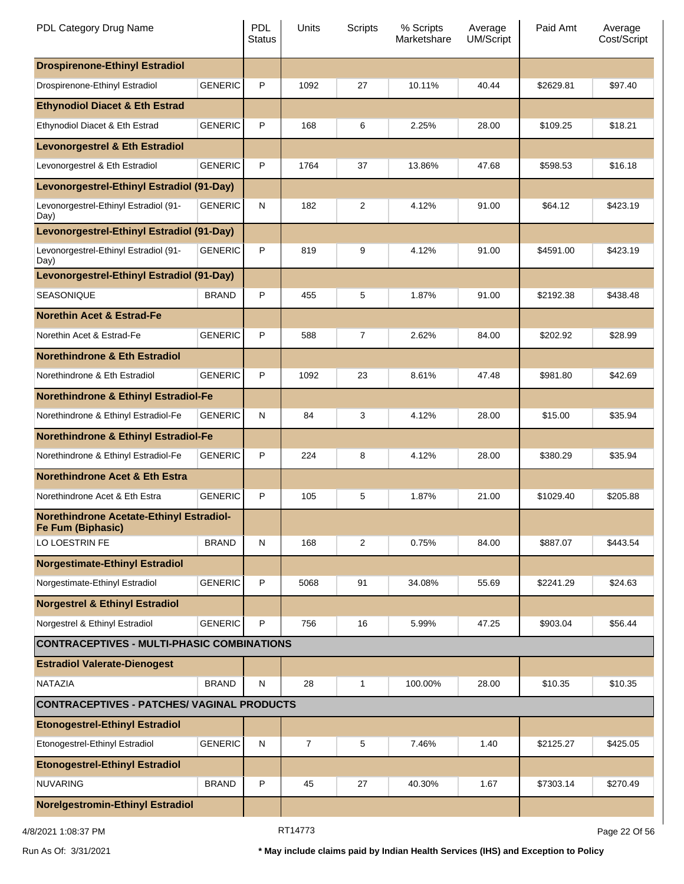| PDL Category Drug Name                                               |                | <b>PDL</b><br><b>Status</b> | Units          | Scripts | % Scripts<br>Marketshare | Average<br><b>UM/Script</b> | Paid Amt  | Average<br>Cost/Script |
|----------------------------------------------------------------------|----------------|-----------------------------|----------------|---------|--------------------------|-----------------------------|-----------|------------------------|
| <b>Drospirenone-Ethinyl Estradiol</b>                                |                |                             |                |         |                          |                             |           |                        |
| Drospirenone-Ethinyl Estradiol                                       | <b>GENERIC</b> | P                           | 1092           | 27      | 10.11%                   | 40.44                       | \$2629.81 | \$97.40                |
| <b>Ethynodiol Diacet &amp; Eth Estrad</b>                            |                |                             |                |         |                          |                             |           |                        |
| Ethynodiol Diacet & Eth Estrad                                       | <b>GENERIC</b> | P                           | 168            | 6       | 2.25%                    | 28.00                       | \$109.25  | \$18.21                |
| <b>Levonorgestrel &amp; Eth Estradiol</b>                            |                |                             |                |         |                          |                             |           |                        |
| Levonorgestrel & Eth Estradiol                                       | <b>GENERIC</b> | P                           | 1764           | 37      | 13.86%                   | 47.68                       | \$598.53  | \$16.18                |
| Levonorgestrel-Ethinyl Estradiol (91-Day)                            |                |                             |                |         |                          |                             |           |                        |
| Levonorgestrel-Ethinyl Estradiol (91-<br>Day)                        | <b>GENERIC</b> | $\mathsf{N}$                | 182            | 2       | 4.12%                    | 91.00                       | \$64.12   | \$423.19               |
| Levonorgestrel-Ethinyl Estradiol (91-Day)                            |                |                             |                |         |                          |                             |           |                        |
| Levonorgestrel-Ethinyl Estradiol (91-<br>Day)                        | <b>GENERIC</b> | P                           | 819            | 9       | 4.12%                    | 91.00                       | \$4591.00 | \$423.19               |
| Levonorgestrel-Ethinyl Estradiol (91-Day)                            |                |                             |                |         |                          |                             |           |                        |
| <b>SEASONIQUE</b>                                                    | <b>BRAND</b>   | P                           | 455            | 5       | 1.87%                    | 91.00                       | \$2192.38 | \$438.48               |
| <b>Norethin Acet &amp; Estrad-Fe</b>                                 |                |                             |                |         |                          |                             |           |                        |
| Norethin Acet & Estrad-Fe                                            | <b>GENERIC</b> | P                           | 588            | 7       | 2.62%                    | 84.00                       | \$202.92  | \$28.99                |
| <b>Norethindrone &amp; Eth Estradiol</b>                             |                |                             |                |         |                          |                             |           |                        |
| Norethindrone & Eth Estradiol                                        | <b>GENERIC</b> | P                           | 1092           | 23      | 8.61%                    | 47.48                       | \$981.80  | \$42.69                |
| <b>Norethindrone &amp; Ethinyl Estradiol-Fe</b>                      |                |                             |                |         |                          |                             |           |                        |
| Norethindrone & Ethinyl Estradiol-Fe                                 | <b>GENERIC</b> | $\mathsf{N}$                | 84             | 3       | 4.12%                    | 28.00                       | \$15.00   | \$35.94                |
| <b>Norethindrone &amp; Ethinyl Estradiol-Fe</b>                      |                |                             |                |         |                          |                             |           |                        |
| Norethindrone & Ethinyl Estradiol-Fe                                 | <b>GENERIC</b> | P                           | 224            | 8       | 4.12%                    | 28.00                       | \$380.29  | \$35.94                |
| <b>Norethindrone Acet &amp; Eth Estra</b>                            |                |                             |                |         |                          |                             |           |                        |
| Norethindrone Acet & Eth Estra                                       | <b>GENERIC</b> | P                           | 105            | 5       | 1.87%                    | 21.00                       | \$1029.40 | \$205.88               |
| <b>Norethindrone Acetate-Ethinyl Estradiol-</b><br>Fe Fum (Biphasic) |                |                             |                |         |                          |                             |           |                        |
| LO LOESTRIN FE                                                       | <b>BRAND</b>   | $\mathsf{N}$                | 168            | 2       | 0.75%                    | 84.00                       | \$887.07  | \$443.54               |
| <b>Norgestimate-Ethinyl Estradiol</b>                                |                |                             |                |         |                          |                             |           |                        |
| Norgestimate-Ethinyl Estradiol                                       | <b>GENERIC</b> | P                           | 5068           | 91      | 34.08%                   | 55.69                       | \$2241.29 | \$24.63                |
| <b>Norgestrel &amp; Ethinyl Estradiol</b>                            |                |                             |                |         |                          |                             |           |                        |
| Norgestrel & Ethinyl Estradiol                                       | <b>GENERIC</b> | P                           | 756            | 16      | 5.99%                    | 47.25                       | \$903.04  | \$56.44                |
| <b>CONTRACEPTIVES - MULTI-PHASIC COMBINATIONS</b>                    |                |                             |                |         |                          |                             |           |                        |
| <b>Estradiol Valerate-Dienogest</b>                                  |                |                             |                |         |                          |                             |           |                        |
| <b>NATAZIA</b>                                                       | <b>BRAND</b>   | N                           | 28             | 1       | 100.00%                  | 28.00                       | \$10.35   | \$10.35                |
| <b>CONTRACEPTIVES - PATCHES/ VAGINAL PRODUCTS</b>                    |                |                             |                |         |                          |                             |           |                        |
| <b>Etonogestrel-Ethinyl Estradiol</b>                                |                |                             |                |         |                          |                             |           |                        |
| Etonogestrel-Ethinyl Estradiol                                       | <b>GENERIC</b> | $\mathsf{N}$                | $\overline{7}$ | 5       | 7.46%                    | 1.40                        | \$2125.27 | \$425.05               |
| <b>Etonogestrel-Ethinyl Estradiol</b>                                |                |                             |                |         |                          |                             |           |                        |
| <b>NUVARING</b>                                                      | <b>BRAND</b>   | P                           | 45             | 27      | 40.30%                   | 1.67                        | \$7303.14 | \$270.49               |
| <b>Norelgestromin-Ethinyl Estradiol</b>                              |                |                             |                |         |                          |                             |           |                        |
| 4/8/2021 1:08:37 PM                                                  |                |                             | RT14773        |         |                          |                             |           | Page 22 Of 56          |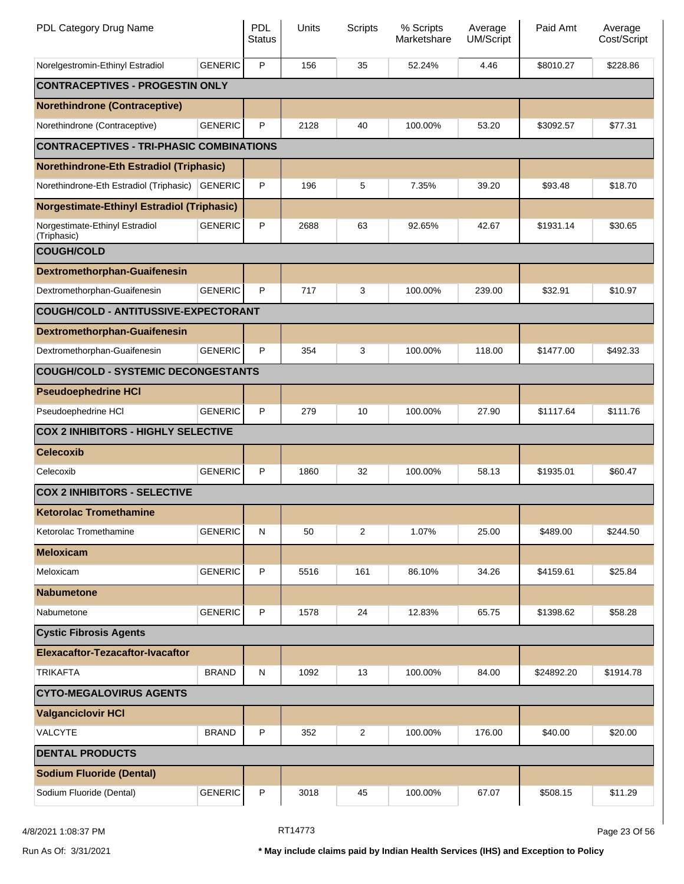| PDL Category Drug Name                            |                | <b>PDL</b><br><b>Status</b> | Units | Scripts        | % Scripts<br>Marketshare | Average<br><b>UM/Script</b> | Paid Amt   | Average<br>Cost/Script |
|---------------------------------------------------|----------------|-----------------------------|-------|----------------|--------------------------|-----------------------------|------------|------------------------|
| Norelgestromin-Ethinyl Estradiol                  | <b>GENERIC</b> | P                           | 156   | 35             | 52.24%                   | 4.46                        | \$8010.27  | \$228.86               |
| <b>CONTRACEPTIVES - PROGESTIN ONLY</b>            |                |                             |       |                |                          |                             |            |                        |
| <b>Norethindrone (Contraceptive)</b>              |                |                             |       |                |                          |                             |            |                        |
| Norethindrone (Contraceptive)                     | <b>GENERIC</b> | P                           | 2128  | 40             | 100.00%                  | 53.20                       | \$3092.57  | \$77.31                |
| <b>CONTRACEPTIVES - TRI-PHASIC COMBINATIONS</b>   |                |                             |       |                |                          |                             |            |                        |
| <b>Norethindrone-Eth Estradiol (Triphasic)</b>    |                |                             |       |                |                          |                             |            |                        |
| Norethindrone-Eth Estradiol (Triphasic) GENERIC   |                | P                           | 196   | 5              | 7.35%                    | 39.20                       | \$93.48    | \$18.70                |
| <b>Norgestimate-Ethinyl Estradiol (Triphasic)</b> |                |                             |       |                |                          |                             |            |                        |
| Norgestimate-Ethinyl Estradiol<br>(Triphasic)     | <b>GENERIC</b> | P                           | 2688  | 63             | 92.65%                   | 42.67                       | \$1931.14  | \$30.65                |
| <b>COUGH/COLD</b>                                 |                |                             |       |                |                          |                             |            |                        |
| <b>Dextromethorphan-Guaifenesin</b>               |                |                             |       |                |                          |                             |            |                        |
| Dextromethorphan-Guaifenesin                      | <b>GENERIC</b> | P                           | 717   | 3              | 100.00%                  | 239.00                      | \$32.91    | \$10.97                |
| COUGH/COLD - ANTITUSSIVE-EXPECTORANT              |                |                             |       |                |                          |                             |            |                        |
| <b>Dextromethorphan-Guaifenesin</b>               |                |                             |       |                |                          |                             |            |                        |
| Dextromethorphan-Guaifenesin                      | <b>GENERIC</b> | P                           | 354   | 3              | 100.00%                  | 118.00                      | \$1477.00  | \$492.33               |
| <b>COUGH/COLD - SYSTEMIC DECONGESTANTS</b>        |                |                             |       |                |                          |                             |            |                        |
| <b>Pseudoephedrine HCI</b>                        |                |                             |       |                |                          |                             |            |                        |
| Pseudoephedrine HCI                               | <b>GENERIC</b> | P                           | 279   | 10             | 100.00%                  | 27.90                       | \$1117.64  | \$111.76               |
| <b>COX 2 INHIBITORS - HIGHLY SELECTIVE</b>        |                |                             |       |                |                          |                             |            |                        |
| <b>Celecoxib</b>                                  |                |                             |       |                |                          |                             |            |                        |
| Celecoxib                                         | <b>GENERIC</b> | P                           | 1860  | 32             | 100.00%                  | 58.13                       | \$1935.01  | \$60.47                |
| <b>COX 2 INHIBITORS - SELECTIVE</b>               |                |                             |       |                |                          |                             |            |                        |
| <b>Ketorolac Tromethamine</b>                     |                |                             |       |                |                          |                             |            |                        |
| Ketorolac Tromethamine                            | <b>GENERIC</b> | N                           | 50    | 2              | 1.07%                    | 25.00                       | \$489.00   | \$244.50               |
| <b>Meloxicam</b>                                  |                |                             |       |                |                          |                             |            |                        |
| Meloxicam                                         | <b>GENERIC</b> | P                           | 5516  | 161            | 86.10%                   | 34.26                       | \$4159.61  | \$25.84                |
| <b>Nabumetone</b>                                 |                |                             |       |                |                          |                             |            |                        |
| Nabumetone                                        | <b>GENERIC</b> | P                           | 1578  | 24             | 12.83%                   | 65.75                       | \$1398.62  | \$58.28                |
| <b>Cystic Fibrosis Agents</b>                     |                |                             |       |                |                          |                             |            |                        |
| Elexacaftor-Tezacaftor-Ivacaftor                  |                |                             |       |                |                          |                             |            |                        |
| <b>TRIKAFTA</b>                                   | <b>BRAND</b>   | ${\sf N}$                   | 1092  | 13             | 100.00%                  | 84.00                       | \$24892.20 | \$1914.78              |
| <b>CYTO-MEGALOVIRUS AGENTS</b>                    |                |                             |       |                |                          |                             |            |                        |
| <b>Valganciclovir HCI</b>                         |                |                             |       |                |                          |                             |            |                        |
| VALCYTE                                           | <b>BRAND</b>   | P                           | 352   | $\overline{c}$ | 100.00%                  | 176.00                      | \$40.00    | \$20.00                |
| <b>DENTAL PRODUCTS</b>                            |                |                             |       |                |                          |                             |            |                        |
| <b>Sodium Fluoride (Dental)</b>                   |                |                             |       |                |                          |                             |            |                        |
| Sodium Fluoride (Dental)                          | <b>GENERIC</b> | P                           | 3018  | 45             | 100.00%                  | 67.07                       | \$508.15   | \$11.29                |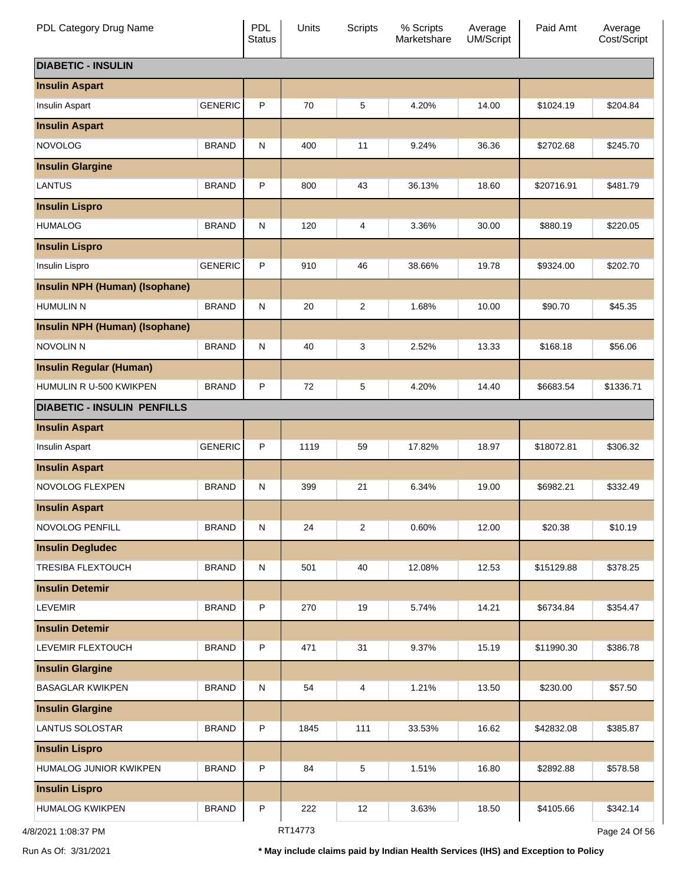| PDL Category Drug Name             |                | <b>PDL</b><br><b>Status</b> | Units   | <b>Scripts</b> | % Scripts<br>Marketshare | Average<br>UM/Script | Paid Amt   | Average<br>Cost/Script |
|------------------------------------|----------------|-----------------------------|---------|----------------|--------------------------|----------------------|------------|------------------------|
| <b>DIABETIC - INSULIN</b>          |                |                             |         |                |                          |                      |            |                        |
| <b>Insulin Aspart</b>              |                |                             |         |                |                          |                      |            |                        |
| Insulin Aspart                     | <b>GENERIC</b> | P                           | 70      | 5              | 4.20%                    | 14.00                | \$1024.19  | \$204.84               |
| <b>Insulin Aspart</b>              |                |                             |         |                |                          |                      |            |                        |
| <b>NOVOLOG</b>                     | <b>BRAND</b>   | $\mathsf{N}$                | 400     | 11             | 9.24%                    | 36.36                | \$2702.68  | \$245.70               |
| <b>Insulin Glargine</b>            |                |                             |         |                |                          |                      |            |                        |
| <b>LANTUS</b>                      | <b>BRAND</b>   | P                           | 800     | 43             | 36.13%                   | 18.60                | \$20716.91 | \$481.79               |
| <b>Insulin Lispro</b>              |                |                             |         |                |                          |                      |            |                        |
| <b>HUMALOG</b>                     | <b>BRAND</b>   | $\mathsf{N}$                | 120     | 4              | 3.36%                    | 30.00                | \$880.19   | \$220.05               |
| <b>Insulin Lispro</b>              |                |                             |         |                |                          |                      |            |                        |
| Insulin Lispro                     | <b>GENERIC</b> | P                           | 910     | 46             | 38.66%                   | 19.78                | \$9324.00  | \$202.70               |
| Insulin NPH (Human) (Isophane)     |                |                             |         |                |                          |                      |            |                        |
| <b>HUMULIN N</b>                   | <b>BRAND</b>   | $\mathsf{N}$                | 20      | $\overline{2}$ | 1.68%                    | 10.00                | \$90.70    | \$45.35                |
| Insulin NPH (Human) (Isophane)     |                |                             |         |                |                          |                      |            |                        |
| NOVOLIN N                          | <b>BRAND</b>   | $\mathsf{N}$                | 40      | 3              | 2.52%                    | 13.33                | \$168.18   | \$56.06                |
| <b>Insulin Regular (Human)</b>     |                |                             |         |                |                          |                      |            |                        |
| HUMULIN R U-500 KWIKPEN            | <b>BRAND</b>   | P                           | 72      | 5              | 4.20%                    | 14.40                | \$6683.54  | \$1336.71              |
| <b>DIABETIC - INSULIN PENFILLS</b> |                |                             |         |                |                          |                      |            |                        |
| <b>Insulin Aspart</b>              |                |                             |         |                |                          |                      |            |                        |
| Insulin Aspart                     | <b>GENERIC</b> | P                           | 1119    | 59             | 17.82%                   | 18.97                | \$18072.81 | \$306.32               |
| <b>Insulin Aspart</b>              |                |                             |         |                |                          |                      |            |                        |
| NOVOLOG FLEXPEN                    | <b>BRAND</b>   | $\mathsf{N}$                | 399     | 21             | 6.34%                    | 19.00                | \$6982.21  | \$332.49               |
| <b>Insulin Aspart</b>              |                |                             |         |                |                          |                      |            |                        |
| NOVOLOG PENFILL                    | <b>BRAND</b>   | ${\sf N}$                   | 24      | $\overline{2}$ | 0.60%                    | 12.00                | \$20.38    | \$10.19                |
| <b>Insulin Degludec</b>            |                |                             |         |                |                          |                      |            |                        |
| <b>TRESIBA FLEXTOUCH</b>           | <b>BRAND</b>   | N                           | 501     | 40             | 12.08%                   | 12.53                | \$15129.88 | \$378.25               |
| <b>Insulin Detemir</b>             |                |                             |         |                |                          |                      |            |                        |
| <b>LEVEMIR</b>                     | <b>BRAND</b>   | $\mathsf{P}$                | 270     | 19             | 5.74%                    | 14.21                | \$6734.84  | \$354.47               |
| <b>Insulin Detemir</b>             |                |                             |         |                |                          |                      |            |                        |
| LEVEMIR FLEXTOUCH                  | <b>BRAND</b>   | $\mathsf{P}$                | 471     | 31             | 9.37%                    | 15.19                | \$11990.30 | \$386.78               |
| <b>Insulin Glargine</b>            |                |                             |         |                |                          |                      |            |                        |
| <b>BASAGLAR KWIKPEN</b>            | <b>BRAND</b>   | $\mathsf{N}$                | 54      | 4              | 1.21%                    | 13.50                | \$230.00   | \$57.50                |
| <b>Insulin Glargine</b>            |                |                             |         |                |                          |                      |            |                        |
| LANTUS SOLOSTAR                    | <b>BRAND</b>   | $\mathsf{P}$                | 1845    | 111            | 33.53%                   | 16.62                | \$42832.08 | \$385.87               |
| <b>Insulin Lispro</b>              |                |                             |         |                |                          |                      |            |                        |
| HUMALOG JUNIOR KWIKPEN             | <b>BRAND</b>   | $\mathsf{P}$                | 84      | 5              | 1.51%                    | 16.80                | \$2892.88  | \$578.58               |
| <b>Insulin Lispro</b>              |                |                             |         |                |                          |                      |            |                        |
| <b>HUMALOG KWIKPEN</b>             | <b>BRAND</b>   | $\mathsf{P}$                | 222     | 12             | 3.63%                    | 18.50                | \$4105.66  | \$342.14               |
| 4/8/2021 1:08:37 PM                |                |                             | RT14773 |                |                          |                      |            | Page 24 Of 56          |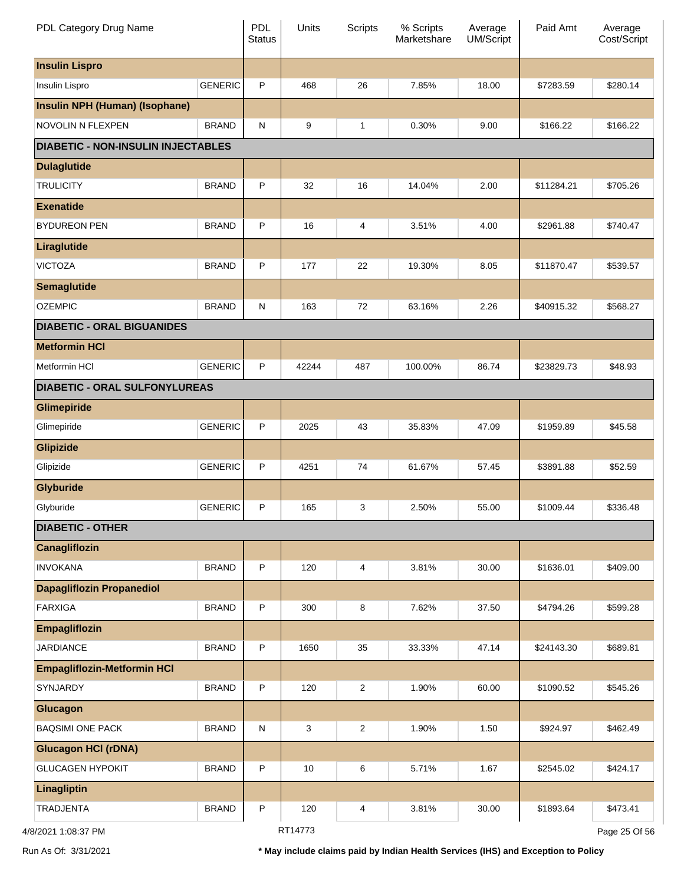| PDL Category Drug Name                    |                | <b>PDL</b><br><b>Status</b> | Units   | <b>Scripts</b> | % Scripts<br>Marketshare | Average<br>UM/Script | Paid Amt   | Average<br>Cost/Script |
|-------------------------------------------|----------------|-----------------------------|---------|----------------|--------------------------|----------------------|------------|------------------------|
| <b>Insulin Lispro</b>                     |                |                             |         |                |                          |                      |            |                        |
| Insulin Lispro                            | <b>GENERIC</b> | P                           | 468     | 26             | 7.85%                    | 18.00                | \$7283.59  | \$280.14               |
| <b>Insulin NPH (Human) (Isophane)</b>     |                |                             |         |                |                          |                      |            |                        |
| NOVOLIN N FLEXPEN                         | <b>BRAND</b>   | N                           | 9       | 1              | 0.30%                    | 9.00                 | \$166.22   | \$166.22               |
| <b>DIABETIC - NON-INSULIN INJECTABLES</b> |                |                             |         |                |                          |                      |            |                        |
| <b>Dulaglutide</b>                        |                |                             |         |                |                          |                      |            |                        |
| <b>TRULICITY</b>                          | <b>BRAND</b>   | P                           | 32      | 16             | 14.04%                   | 2.00                 | \$11284.21 | \$705.26               |
| <b>Exenatide</b>                          |                |                             |         |                |                          |                      |            |                        |
| <b>BYDUREON PEN</b>                       | <b>BRAND</b>   | P                           | 16      | 4              | 3.51%                    | 4.00                 | \$2961.88  | \$740.47               |
| Liraglutide                               |                |                             |         |                |                          |                      |            |                        |
| <b>VICTOZA</b>                            | <b>BRAND</b>   | P                           | 177     | 22             | 19.30%                   | 8.05                 | \$11870.47 | \$539.57               |
| <b>Semaglutide</b>                        |                |                             |         |                |                          |                      |            |                        |
| <b>OZEMPIC</b>                            | <b>BRAND</b>   | N                           | 163     | 72             | 63.16%                   | 2.26                 | \$40915.32 | \$568.27               |
| <b>DIABETIC - ORAL BIGUANIDES</b>         |                |                             |         |                |                          |                      |            |                        |
| <b>Metformin HCI</b>                      |                |                             |         |                |                          |                      |            |                        |
| Metformin HCI                             | <b>GENERIC</b> | P                           | 42244   | 487            | 100.00%                  | 86.74                | \$23829.73 | \$48.93                |
| <b>DIABETIC - ORAL SULFONYLUREAS</b>      |                |                             |         |                |                          |                      |            |                        |
| Glimepiride                               |                |                             |         |                |                          |                      |            |                        |
| Glimepiride                               | <b>GENERIC</b> | P                           | 2025    | 43             | 35.83%                   | 47.09                | \$1959.89  | \$45.58                |
| <b>Glipizide</b>                          |                |                             |         |                |                          |                      |            |                        |
| Glipizide                                 | <b>GENERIC</b> | P                           | 4251    | 74             | 61.67%                   | 57.45                | \$3891.88  | \$52.59                |
| <b>Glyburide</b>                          |                |                             |         |                |                          |                      |            |                        |
| Glyburide                                 | <b>GENERIC</b> | P                           | 165     | 3              | 2.50%                    | 55.00                | \$1009.44  | \$336.48               |
| <b>DIABETIC - OTHER</b>                   |                |                             |         |                |                          |                      |            |                        |
| Canagliflozin                             |                |                             |         |                |                          |                      |            |                        |
| <b>INVOKANA</b>                           | <b>BRAND</b>   | P                           | 120     | 4              | 3.81%                    | 30.00                | \$1636.01  | \$409.00               |
| <b>Dapagliflozin Propanediol</b>          |                |                             |         |                |                          |                      |            |                        |
| <b>FARXIGA</b>                            | <b>BRAND</b>   | P                           | 300     | 8              | 7.62%                    | 37.50                | \$4794.26  | \$599.28               |
| <b>Empagliflozin</b>                      |                |                             |         |                |                          |                      |            |                        |
| <b>JARDIANCE</b>                          | <b>BRAND</b>   | P                           | 1650    | 35             | 33.33%                   | 47.14                | \$24143.30 | \$689.81               |
| <b>Empagliflozin-Metformin HCI</b>        |                |                             |         |                |                          |                      |            |                        |
| SYNJARDY                                  | <b>BRAND</b>   | P                           | 120     | $\sqrt{2}$     | 1.90%                    | 60.00                | \$1090.52  | \$545.26               |
| Glucagon                                  |                |                             |         |                |                          |                      |            |                        |
| <b>BAQSIMI ONE PACK</b>                   | <b>BRAND</b>   | ${\sf N}$                   | 3       | $\sqrt{2}$     | 1.90%                    | 1.50                 | \$924.97   | \$462.49               |
| <b>Glucagon HCI (rDNA)</b>                |                |                             |         |                |                          |                      |            |                        |
| <b>GLUCAGEN HYPOKIT</b>                   | <b>BRAND</b>   | P                           | $10$    | 6              | 5.71%                    | 1.67                 | \$2545.02  | \$424.17               |
| Linagliptin                               |                |                             |         |                |                          |                      |            |                        |
| TRADJENTA                                 | <b>BRAND</b>   | P                           | 120     | 4              | 3.81%                    | 30.00                | \$1893.64  | \$473.41               |
| 3/2021 1:08:37 PM                         |                |                             | RT14773 |                |                          |                      |            | Page 25 Of 56          |

4/8/2021 1:08:37 PM

Page 25 Of 56

Run As Of: 3/31/2021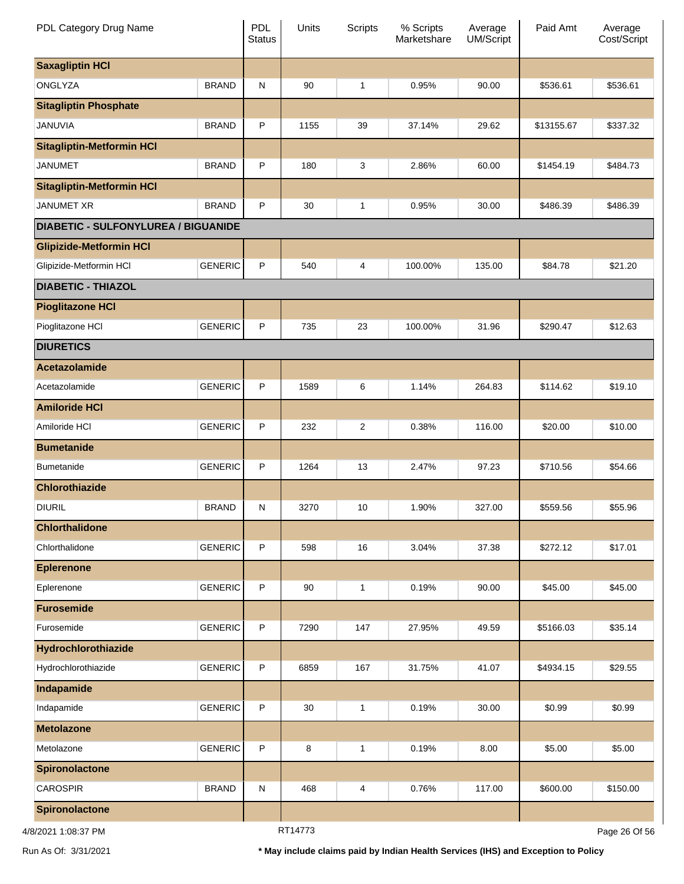| PDL Category Drug Name                     |                | <b>PDL</b><br><b>Status</b> | Units    | <b>Scripts</b> | % Scripts<br>Marketshare | Average<br><b>UM/Script</b> | Paid Amt   | Average<br>Cost/Script |
|--------------------------------------------|----------------|-----------------------------|----------|----------------|--------------------------|-----------------------------|------------|------------------------|
| <b>Saxagliptin HCI</b>                     |                |                             |          |                |                          |                             |            |                        |
| ONGLYZA                                    | <b>BRAND</b>   | N                           | 90       | $\mathbf{1}$   | 0.95%                    | 90.00                       | \$536.61   | \$536.61               |
| <b>Sitagliptin Phosphate</b>               |                |                             |          |                |                          |                             |            |                        |
| JANUVIA                                    | <b>BRAND</b>   | P                           | 1155     | 39             | 37.14%                   | 29.62                       | \$13155.67 | \$337.32               |
| <b>Sitagliptin-Metformin HCI</b>           |                |                             |          |                |                          |                             |            |                        |
| <b>JANUMET</b>                             | <b>BRAND</b>   | P                           | 180      | 3              | 2.86%                    | 60.00                       | \$1454.19  | \$484.73               |
| <b>Sitagliptin-Metformin HCI</b>           |                |                             |          |                |                          |                             |            |                        |
| <b>JANUMET XR</b>                          | <b>BRAND</b>   | P                           | 30       | $\mathbf{1}$   | 0.95%                    | 30.00                       | \$486.39   | \$486.39               |
| <b>DIABETIC - SULFONYLUREA / BIGUANIDE</b> |                |                             |          |                |                          |                             |            |                        |
| <b>Glipizide-Metformin HCI</b>             |                |                             |          |                |                          |                             |            |                        |
| Glipizide-Metformin HCI                    | <b>GENERIC</b> | P                           | 540      | 4              | 100.00%                  | 135.00                      | \$84.78    | \$21.20                |
| <b>DIABETIC - THIAZOL</b>                  |                |                             |          |                |                          |                             |            |                        |
| <b>Pioglitazone HCI</b>                    |                |                             |          |                |                          |                             |            |                        |
| Pioglitazone HCI                           | <b>GENERIC</b> | P                           | 735      | 23             | 100.00%                  | 31.96                       | \$290.47   | \$12.63                |
| <b>DIURETICS</b>                           |                |                             |          |                |                          |                             |            |                        |
| Acetazolamide                              |                |                             |          |                |                          |                             |            |                        |
| Acetazolamide                              | <b>GENERIC</b> | P                           | 1589     | 6              | 1.14%                    | 264.83                      | \$114.62   | \$19.10                |
| <b>Amiloride HCI</b>                       |                |                             |          |                |                          |                             |            |                        |
| Amiloride HCI                              | <b>GENERIC</b> | P                           | 232      | $\overline{c}$ | 0.38%                    | 116.00                      | \$20.00    | \$10.00                |
| <b>Bumetanide</b>                          |                |                             |          |                |                          |                             |            |                        |
| <b>Bumetanide</b>                          | <b>GENERIC</b> | P                           | 1264     | 13             | 2.47%                    | 97.23                       | \$710.56   | \$54.66                |
| <b>Chlorothiazide</b>                      |                |                             |          |                |                          |                             |            |                        |
| <b>DIURIL</b>                              | <b>BRAND</b>   | N                           | 3270     | 10             | 1.90%                    | 327.00                      | \$559.56   | \$55.96                |
| <b>Chlorthalidone</b>                      |                |                             |          |                |                          |                             |            |                        |
| Chlorthalidone                             | <b>GENERIC</b> | P                           | 598      | $16$           | 3.04%                    | 37.38                       | \$272.12   | \$17.01                |
| <b>Eplerenone</b>                          |                |                             |          |                |                          |                             |            |                        |
| Eplerenone                                 | <b>GENERIC</b> | P                           | $90\,$   | $\mathbf{1}$   | 0.19%                    | 90.00                       | \$45.00    | \$45.00                |
| <b>Furosemide</b>                          |                |                             |          |                |                          |                             |            |                        |
| Furosemide                                 | <b>GENERIC</b> | P                           | 7290     | 147            | 27.95%                   | 49.59                       | \$5166.03  | \$35.14                |
| Hydrochlorothiazide                        |                |                             |          |                |                          |                             |            |                        |
| Hydrochlorothiazide                        | <b>GENERIC</b> | P                           | 6859     | 167            | 31.75%                   | 41.07                       | \$4934.15  | \$29.55                |
| Indapamide                                 |                |                             |          |                |                          |                             |            |                        |
| Indapamide                                 | <b>GENERIC</b> | P                           | $30\,$   | $\mathbf{1}$   | 0.19%                    | 30.00                       | \$0.99     | \$0.99                 |
| <b>Metolazone</b>                          |                |                             |          |                |                          |                             |            |                        |
| Metolazone                                 | <b>GENERIC</b> | P                           | 8        | $\mathbf{1}$   | 0.19%                    | 8.00                        | \$5.00     | \$5.00                 |
| <b>Spironolactone</b>                      |                |                             |          |                |                          |                             |            |                        |
| <b>CAROSPIR</b>                            | <b>BRAND</b>   | ${\sf N}$                   | 468      | 4              | 0.76%                    | 117.00                      | \$600.00   | \$150.00               |
| Spironolactone                             |                |                             |          |                |                          |                             |            |                        |
| 10001<br>$\sim$                            |                |                             | DT4 4772 |                |                          |                             |            | 000000                 |

4/8/2021 1:08:37 PM

RT14773

Page 26 Of 56

Run As Of: 3/31/2021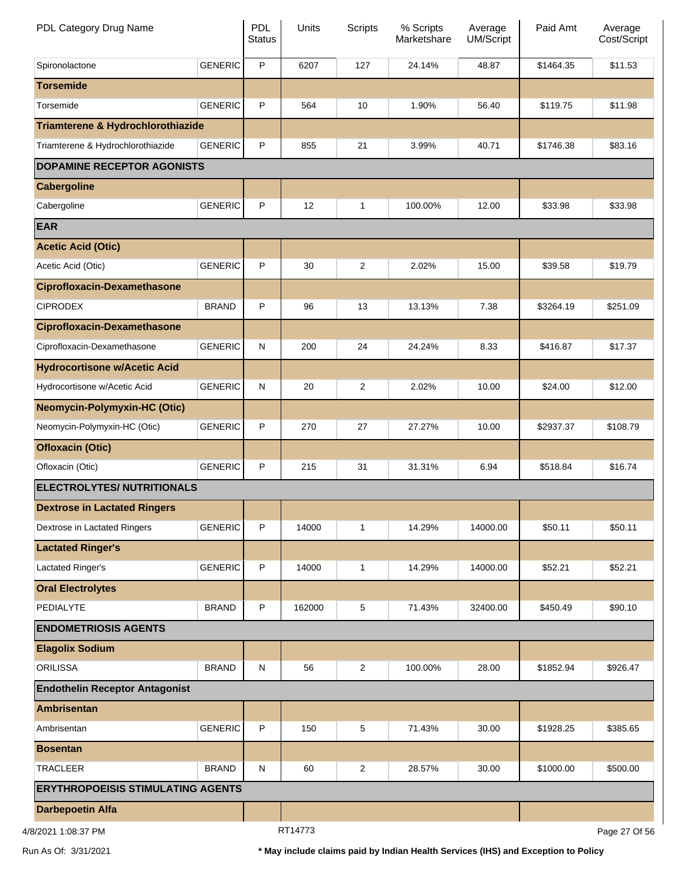| PDL Category Drug Name                   |                | PDL<br><b>Status</b> | Units   | <b>Scripts</b> | % Scripts<br>Marketshare | Average<br>UM/Script | Paid Amt  | Average<br>Cost/Script |
|------------------------------------------|----------------|----------------------|---------|----------------|--------------------------|----------------------|-----------|------------------------|
| Spironolactone                           | <b>GENERIC</b> | P                    | 6207    | 127            | 24.14%                   | 48.87                | \$1464.35 | \$11.53                |
| <b>Torsemide</b>                         |                |                      |         |                |                          |                      |           |                        |
| Torsemide                                | <b>GENERIC</b> | P                    | 564     | 10             | 1.90%                    | 56.40                | \$119.75  | \$11.98                |
| Triamterene & Hydrochlorothiazide        |                |                      |         |                |                          |                      |           |                        |
| Triamterene & Hydrochlorothiazide        | <b>GENERIC</b> | P                    | 855     | 21             | 3.99%                    | 40.71                | \$1746.38 | \$83.16                |
| <b>DOPAMINE RECEPTOR AGONISTS</b>        |                |                      |         |                |                          |                      |           |                        |
| <b>Cabergoline</b>                       |                |                      |         |                |                          |                      |           |                        |
| Cabergoline                              | <b>GENERIC</b> | P                    | 12      | 1              | 100.00%                  | 12.00                | \$33.98   | \$33.98                |
| <b>EAR</b>                               |                |                      |         |                |                          |                      |           |                        |
| <b>Acetic Acid (Otic)</b>                |                |                      |         |                |                          |                      |           |                        |
| Acetic Acid (Otic)                       | <b>GENERIC</b> | P                    | 30      | 2              | 2.02%                    | 15.00                | \$39.58   | \$19.79                |
| <b>Ciprofloxacin-Dexamethasone</b>       |                |                      |         |                |                          |                      |           |                        |
| <b>CIPRODEX</b>                          | <b>BRAND</b>   | P                    | 96      | 13             | 13.13%                   | 7.38                 | \$3264.19 | \$251.09               |
| <b>Ciprofloxacin-Dexamethasone</b>       |                |                      |         |                |                          |                      |           |                        |
| Ciprofloxacin-Dexamethasone              | <b>GENERIC</b> | ${\sf N}$            | 200     | 24             | 24.24%                   | 8.33                 | \$416.87  | \$17.37                |
| <b>Hydrocortisone w/Acetic Acid</b>      |                |                      |         |                |                          |                      |           |                        |
| Hydrocortisone w/Acetic Acid             | <b>GENERIC</b> | ${\sf N}$            | 20      | 2              | 2.02%                    | 10.00                | \$24.00   | \$12.00                |
| <b>Neomycin-Polymyxin-HC (Otic)</b>      |                |                      |         |                |                          |                      |           |                        |
| Neomycin-Polymyxin-HC (Otic)             | <b>GENERIC</b> | P                    | 270     | 27             | 27.27%                   | 10.00                | \$2937.37 | \$108.79               |
| <b>Ofloxacin (Otic)</b>                  |                |                      |         |                |                          |                      |           |                        |
| Ofloxacin (Otic)                         | <b>GENERIC</b> | P                    | 215     | 31             | 31.31%                   | 6.94                 | \$518.84  | \$16.74                |
| <b>ELECTROLYTES/ NUTRITIONALS</b>        |                |                      |         |                |                          |                      |           |                        |
| <b>Dextrose in Lactated Ringers</b>      |                |                      |         |                |                          |                      |           |                        |
| Dextrose in Lactated Ringers             | <b>GENERIC</b> | P                    | 14000   | 1              | 14.29%                   | 14000.00             | \$50.11   | \$50.11                |
| <b>Lactated Ringer's</b>                 |                |                      |         |                |                          |                      |           |                        |
| Lactated Ringer's                        | <b>GENERIC</b> | P                    | 14000   | 1              | 14.29%                   | 14000.00             | \$52.21   | \$52.21                |
| <b>Oral Electrolytes</b>                 |                |                      |         |                |                          |                      |           |                        |
| PEDIALYTE                                | <b>BRAND</b>   | P                    | 162000  | 5              | 71.43%                   | 32400.00             | \$450.49  | \$90.10                |
| <b>ENDOMETRIOSIS AGENTS</b>              |                |                      |         |                |                          |                      |           |                        |
| <b>Elagolix Sodium</b>                   |                |                      |         |                |                          |                      |           |                        |
| <b>ORILISSA</b>                          | <b>BRAND</b>   | ${\sf N}$            | 56      | 2              | 100.00%                  | 28.00                | \$1852.94 | \$926.47               |
| <b>Endothelin Receptor Antagonist</b>    |                |                      |         |                |                          |                      |           |                        |
| <b>Ambrisentan</b>                       |                |                      |         |                |                          |                      |           |                        |
| Ambrisentan                              | <b>GENERIC</b> | P                    | 150     | 5              | 71.43%                   | 30.00                | \$1928.25 | \$385.65               |
| <b>Bosentan</b>                          |                |                      |         |                |                          |                      |           |                        |
| <b>TRACLEER</b>                          | <b>BRAND</b>   | ${\sf N}$            | 60      | 2              | 28.57%                   | 30.00                | \$1000.00 | \$500.00               |
| <b>ERYTHROPOEISIS STIMULATING AGENTS</b> |                |                      |         |                |                          |                      |           |                        |
| <b>Darbepoetin Alfa</b>                  |                |                      |         |                |                          |                      |           |                        |
| 4/8/2021 1:08:37 PM                      |                |                      | RT14773 |                |                          |                      |           | Page 27 Of 56          |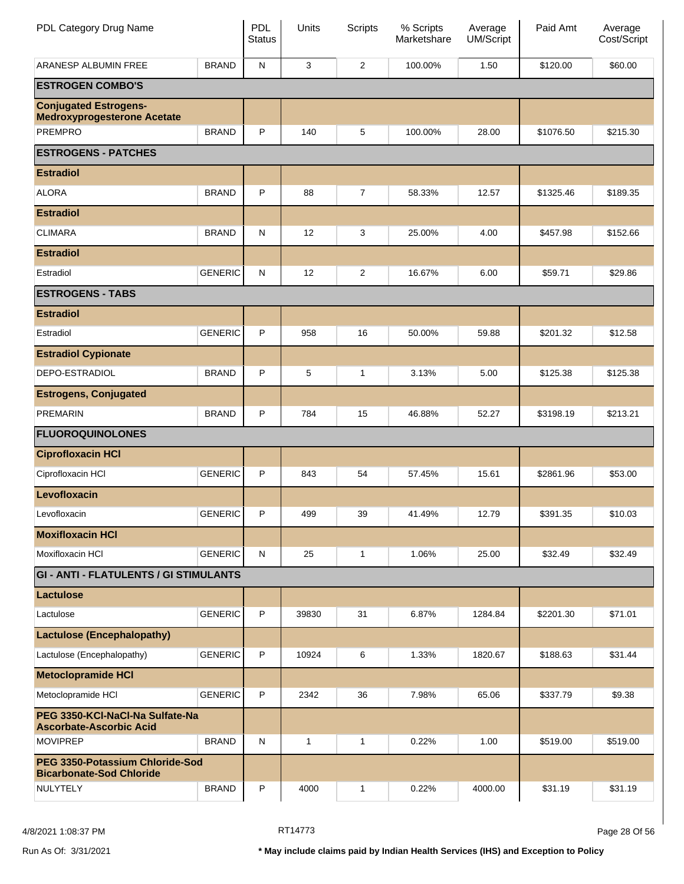| PDL Category Drug Name                                             |                | PDL<br><b>Status</b> | Units             | <b>Scripts</b> | % Scripts<br>Marketshare | Average<br><b>UM/Script</b> | Paid Amt  | Average<br>Cost/Script |
|--------------------------------------------------------------------|----------------|----------------------|-------------------|----------------|--------------------------|-----------------------------|-----------|------------------------|
| ARANESP ALBUMIN FREE                                               | <b>BRAND</b>   | ${\sf N}$            | 3                 | $\overline{c}$ | 100.00%                  | 1.50                        | \$120.00  | \$60.00                |
| <b>ESTROGEN COMBO'S</b>                                            |                |                      |                   |                |                          |                             |           |                        |
| <b>Conjugated Estrogens-</b><br><b>Medroxyprogesterone Acetate</b> |                |                      |                   |                |                          |                             |           |                        |
| <b>PREMPRO</b>                                                     | <b>BRAND</b>   | P                    | 140               | 5              | 100.00%                  | 28.00                       | \$1076.50 | \$215.30               |
| <b>ESTROGENS - PATCHES</b>                                         |                |                      |                   |                |                          |                             |           |                        |
| <b>Estradiol</b>                                                   |                |                      |                   |                |                          |                             |           |                        |
| <b>ALORA</b>                                                       | <b>BRAND</b>   | P                    | 88                | $\overline{7}$ | 58.33%                   | 12.57                       | \$1325.46 | \$189.35               |
| <b>Estradiol</b>                                                   |                |                      |                   |                |                          |                             |           |                        |
| <b>CLIMARA</b>                                                     | <b>BRAND</b>   | $\mathsf{N}$         | $12 \overline{ }$ | 3              | 25.00%                   | 4.00                        | \$457.98  | \$152.66               |
| <b>Estradiol</b>                                                   |                |                      |                   |                |                          |                             |           |                        |
| Estradiol                                                          | <b>GENERIC</b> | $\mathsf{N}$         | 12                | $\overline{c}$ | 16.67%                   | 6.00                        | \$59.71   | \$29.86                |
| <b>ESTROGENS - TABS</b>                                            |                |                      |                   |                |                          |                             |           |                        |
| <b>Estradiol</b>                                                   |                |                      |                   |                |                          |                             |           |                        |
| Estradiol                                                          | <b>GENERIC</b> | P                    | 958               | 16             | 50.00%                   | 59.88                       | \$201.32  | \$12.58                |
| <b>Estradiol Cypionate</b>                                         |                |                      |                   |                |                          |                             |           |                        |
| DEPO-ESTRADIOL                                                     | <b>BRAND</b>   | P                    | 5                 | $\mathbf{1}$   | 3.13%                    | 5.00                        | \$125.38  | \$125.38               |
| <b>Estrogens, Conjugated</b>                                       |                |                      |                   |                |                          |                             |           |                        |
| <b>PREMARIN</b>                                                    | <b>BRAND</b>   | P                    | 784               | 15             | 46.88%                   | 52.27                       | \$3198.19 | \$213.21               |
| <b>FLUOROQUINOLONES</b>                                            |                |                      |                   |                |                          |                             |           |                        |
| <b>Ciprofloxacin HCI</b>                                           |                |                      |                   |                |                          |                             |           |                        |
| Ciprofloxacin HCI                                                  | <b>GENERIC</b> | P                    | 843               | 54             | 57.45%                   | 15.61                       | \$2861.96 | \$53.00                |
| Levofloxacin                                                       |                |                      |                   |                |                          |                             |           |                        |
| Levofloxacin                                                       | <b>GENERIC</b> | P                    | 499               | 39             | 41.49%                   | 12.79                       | \$391.35  | \$10.03                |
| <b>Moxifloxacin HCI</b>                                            |                |                      |                   |                |                          |                             |           |                        |
| Moxifloxacin HCI                                                   | <b>GENERIC</b> | N                    | 25                | $\mathbf{1}$   | 1.06%                    | 25.00                       | \$32.49   | \$32.49                |
| <b>GI - ANTI - FLATULENTS / GI STIMULANTS</b>                      |                |                      |                   |                |                          |                             |           |                        |
| Lactulose                                                          |                |                      |                   |                |                          |                             |           |                        |
| Lactulose                                                          | <b>GENERIC</b> | P                    | 39830             | 31             | 6.87%                    | 1284.84                     | \$2201.30 | \$71.01                |
| <b>Lactulose (Encephalopathy)</b>                                  |                |                      |                   |                |                          |                             |           |                        |
| Lactulose (Encephalopathy)                                         | <b>GENERIC</b> | P                    | 10924             | 6              | 1.33%                    | 1820.67                     | \$188.63  | \$31.44                |
| <b>Metoclopramide HCI</b>                                          |                |                      |                   |                |                          |                             |           |                        |
| Metoclopramide HCI                                                 | <b>GENERIC</b> | P                    | 2342              | 36             | 7.98%                    | 65.06                       | \$337.79  | \$9.38                 |
| PEG 3350-KCI-NaCI-Na Sulfate-Na<br><b>Ascorbate-Ascorbic Acid</b>  |                |                      |                   |                |                          |                             |           |                        |
| <b>MOVIPREP</b>                                                    | <b>BRAND</b>   | $\mathsf{N}$         | 1                 | 1              | 0.22%                    | 1.00                        | \$519.00  | \$519.00               |
| PEG 3350-Potassium Chloride-Sod<br><b>Bicarbonate-Sod Chloride</b> |                |                      |                   |                |                          |                             |           |                        |
| NULYTELY                                                           | <b>BRAND</b>   | P                    | 4000              | 1              | 0.22%                    | 4000.00                     | \$31.19   | \$31.19                |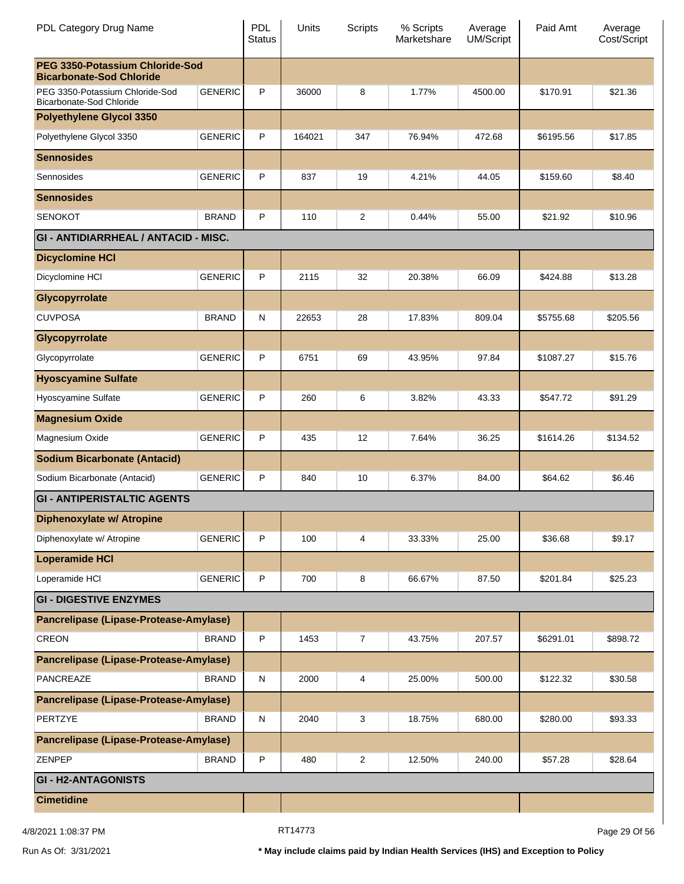|                                                                               | <b>Status</b> |        | Scripts        | % Scripts<br>Marketshare | Average<br><b>UM/Script</b> | Paid Amt  | Average<br>Cost/Script |
|-------------------------------------------------------------------------------|---------------|--------|----------------|--------------------------|-----------------------------|-----------|------------------------|
| PEG 3350-Potassium Chloride-Sod<br><b>Bicarbonate-Sod Chloride</b>            |               |        |                |                          |                             |           |                        |
| <b>GENERIC</b><br>PEG 3350-Potassium Chloride-Sod<br>Bicarbonate-Sod Chloride | P             | 36000  | 8              | 1.77%                    | 4500.00                     | \$170.91  | \$21.36                |
| <b>Polyethylene Glycol 3350</b>                                               |               |        |                |                          |                             |           |                        |
| <b>GENERIC</b><br>Polyethylene Glycol 3350                                    | P             | 164021 | 347            | 76.94%                   | 472.68                      | \$6195.56 | \$17.85                |
| <b>Sennosides</b>                                                             |               |        |                |                          |                             |           |                        |
| <b>GENERIC</b><br>Sennosides                                                  | P             | 837    | 19             | 4.21%                    | 44.05                       | \$159.60  | \$8.40                 |
| <b>Sennosides</b>                                                             |               |        |                |                          |                             |           |                        |
| <b>SENOKOT</b><br><b>BRAND</b>                                                | P             | 110    | $\overline{2}$ | 0.44%                    | 55.00                       | \$21.92   | \$10.96                |
| <b>GI - ANTIDIARRHEAL / ANTACID - MISC.</b>                                   |               |        |                |                          |                             |           |                        |
| <b>Dicyclomine HCI</b>                                                        |               |        |                |                          |                             |           |                        |
| <b>GENERIC</b><br>Dicyclomine HCI                                             | P             | 2115   | 32             | 20.38%                   | 66.09                       | \$424.88  | \$13.28                |
| Glycopyrrolate                                                                |               |        |                |                          |                             |           |                        |
| <b>CUVPOSA</b><br><b>BRAND</b>                                                | N             | 22653  | 28             | 17.83%                   | 809.04                      | \$5755.68 | \$205.56               |
| Glycopyrrolate                                                                |               |        |                |                          |                             |           |                        |
| <b>GENERIC</b><br>Glycopyrrolate                                              | P             | 6751   | 69             | 43.95%                   | 97.84                       | \$1087.27 | \$15.76                |
| <b>Hyoscyamine Sulfate</b>                                                    |               |        |                |                          |                             |           |                        |
| <b>GENERIC</b><br>Hyoscyamine Sulfate                                         | P             | 260    | 6              | 3.82%                    | 43.33                       | \$547.72  | \$91.29                |
| <b>Magnesium Oxide</b>                                                        |               |        |                |                          |                             |           |                        |
| <b>GENERIC</b><br>Magnesium Oxide                                             | P             | 435    | 12             | 7.64%                    | 36.25                       | \$1614.26 | \$134.52               |
| <b>Sodium Bicarbonate (Antacid)</b>                                           |               |        |                |                          |                             |           |                        |
| <b>GENERIC</b><br>Sodium Bicarbonate (Antacid)                                | P             | 840    | 10             | 6.37%                    | 84.00                       | \$64.62   | \$6.46                 |
| <b>GI - ANTIPERISTALTIC AGENTS</b>                                            |               |        |                |                          |                             |           |                        |
| Diphenoxylate w/ Atropine                                                     |               |        |                |                          |                             |           |                        |
| <b>GENERIC</b><br>Diphenoxylate w/ Atropine                                   | P             | 100    | 4              | 33.33%                   | 25.00                       | \$36.68   | \$9.17                 |
| <b>Loperamide HCI</b>                                                         |               |        |                |                          |                             |           |                        |
| <b>GENERIC</b><br>Loperamide HCI                                              | P             | 700    | 8              | 66.67%                   | 87.50                       | \$201.84  | \$25.23                |
| <b>GI - DIGESTIVE ENZYMES</b>                                                 |               |        |                |                          |                             |           |                        |
| Pancrelipase (Lipase-Protease-Amylase)                                        |               |        |                |                          |                             |           |                        |
| <b>CREON</b><br><b>BRAND</b>                                                  | P             | 1453   | $\overline{7}$ | 43.75%                   | 207.57                      | \$6291.01 | \$898.72               |
| Pancrelipase (Lipase-Protease-Amylase)                                        |               |        |                |                          |                             |           |                        |
| PANCREAZE<br><b>BRAND</b>                                                     | $\mathsf{N}$  | 2000   | 4              | 25.00%                   | 500.00                      | \$122.32  | \$30.58                |
| Pancrelipase (Lipase-Protease-Amylase)                                        |               |        |                |                          |                             |           |                        |
| PERTZYE<br><b>BRAND</b>                                                       | $\mathsf{N}$  | 2040   | 3              | 18.75%                   | 680.00                      | \$280.00  | \$93.33                |
| Pancrelipase (Lipase-Protease-Amylase)                                        |               |        |                |                          |                             |           |                        |
| ZENPEP<br><b>BRAND</b>                                                        | P             | 480    | $\overline{c}$ | 12.50%                   | 240.00                      | \$57.28   | \$28.64                |
| <b>GI - H2-ANTAGONISTS</b>                                                    |               |        |                |                          |                             |           |                        |
| <b>Cimetidine</b>                                                             |               |        |                |                          |                             |           |                        |

4/8/2021 1:08:37 PM Page 29 Of 56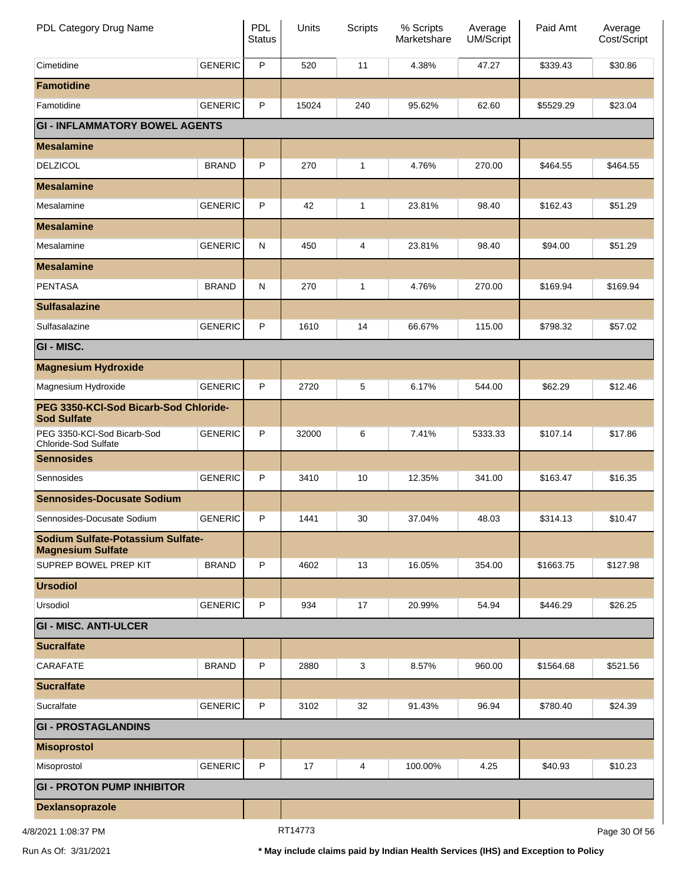| PDL Category Drug Name                                        |                | <b>PDL</b><br><b>Status</b> | Units   | <b>Scripts</b> | % Scripts<br>Marketshare | Average<br>UM/Script | Paid Amt  | Average<br>Cost/Script |
|---------------------------------------------------------------|----------------|-----------------------------|---------|----------------|--------------------------|----------------------|-----------|------------------------|
| Cimetidine                                                    | <b>GENERIC</b> | P                           | 520     | 11             | 4.38%                    | 47.27                | \$339.43  | \$30.86                |
| <b>Famotidine</b>                                             |                |                             |         |                |                          |                      |           |                        |
| Famotidine                                                    | <b>GENERIC</b> | P                           | 15024   | 240            | 95.62%                   | 62.60                | \$5529.29 | \$23.04                |
| <b>GI - INFLAMMATORY BOWEL AGENTS</b>                         |                |                             |         |                |                          |                      |           |                        |
| <b>Mesalamine</b>                                             |                |                             |         |                |                          |                      |           |                        |
| <b>DELZICOL</b>                                               | <b>BRAND</b>   | P                           | 270     | 1              | 4.76%                    | 270.00               | \$464.55  | \$464.55               |
| <b>Mesalamine</b>                                             |                |                             |         |                |                          |                      |           |                        |
| Mesalamine                                                    | <b>GENERIC</b> | P                           | 42      | 1              | 23.81%                   | 98.40                | \$162.43  | \$51.29                |
| <b>Mesalamine</b>                                             |                |                             |         |                |                          |                      |           |                        |
| Mesalamine                                                    | <b>GENERIC</b> | ${\sf N}$                   | 450     | 4              | 23.81%                   | 98.40                | \$94.00   | \$51.29                |
| <b>Mesalamine</b>                                             |                |                             |         |                |                          |                      |           |                        |
| <b>PENTASA</b>                                                | <b>BRAND</b>   | ${\sf N}$                   | 270     | 1              | 4.76%                    | 270.00               | \$169.94  | \$169.94               |
| <b>Sulfasalazine</b>                                          |                |                             |         |                |                          |                      |           |                        |
| Sulfasalazine                                                 | <b>GENERIC</b> | P                           | 1610    | 14             | 66.67%                   | 115.00               | \$798.32  | \$57.02                |
| GI - MISC.                                                    |                |                             |         |                |                          |                      |           |                        |
| <b>Magnesium Hydroxide</b>                                    |                |                             |         |                |                          |                      |           |                        |
| Magnesium Hydroxide                                           | <b>GENERIC</b> | P                           | 2720    | 5              | 6.17%                    | 544.00               | \$62.29   | \$12.46                |
| PEG 3350-KCI-Sod Bicarb-Sod Chloride-<br><b>Sod Sulfate</b>   |                |                             |         |                |                          |                      |           |                        |
| PEG 3350-KCI-Sod Bicarb-Sod<br>Chloride-Sod Sulfate           | <b>GENERIC</b> | P                           | 32000   | 6              | 7.41%                    | 5333.33              | \$107.14  | \$17.86                |
| <b>Sennosides</b>                                             |                |                             |         |                |                          |                      |           |                        |
| Sennosides                                                    | <b>GENERIC</b> | P                           | 3410    | 10             | 12.35%                   | 341.00               | \$163.47  | \$16.35                |
| <b>Sennosides-Docusate Sodium</b>                             |                |                             |         |                |                          |                      |           |                        |
| Sennosides-Docusate Sodium                                    | GENERIC        | P                           | 1441    | 30             | 37.04%                   | 48.03                | \$314.13  | \$10.47                |
| Sodium Sulfate-Potassium Sulfate-<br><b>Magnesium Sulfate</b> |                |                             |         |                |                          |                      |           |                        |
| SUPREP BOWEL PREP KIT                                         | <b>BRAND</b>   | P                           | 4602    | 13             | 16.05%                   | 354.00               | \$1663.75 | \$127.98               |
| <b>Ursodiol</b>                                               |                |                             |         |                |                          |                      |           |                        |
| Ursodiol                                                      | <b>GENERIC</b> | P                           | 934     | 17             | 20.99%                   | 54.94                | \$446.29  | \$26.25                |
| <b>GI - MISC. ANTI-ULCER</b>                                  |                |                             |         |                |                          |                      |           |                        |
| <b>Sucralfate</b>                                             |                |                             |         |                |                          |                      |           |                        |
| CARAFATE                                                      | <b>BRAND</b>   | P                           | 2880    | 3              | 8.57%                    | 960.00               | \$1564.68 | \$521.56               |
| <b>Sucralfate</b>                                             |                |                             |         |                |                          |                      |           |                        |
| Sucralfate                                                    | <b>GENERIC</b> | P                           | 3102    | 32             | 91.43%                   | 96.94                | \$780.40  | \$24.39                |
| <b>GI - PROSTAGLANDINS</b>                                    |                |                             |         |                |                          |                      |           |                        |
| <b>Misoprostol</b>                                            |                |                             |         |                |                          |                      |           |                        |
| Misoprostol                                                   | <b>GENERIC</b> | P                           | 17      | 4              | 100.00%                  | 4.25                 | \$40.93   | \$10.23                |
| <b>GI - PROTON PUMP INHIBITOR</b>                             |                |                             |         |                |                          |                      |           |                        |
| Dexlansoprazole                                               |                |                             |         |                |                          |                      |           |                        |
| 4/8/2021 1:08:37 PM                                           |                |                             | RT14773 |                |                          |                      |           | Page 30 Of 56          |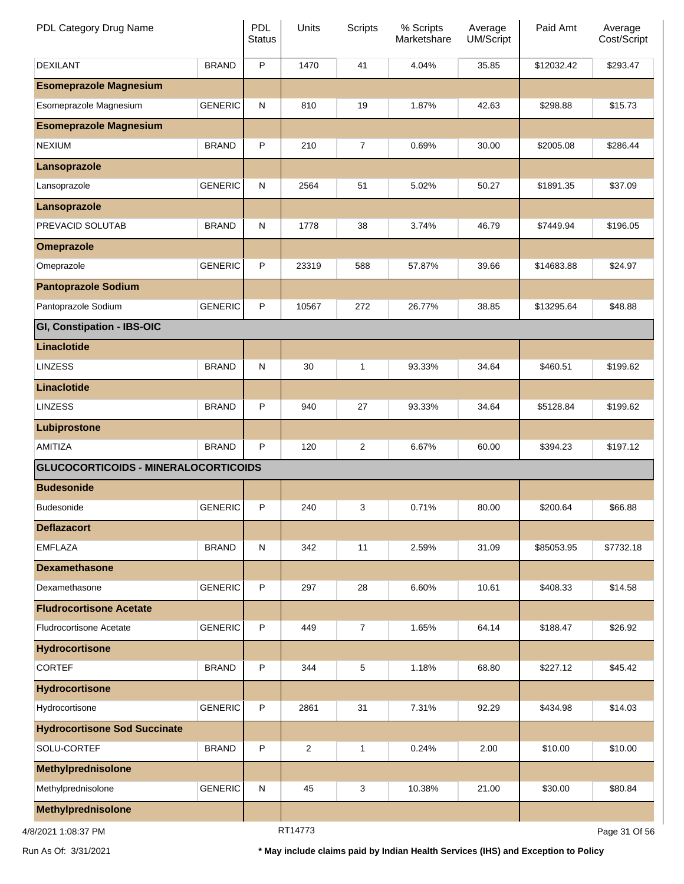| PDL Category Drug Name                      |                | <b>PDL</b><br><b>Status</b> | Units   | <b>Scripts</b> | % Scripts<br>Marketshare | Average<br>UM/Script | Paid Amt   | Average<br>Cost/Script |
|---------------------------------------------|----------------|-----------------------------|---------|----------------|--------------------------|----------------------|------------|------------------------|
| <b>DEXILANT</b>                             | <b>BRAND</b>   | P                           | 1470    | 41             | 4.04%                    | 35.85                | \$12032.42 | \$293.47               |
| <b>Esomeprazole Magnesium</b>               |                |                             |         |                |                          |                      |            |                        |
| Esomeprazole Magnesium                      | <b>GENERIC</b> | ${\sf N}$                   | 810     | 19             | 1.87%                    | 42.63                | \$298.88   | \$15.73                |
| <b>Esomeprazole Magnesium</b>               |                |                             |         |                |                          |                      |            |                        |
| <b>NEXIUM</b>                               | <b>BRAND</b>   | P                           | 210     | 7              | 0.69%                    | 30.00                | \$2005.08  | \$286.44               |
| Lansoprazole                                |                |                             |         |                |                          |                      |            |                        |
| Lansoprazole                                | <b>GENERIC</b> | ${\sf N}$                   | 2564    | 51             | 5.02%                    | 50.27                | \$1891.35  | \$37.09                |
| Lansoprazole                                |                |                             |         |                |                          |                      |            |                        |
| PREVACID SOLUTAB                            | <b>BRAND</b>   | ${\sf N}$                   | 1778    | 38             | 3.74%                    | 46.79                | \$7449.94  | \$196.05               |
| <b>Omeprazole</b>                           |                |                             |         |                |                          |                      |            |                        |
| Omeprazole                                  | <b>GENERIC</b> | P                           | 23319   | 588            | 57.87%                   | 39.66                | \$14683.88 | \$24.97                |
| <b>Pantoprazole Sodium</b>                  |                |                             |         |                |                          |                      |            |                        |
| Pantoprazole Sodium                         | <b>GENERIC</b> | P                           | 10567   | 272            | 26.77%                   | 38.85                | \$13295.64 | \$48.88                |
| GI, Constipation - IBS-OIC                  |                |                             |         |                |                          |                      |            |                        |
| Linaclotide                                 |                |                             |         |                |                          |                      |            |                        |
| <b>LINZESS</b>                              | <b>BRAND</b>   | ${\sf N}$                   | 30      | 1              | 93.33%                   | 34.64                | \$460.51   | \$199.62               |
| Linaclotide                                 |                |                             |         |                |                          |                      |            |                        |
| <b>LINZESS</b>                              | <b>BRAND</b>   | P                           | 940     | 27             | 93.33%                   | 34.64                | \$5128.84  | \$199.62               |
| Lubiprostone                                |                |                             |         |                |                          |                      |            |                        |
| AMITIZA                                     | <b>BRAND</b>   | P                           | 120     | 2              | 6.67%                    | 60.00                | \$394.23   | \$197.12               |
| <b>GLUCOCORTICOIDS - MINERALOCORTICOIDS</b> |                |                             |         |                |                          |                      |            |                        |
| <b>Budesonide</b>                           |                |                             |         |                |                          |                      |            |                        |
| <b>Budesonide</b>                           | <b>GENERIC</b> | P                           | 240     | 3              | 0.71%                    | 80.00                | \$200.64   | \$66.88                |
| <b>Deflazacort</b>                          |                |                             |         |                |                          |                      |            |                        |
| <b>EMFLAZA</b>                              | <b>BRAND</b>   | ${\sf N}$                   | 342     | 11             | 2.59%                    | 31.09                | \$85053.95 | \$7732.18              |
| <b>Dexamethasone</b>                        |                |                             |         |                |                          |                      |            |                        |
| Dexamethasone                               | <b>GENERIC</b> | P                           | 297     | 28             | 6.60%                    | 10.61                | \$408.33   | \$14.58                |
| <b>Fludrocortisone Acetate</b>              |                |                             |         |                |                          |                      |            |                        |
| <b>Fludrocortisone Acetate</b>              | <b>GENERIC</b> | P                           | 449     | $\overline{7}$ | 1.65%                    | 64.14                | \$188.47   | \$26.92                |
| <b>Hydrocortisone</b>                       |                |                             |         |                |                          |                      |            |                        |
| <b>CORTEF</b>                               | <b>BRAND</b>   | P                           | 344     | 5              | 1.18%                    | 68.80                | \$227.12   | \$45.42                |
| <b>Hydrocortisone</b>                       |                |                             |         |                |                          |                      |            |                        |
| Hydrocortisone                              | <b>GENERIC</b> | P                           | 2861    | 31             | 7.31%                    | 92.29                | \$434.98   | \$14.03                |
| <b>Hydrocortisone Sod Succinate</b>         |                |                             |         |                |                          |                      |            |                        |
| SOLU-CORTEF                                 | <b>BRAND</b>   | P                           | 2       | 1              | 0.24%                    | 2.00                 | \$10.00    | \$10.00                |
| <b>Methylprednisolone</b>                   |                |                             |         |                |                          |                      |            |                        |
| Methylprednisolone                          | <b>GENERIC</b> | ${\sf N}$                   | 45      | 3              | 10.38%                   | 21.00                | \$30.00    | \$80.84                |
| <b>Methylprednisolone</b>                   |                |                             |         |                |                          |                      |            |                        |
| 4/8/2021 1:08:37 PM                         |                |                             | RT14773 |                |                          |                      |            | Page 31 Of 56          |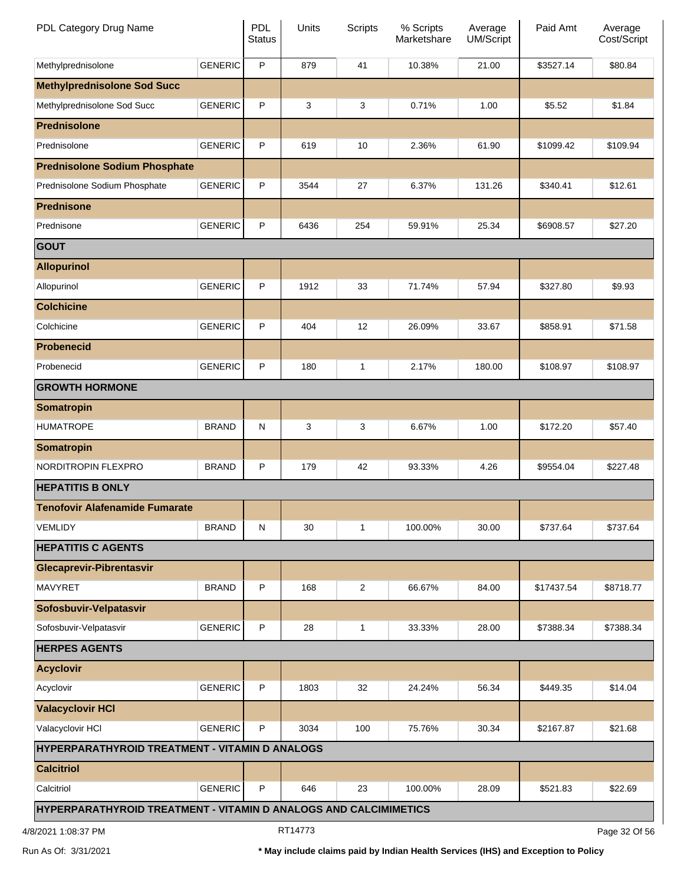| PDL Category Drug Name                                           |                | <b>PDL</b><br><b>Status</b> | Units   | <b>Scripts</b> | % Scripts<br>Marketshare | Average<br>UM/Script | Paid Amt   | Average<br>Cost/Script |
|------------------------------------------------------------------|----------------|-----------------------------|---------|----------------|--------------------------|----------------------|------------|------------------------|
| Methylprednisolone                                               | <b>GENERIC</b> | P                           | 879     | 41             | 10.38%                   | 21.00                | \$3527.14  | \$80.84                |
| <b>Methylprednisolone Sod Succ</b>                               |                |                             |         |                |                          |                      |            |                        |
| Methylprednisolone Sod Succ                                      | <b>GENERIC</b> | P                           | 3       | 3              | 0.71%                    | 1.00                 | \$5.52     | \$1.84                 |
| <b>Prednisolone</b>                                              |                |                             |         |                |                          |                      |            |                        |
| Prednisolone                                                     | <b>GENERIC</b> | P                           | 619     | 10             | 2.36%                    | 61.90                | \$1099.42  | \$109.94               |
| <b>Prednisolone Sodium Phosphate</b>                             |                |                             |         |                |                          |                      |            |                        |
| Prednisolone Sodium Phosphate                                    | <b>GENERIC</b> | P                           | 3544    | 27             | 6.37%                    | 131.26               | \$340.41   | \$12.61                |
| <b>Prednisone</b>                                                |                |                             |         |                |                          |                      |            |                        |
| Prednisone                                                       | <b>GENERIC</b> | P                           | 6436    | 254            | 59.91%                   | 25.34                | \$6908.57  | \$27.20                |
| <b>GOUT</b>                                                      |                |                             |         |                |                          |                      |            |                        |
| <b>Allopurinol</b>                                               |                |                             |         |                |                          |                      |            |                        |
| Allopurinol                                                      | <b>GENERIC</b> | P                           | 1912    | 33             | 71.74%                   | 57.94                | \$327.80   | \$9.93                 |
| <b>Colchicine</b>                                                |                |                             |         |                |                          |                      |            |                        |
| Colchicine                                                       | <b>GENERIC</b> | P                           | 404     | 12             | 26.09%                   | 33.67                | \$858.91   | \$71.58                |
| <b>Probenecid</b>                                                |                |                             |         |                |                          |                      |            |                        |
| Probenecid                                                       | <b>GENERIC</b> | P                           | 180     | 1              | 2.17%                    | 180.00               | \$108.97   | \$108.97               |
| <b>GROWTH HORMONE</b>                                            |                |                             |         |                |                          |                      |            |                        |
| <b>Somatropin</b>                                                |                |                             |         |                |                          |                      |            |                        |
| <b>HUMATROPE</b>                                                 | <b>BRAND</b>   | ${\sf N}$                   | 3       | 3              | 6.67%                    | 1.00                 | \$172.20   | \$57.40                |
| <b>Somatropin</b>                                                |                |                             |         |                |                          |                      |            |                        |
| NORDITROPIN FLEXPRO                                              | <b>BRAND</b>   | P                           | 179     | 42             | 93.33%                   | 4.26                 | \$9554.04  | \$227.48               |
| <b>HEPATITIS B ONLY</b>                                          |                |                             |         |                |                          |                      |            |                        |
| <b>Tenofovir Alafenamide Fumarate</b>                            |                |                             |         |                |                          |                      |            |                        |
| <b>VEMLIDY</b>                                                   | <b>BRAND</b>   | ${\sf N}$                   | 30      | 1              | 100.00%                  | 30.00                | \$737.64   | \$737.64               |
| <b>HEPATITIS C AGENTS</b>                                        |                |                             |         |                |                          |                      |            |                        |
| <b>Glecaprevir-Pibrentasvir</b>                                  |                |                             |         |                |                          |                      |            |                        |
| <b>MAVYRET</b>                                                   | <b>BRAND</b>   | P                           | 168     | $\overline{2}$ | 66.67%                   | 84.00                | \$17437.54 | \$8718.77              |
| Sofosbuvir-Velpatasvir                                           |                |                             |         |                |                          |                      |            |                        |
| Sofosbuvir-Velpatasvir                                           | <b>GENERIC</b> | P                           | 28      | 1              | 33.33%                   | 28.00                | \$7388.34  | \$7388.34              |
| <b>HERPES AGENTS</b>                                             |                |                             |         |                |                          |                      |            |                        |
| <b>Acyclovir</b>                                                 |                |                             |         |                |                          |                      |            |                        |
| Acyclovir                                                        | <b>GENERIC</b> | $\sf P$                     | 1803    | 32             | 24.24%                   | 56.34                | \$449.35   | \$14.04                |
| <b>Valacyclovir HCI</b>                                          |                |                             |         |                |                          |                      |            |                        |
| Valacyclovir HCI                                                 | <b>GENERIC</b> | P                           | 3034    | 100            | 75.76%                   | 30.34                | \$2167.87  | \$21.68                |
| HYPERPARATHYROID TREATMENT - VITAMIN D ANALOGS                   |                |                             |         |                |                          |                      |            |                        |
| <b>Calcitriol</b>                                                |                |                             |         |                |                          |                      |            |                        |
| Calcitriol                                                       | <b>GENERIC</b> | P                           | 646     | 23             | 100.00%                  | 28.09                | \$521.83   | \$22.69                |
| HYPERPARATHYROID TREATMENT - VITAMIN D ANALOGS AND CALCIMIMETICS |                |                             |         |                |                          |                      |            |                        |
| 4/8/2021 1:08:37 PM                                              |                |                             | RT14773 |                |                          |                      |            | Page 32 Of 56          |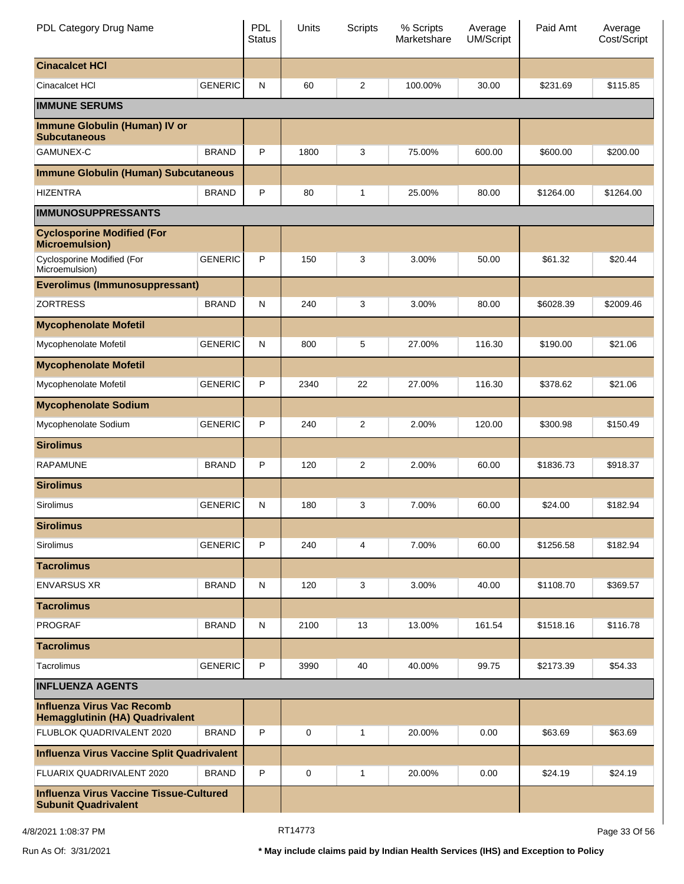| PDL Category Drug Name                                                        |                | <b>PDL</b><br><b>Status</b> | Units | Scripts        | % Scripts<br>Marketshare | Average<br><b>UM/Script</b> | Paid Amt  | Average<br>Cost/Script |
|-------------------------------------------------------------------------------|----------------|-----------------------------|-------|----------------|--------------------------|-----------------------------|-----------|------------------------|
| <b>Cinacalcet HCI</b>                                                         |                |                             |       |                |                          |                             |           |                        |
| Cinacalcet HCI                                                                | <b>GENERIC</b> | ${\sf N}$                   | 60    | $\overline{2}$ | 100.00%                  | 30.00                       | \$231.69  | \$115.85               |
| <b>IMMUNE SERUMS</b>                                                          |                |                             |       |                |                          |                             |           |                        |
| <b>Immune Globulin (Human) IV or</b><br><b>Subcutaneous</b>                   |                |                             |       |                |                          |                             |           |                        |
| <b>GAMUNEX-C</b>                                                              | <b>BRAND</b>   | P                           | 1800  | 3              | 75.00%                   | 600.00                      | \$600.00  | \$200.00               |
| <b>Immune Globulin (Human) Subcutaneous</b>                                   |                |                             |       |                |                          |                             |           |                        |
| <b>HIZENTRA</b>                                                               | <b>BRAND</b>   | P                           | 80    | 1              | 25.00%                   | 80.00                       | \$1264.00 | \$1264.00              |
| <b>IMMUNOSUPPRESSANTS</b>                                                     |                |                             |       |                |                          |                             |           |                        |
| <b>Cyclosporine Modified (For</b><br><b>Microemulsion)</b>                    |                |                             |       |                |                          |                             |           |                        |
| Cyclosporine Modified (For<br>Microemulsion)                                  | <b>GENERIC</b> | P                           | 150   | 3              | 3.00%                    | 50.00                       | \$61.32   | \$20.44                |
| <b>Everolimus (Immunosuppressant)</b>                                         |                |                             |       |                |                          |                             |           |                        |
| <b>ZORTRESS</b>                                                               | <b>BRAND</b>   | ${\sf N}$                   | 240   | 3              | 3.00%                    | 80.00                       | \$6028.39 | \$2009.46              |
| <b>Mycophenolate Mofetil</b>                                                  |                |                             |       |                |                          |                             |           |                        |
| Mycophenolate Mofetil                                                         | <b>GENERIC</b> | N                           | 800   | 5              | 27.00%                   | 116.30                      | \$190.00  | \$21.06                |
| <b>Mycophenolate Mofetil</b>                                                  |                |                             |       |                |                          |                             |           |                        |
| Mycophenolate Mofetil                                                         | <b>GENERIC</b> | P                           | 2340  | 22             | 27.00%                   | 116.30                      | \$378.62  | \$21.06                |
| <b>Mycophenolate Sodium</b>                                                   |                |                             |       |                |                          |                             |           |                        |
| Mycophenolate Sodium                                                          | <b>GENERIC</b> | P                           | 240   | 2              | 2.00%                    | 120.00                      | \$300.98  | \$150.49               |
| <b>Sirolimus</b>                                                              |                |                             |       |                |                          |                             |           |                        |
| <b>RAPAMUNE</b>                                                               | <b>BRAND</b>   | P                           | 120   | 2              | 2.00%                    | 60.00                       | \$1836.73 | \$918.37               |
| <b>Sirolimus</b>                                                              |                |                             |       |                |                          |                             |           |                        |
| Sirolimus                                                                     | <b>GENERIC</b> | N                           | 180   | 3              | 7.00%                    | 60.00                       | \$24.00   | \$182.94               |
| <b>Sirolimus</b>                                                              |                |                             |       |                |                          |                             |           |                        |
| Sirolimus                                                                     | <b>GENERIC</b> | P                           | 240   | 4              | 7.00%                    | 60.00                       | \$1256.58 | \$182.94               |
| <b>Tacrolimus</b>                                                             |                |                             |       |                |                          |                             |           |                        |
| <b>ENVARSUS XR</b>                                                            | <b>BRAND</b>   | N                           | 120   | 3              | 3.00%                    | 40.00                       | \$1108.70 | \$369.57               |
| <b>Tacrolimus</b>                                                             |                |                             |       |                |                          |                             |           |                        |
| <b>PROGRAF</b>                                                                | <b>BRAND</b>   | N                           | 2100  | 13             | 13.00%                   | 161.54                      | \$1518.16 | \$116.78               |
| <b>Tacrolimus</b>                                                             |                |                             |       |                |                          |                             |           |                        |
| Tacrolimus                                                                    | <b>GENERIC</b> | P                           | 3990  | 40             | 40.00%                   | 99.75                       | \$2173.39 | \$54.33                |
| <b>INFLUENZA AGENTS</b>                                                       |                |                             |       |                |                          |                             |           |                        |
| <b>Influenza Virus Vac Recomb</b><br>Hemagglutinin (HA) Quadrivalent          |                |                             |       |                |                          |                             |           |                        |
| FLUBLOK QUADRIVALENT 2020                                                     | <b>BRAND</b>   | P                           | 0     | 1              | 20.00%                   | 0.00                        | \$63.69   | \$63.69                |
| <b>Influenza Virus Vaccine Split Quadrivalent</b>                             |                |                             |       |                |                          |                             |           |                        |
| FLUARIX QUADRIVALENT 2020                                                     | <b>BRAND</b>   | P                           | 0     | 1              | 20.00%                   | 0.00                        | \$24.19   | \$24.19                |
| <b>Influenza Virus Vaccine Tissue-Cultured</b><br><b>Subunit Quadrivalent</b> |                |                             |       |                |                          |                             |           |                        |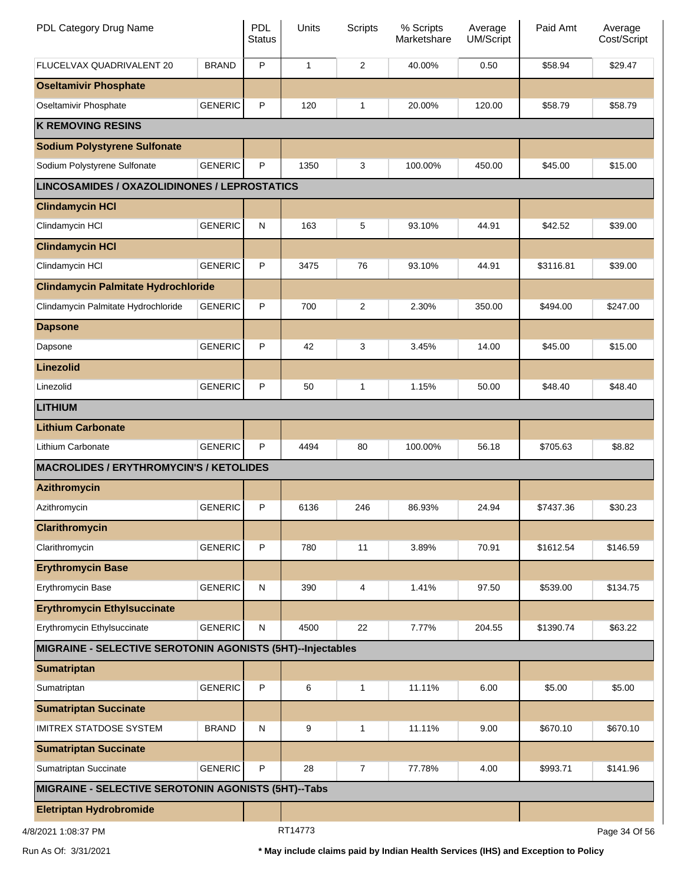| PDL Category Drug Name                                     |                | <b>PDL</b><br><b>Status</b> | Units        | <b>Scripts</b> | % Scripts<br>Marketshare | Average<br><b>UM/Script</b> | Paid Amt  | Average<br>Cost/Script |
|------------------------------------------------------------|----------------|-----------------------------|--------------|----------------|--------------------------|-----------------------------|-----------|------------------------|
| FLUCELVAX QUADRIVALENT 20                                  | <b>BRAND</b>   | P                           | $\mathbf{1}$ | 2              | 40.00%                   | 0.50                        | \$58.94   | \$29.47                |
| <b>Oseltamivir Phosphate</b>                               |                |                             |              |                |                          |                             |           |                        |
| Oseltamivir Phosphate                                      | <b>GENERIC</b> | P                           | 120          | $\mathbf{1}$   | 20.00%                   | 120.00                      | \$58.79   | \$58.79                |
| <b>K REMOVING RESINS</b>                                   |                |                             |              |                |                          |                             |           |                        |
| <b>Sodium Polystyrene Sulfonate</b>                        |                |                             |              |                |                          |                             |           |                        |
| Sodium Polystyrene Sulfonate                               | <b>GENERIC</b> | P                           | 1350         | 3              | 100.00%                  | 450.00                      | \$45.00   | \$15.00                |
| <b>LINCOSAMIDES / OXAZOLIDINONES / LEPROSTATICS</b>        |                |                             |              |                |                          |                             |           |                        |
| <b>Clindamycin HCI</b>                                     |                |                             |              |                |                          |                             |           |                        |
| Clindamycin HCI                                            | <b>GENERIC</b> | ${\sf N}$                   | 163          | 5              | 93.10%                   | 44.91                       | \$42.52   | \$39.00                |
| <b>Clindamycin HCI</b>                                     |                |                             |              |                |                          |                             |           |                        |
| Clindamycin HCI                                            | <b>GENERIC</b> | P                           | 3475         | 76             | 93.10%                   | 44.91                       | \$3116.81 | \$39.00                |
| <b>Clindamycin Palmitate Hydrochloride</b>                 |                |                             |              |                |                          |                             |           |                        |
| Clindamycin Palmitate Hydrochloride                        | <b>GENERIC</b> | $\mathsf{P}$                | 700          | 2              | 2.30%                    | 350.00                      | \$494.00  | \$247.00               |
| <b>Dapsone</b>                                             |                |                             |              |                |                          |                             |           |                        |
| Dapsone                                                    | <b>GENERIC</b> | P                           | 42           | 3              | 3.45%                    | 14.00                       | \$45.00   | \$15.00                |
| <b>Linezolid</b>                                           |                |                             |              |                |                          |                             |           |                        |
| Linezolid                                                  | <b>GENERIC</b> | $\mathsf{P}$                | 50           | $\mathbf{1}$   | 1.15%                    | 50.00                       | \$48.40   | \$48.40                |
| <b>LITHIUM</b>                                             |                |                             |              |                |                          |                             |           |                        |
| <b>Lithium Carbonate</b>                                   |                |                             |              |                |                          |                             |           |                        |
| Lithium Carbonate                                          | <b>GENERIC</b> | P                           | 4494         | 80             | 100.00%                  | 56.18                       | \$705.63  | \$8.82                 |
| <b>MACROLIDES / ERYTHROMYCIN'S / KETOLIDES</b>             |                |                             |              |                |                          |                             |           |                        |
| <b>Azithromycin</b>                                        |                |                             |              |                |                          |                             |           |                        |
| Azithromycin                                               | <b>GENERIC</b> | P                           | 6136         | 246            | 86.93%                   | 24.94                       | \$7437.36 | \$30.23                |
| <b>Clarithromycin</b>                                      |                |                             |              |                |                          |                             |           |                        |
| Clarithromycin                                             | <b>GENERIC</b> | $\mathsf{P}$                | 780          | 11             | 3.89%                    | 70.91                       | \$1612.54 | \$146.59               |
| <b>Erythromycin Base</b>                                   |                |                             |              |                |                          |                             |           |                        |
| Erythromycin Base                                          | <b>GENERIC</b> | ${\sf N}$                   | 390          | 4              | 1.41%                    | 97.50                       | \$539.00  | \$134.75               |
| <b>Erythromycin Ethylsuccinate</b>                         |                |                             |              |                |                          |                             |           |                        |
| Erythromycin Ethylsuccinate                                | <b>GENERIC</b> | N                           | 4500         | 22             | 7.77%                    | 204.55                      | \$1390.74 | \$63.22                |
| MIGRAINE - SELECTIVE SEROTONIN AGONISTS (5HT)--Injectables |                |                             |              |                |                          |                             |           |                        |
| <b>Sumatriptan</b>                                         |                |                             |              |                |                          |                             |           |                        |
| Sumatriptan                                                | <b>GENERIC</b> | $\mathsf P$                 | 6            | $\mathbf{1}$   | 11.11%                   | 6.00                        | \$5.00    | \$5.00                 |
| <b>Sumatriptan Succinate</b>                               |                |                             |              |                |                          |                             |           |                        |
| <b>IMITREX STATDOSE SYSTEM</b>                             | <b>BRAND</b>   | $\mathsf{N}$                | 9            | 1              | 11.11%                   | 9.00                        | \$670.10  | \$670.10               |
| <b>Sumatriptan Succinate</b>                               |                |                             |              |                |                          |                             |           |                        |
| Sumatriptan Succinate                                      | <b>GENERIC</b> | P                           | 28           | $\overline{7}$ | 77.78%                   | 4.00                        | \$993.71  | \$141.96               |
| MIGRAINE - SELECTIVE SEROTONIN AGONISTS (5HT)--Tabs        |                |                             |              |                |                          |                             |           |                        |
| <b>Eletriptan Hydrobromide</b>                             |                |                             |              |                |                          |                             |           |                        |
| 4/8/2021 1:08:37 PM                                        |                |                             | RT14773      |                |                          |                             |           | Page 34 Of 56          |

Run As Of: 3/31/2021 **\* May include claims paid by Indian Health Services (IHS) and Exception to Policy**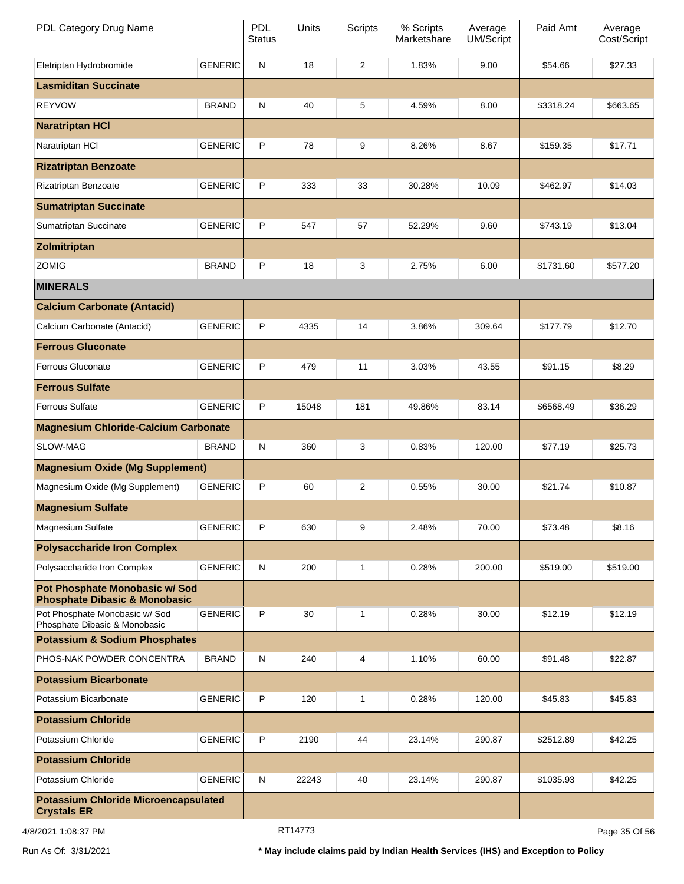| PDL Category Drug Name                                                     |                | PDL<br><b>Status</b> | Units   | <b>Scripts</b> | % Scripts<br>Marketshare | Average<br>UM/Script | Paid Amt  | Average<br>Cost/Script |
|----------------------------------------------------------------------------|----------------|----------------------|---------|----------------|--------------------------|----------------------|-----------|------------------------|
| Eletriptan Hydrobromide                                                    | <b>GENERIC</b> | ${\sf N}$            | 18      | $\overline{2}$ | 1.83%                    | 9.00                 | \$54.66   | \$27.33                |
| <b>Lasmiditan Succinate</b>                                                |                |                      |         |                |                          |                      |           |                        |
| <b>REYVOW</b>                                                              | <b>BRAND</b>   | ${\sf N}$            | 40      | 5              | 4.59%                    | 8.00                 | \$3318.24 | \$663.65               |
| <b>Naratriptan HCI</b>                                                     |                |                      |         |                |                          |                      |           |                        |
| Naratriptan HCI                                                            | <b>GENERIC</b> | P                    | 78      | 9              | 8.26%                    | 8.67                 | \$159.35  | \$17.71                |
| <b>Rizatriptan Benzoate</b>                                                |                |                      |         |                |                          |                      |           |                        |
| Rizatriptan Benzoate                                                       | <b>GENERIC</b> | P                    | 333     | 33             | 30.28%                   | 10.09                | \$462.97  | \$14.03                |
| <b>Sumatriptan Succinate</b>                                               |                |                      |         |                |                          |                      |           |                        |
| Sumatriptan Succinate                                                      | <b>GENERIC</b> | P                    | 547     | 57             | 52.29%                   | 9.60                 | \$743.19  | \$13.04                |
| Zolmitriptan                                                               |                |                      |         |                |                          |                      |           |                        |
| <b>ZOMIG</b>                                                               | <b>BRAND</b>   | P                    | 18      | 3              | 2.75%                    | 6.00                 | \$1731.60 | \$577.20               |
| <b>MINERALS</b>                                                            |                |                      |         |                |                          |                      |           |                        |
| <b>Calcium Carbonate (Antacid)</b>                                         |                |                      |         |                |                          |                      |           |                        |
| Calcium Carbonate (Antacid)                                                | <b>GENERIC</b> | P                    | 4335    | 14             | 3.86%                    | 309.64               | \$177.79  | \$12.70                |
| <b>Ferrous Gluconate</b>                                                   |                |                      |         |                |                          |                      |           |                        |
| <b>Ferrous Gluconate</b>                                                   | <b>GENERIC</b> | P                    | 479     | 11             | 3.03%                    | 43.55                | \$91.15   | \$8.29                 |
| <b>Ferrous Sulfate</b>                                                     |                |                      |         |                |                          |                      |           |                        |
| <b>Ferrous Sulfate</b>                                                     | <b>GENERIC</b> | P                    | 15048   | 181            | 49.86%                   | 83.14                | \$6568.49 | \$36.29                |
| <b>Magnesium Chloride-Calcium Carbonate</b>                                |                |                      |         |                |                          |                      |           |                        |
| SLOW-MAG                                                                   | <b>BRAND</b>   | ${\sf N}$            | 360     | 3              | 0.83%                    | 120.00               | \$77.19   | \$25.73                |
| <b>Magnesium Oxide (Mg Supplement)</b>                                     |                |                      |         |                |                          |                      |           |                        |
| Magnesium Oxide (Mg Supplement)                                            | <b>GENERIC</b> | P                    | 60      | $\overline{c}$ | 0.55%                    | 30.00                | \$21.74   | \$10.87                |
| <b>Magnesium Sulfate</b>                                                   |                |                      |         |                |                          |                      |           |                        |
| <b>Magnesium Sulfate</b>                                                   | <b>GENERIC</b> | P                    | 630     | 9              | 2.48%                    | 70.00                | \$73.48   | \$8.16                 |
| <b>Polysaccharide Iron Complex</b>                                         |                |                      |         |                |                          |                      |           |                        |
| Polysaccharide Iron Complex                                                | <b>GENERIC</b> | N                    | 200     | 1              | 0.28%                    | 200.00               | \$519.00  | \$519.00               |
| Pot Phosphate Monobasic w/ Sod<br><b>Phosphate Dibasic &amp; Monobasic</b> |                |                      |         |                |                          |                      |           |                        |
| Pot Phosphate Monobasic w/ Sod<br>Phosphate Dibasic & Monobasic            | <b>GENERIC</b> | P                    | 30      | $\mathbf{1}$   | 0.28%                    | 30.00                | \$12.19   | \$12.19                |
| <b>Potassium &amp; Sodium Phosphates</b>                                   |                |                      |         |                |                          |                      |           |                        |
| PHOS-NAK POWDER CONCENTRA                                                  | <b>BRAND</b>   | N                    | 240     | 4              | 1.10%                    | 60.00                | \$91.48   | \$22.87                |
| <b>Potassium Bicarbonate</b>                                               |                |                      |         |                |                          |                      |           |                        |
| Potassium Bicarbonate                                                      | <b>GENERIC</b> | P                    | 120     | 1              | 0.28%                    | 120.00               | \$45.83   | \$45.83                |
| <b>Potassium Chloride</b>                                                  |                |                      |         |                |                          |                      |           |                        |
| Potassium Chloride                                                         | <b>GENERIC</b> | P                    | 2190    | 44             | 23.14%                   | 290.87               | \$2512.89 | \$42.25                |
| <b>Potassium Chloride</b>                                                  |                |                      |         |                |                          |                      |           |                        |
| Potassium Chloride                                                         | <b>GENERIC</b> | N                    | 22243   | 40             | 23.14%                   | 290.87               | \$1035.93 | \$42.25                |
| <b>Potassium Chloride Microencapsulated</b><br><b>Crystals ER</b>          |                |                      |         |                |                          |                      |           |                        |
| 4/8/2021 1:08:37 PM                                                        |                |                      | RT14773 |                |                          |                      |           | Page 35 Of 56          |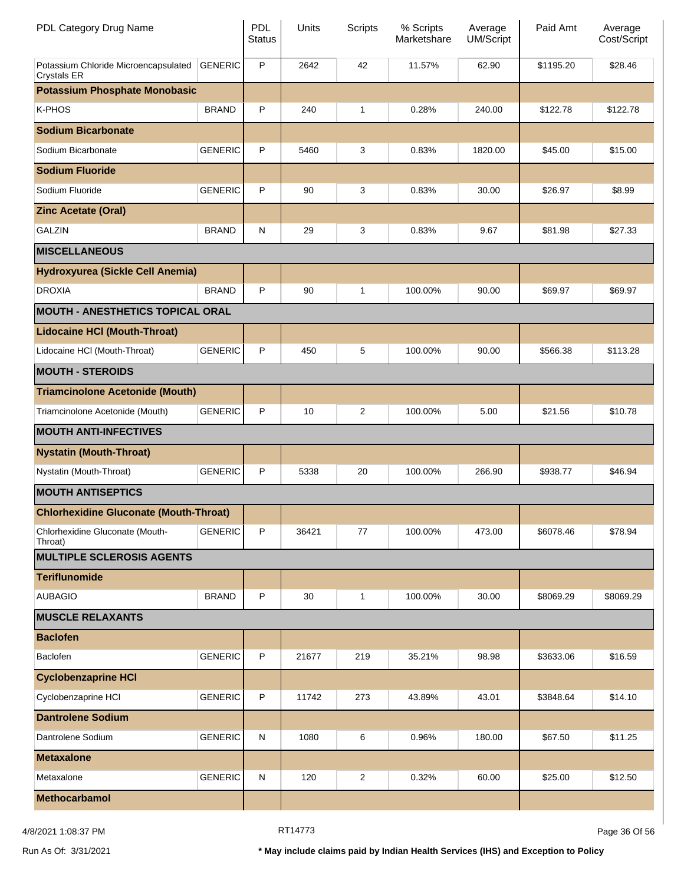| PDL Category Drug Name                                     |                | <b>PDL</b><br><b>Status</b> | Units | Scripts        | % Scripts<br>Marketshare | Average<br><b>UM/Script</b> | Paid Amt  | Average<br>Cost/Script |
|------------------------------------------------------------|----------------|-----------------------------|-------|----------------|--------------------------|-----------------------------|-----------|------------------------|
| Potassium Chloride Microencapsulated<br><b>Crystals ER</b> | <b>GENERIC</b> | P                           | 2642  | 42             | 11.57%                   | 62.90                       | \$1195.20 | \$28.46                |
| <b>Potassium Phosphate Monobasic</b>                       |                |                             |       |                |                          |                             |           |                        |
| K-PHOS                                                     | <b>BRAND</b>   | P                           | 240   | 1              | 0.28%                    | 240.00                      | \$122.78  | \$122.78               |
| <b>Sodium Bicarbonate</b>                                  |                |                             |       |                |                          |                             |           |                        |
| Sodium Bicarbonate                                         | <b>GENERIC</b> | P                           | 5460  | 3              | 0.83%                    | 1820.00                     | \$45.00   | \$15.00                |
| <b>Sodium Fluoride</b>                                     |                |                             |       |                |                          |                             |           |                        |
| Sodium Fluoride                                            | <b>GENERIC</b> | P                           | 90    | 3              | 0.83%                    | 30.00                       | \$26.97   | \$8.99                 |
| <b>Zinc Acetate (Oral)</b>                                 |                |                             |       |                |                          |                             |           |                        |
| <b>GALZIN</b>                                              | <b>BRAND</b>   | N                           | 29    | 3              | 0.83%                    | 9.67                        | \$81.98   | \$27.33                |
| <b>MISCELLANEOUS</b>                                       |                |                             |       |                |                          |                             |           |                        |
| Hydroxyurea (Sickle Cell Anemia)                           |                |                             |       |                |                          |                             |           |                        |
| <b>DROXIA</b>                                              | <b>BRAND</b>   | P                           | 90    | $\mathbf{1}$   | 100.00%                  | 90.00                       | \$69.97   | \$69.97                |
| <b>MOUTH - ANESTHETICS TOPICAL ORAL</b>                    |                |                             |       |                |                          |                             |           |                        |
| <b>Lidocaine HCI (Mouth-Throat)</b>                        |                |                             |       |                |                          |                             |           |                        |
| Lidocaine HCI (Mouth-Throat)                               | <b>GENERIC</b> | P                           | 450   | 5              | 100.00%                  | 90.00                       | \$566.38  | \$113.28               |
| <b>MOUTH - STEROIDS</b>                                    |                |                             |       |                |                          |                             |           |                        |
| <b>Triamcinolone Acetonide (Mouth)</b>                     |                |                             |       |                |                          |                             |           |                        |
| Triamcinolone Acetonide (Mouth)                            | <b>GENERIC</b> | P                           | 10    | $\overline{c}$ | 100.00%                  | 5.00                        | \$21.56   | \$10.78                |
| <b>MOUTH ANTI-INFECTIVES</b>                               |                |                             |       |                |                          |                             |           |                        |
| <b>Nystatin (Mouth-Throat)</b>                             |                |                             |       |                |                          |                             |           |                        |
| Nystatin (Mouth-Throat)                                    | <b>GENERIC</b> | P                           | 5338  | 20             | 100.00%                  | 266.90                      | \$938.77  | \$46.94                |
| <b>MOUTH ANTISEPTICS</b>                                   |                |                             |       |                |                          |                             |           |                        |
| <b>Chlorhexidine Gluconate (Mouth-Throat)</b>              |                |                             |       |                |                          |                             |           |                        |
| Chlorhexidine Gluconate (Mouth-<br>Throat)                 | <b>GENERIC</b> | P                           | 36421 | 77             | 100.00%                  | 473.00                      | \$6078.46 | \$78.94                |
| <b>MULTIPLE SCLEROSIS AGENTS</b>                           |                |                             |       |                |                          |                             |           |                        |
| <b>Teriflunomide</b>                                       |                |                             |       |                |                          |                             |           |                        |
| <b>AUBAGIO</b>                                             | <b>BRAND</b>   | P                           | 30    | 1              | 100.00%                  | 30.00                       | \$8069.29 | \$8069.29              |
| <b>MUSCLE RELAXANTS</b>                                    |                |                             |       |                |                          |                             |           |                        |
| <b>Baclofen</b>                                            |                |                             |       |                |                          |                             |           |                        |
| Baclofen                                                   | <b>GENERIC</b> | P                           | 21677 | 219            | 35.21%                   | 98.98                       | \$3633.06 | \$16.59                |
| <b>Cyclobenzaprine HCI</b>                                 |                |                             |       |                |                          |                             |           |                        |
| Cyclobenzaprine HCI                                        | <b>GENERIC</b> | P                           | 11742 | 273            | 43.89%                   | 43.01                       | \$3848.64 | \$14.10                |
| <b>Dantrolene Sodium</b>                                   |                |                             |       |                |                          |                             |           |                        |
| Dantrolene Sodium                                          | <b>GENERIC</b> | N                           | 1080  | 6              | 0.96%                    | 180.00                      | \$67.50   | \$11.25                |
| <b>Metaxalone</b>                                          |                |                             |       |                |                          |                             |           |                        |
| Metaxalone                                                 | <b>GENERIC</b> | N                           | 120   | $\overline{c}$ | 0.32%                    | 60.00                       | \$25.00   | \$12.50                |
| <b>Methocarbamol</b>                                       |                |                             |       |                |                          |                             |           |                        |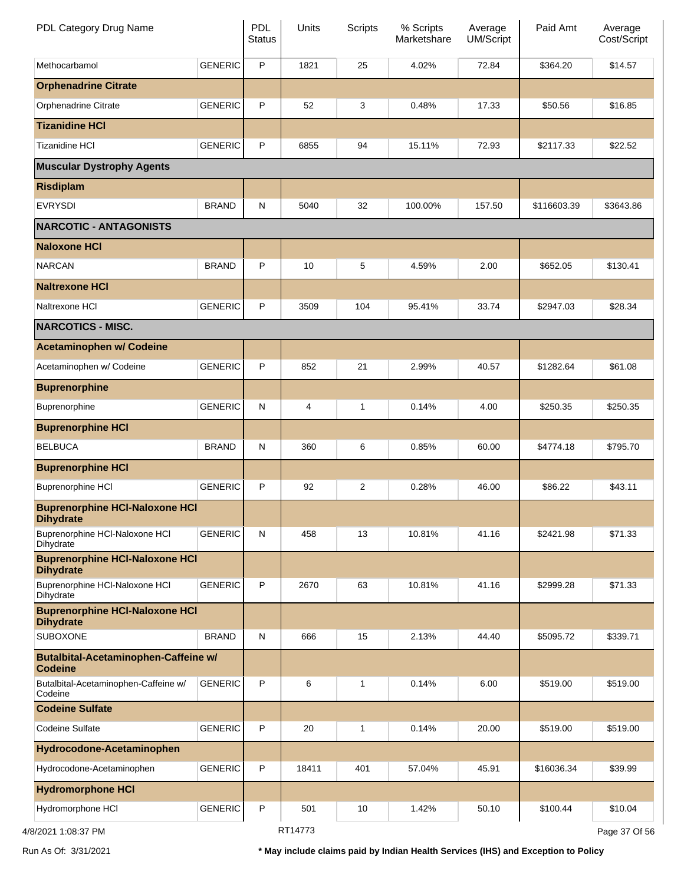| PDL Category Drug Name                                        |                | <b>PDL</b><br><b>Status</b> | Units          | <b>Scripts</b> | % Scripts<br>Marketshare | Average<br>UM/Script | Paid Amt    | Average<br>Cost/Script |
|---------------------------------------------------------------|----------------|-----------------------------|----------------|----------------|--------------------------|----------------------|-------------|------------------------|
| Methocarbamol                                                 | <b>GENERIC</b> | P                           | 1821           | 25             | 4.02%                    | 72.84                | \$364.20    | \$14.57                |
| <b>Orphenadrine Citrate</b>                                   |                |                             |                |                |                          |                      |             |                        |
| Orphenadrine Citrate                                          | <b>GENERIC</b> | P                           | 52             | 3              | 0.48%                    | 17.33                | \$50.56     | \$16.85                |
| <b>Tizanidine HCI</b>                                         |                |                             |                |                |                          |                      |             |                        |
| <b>Tizanidine HCI</b>                                         | <b>GENERIC</b> | P                           | 6855           | 94             | 15.11%                   | 72.93                | \$2117.33   | \$22.52                |
| <b>Muscular Dystrophy Agents</b>                              |                |                             |                |                |                          |                      |             |                        |
| <b>Risdiplam</b>                                              |                |                             |                |                |                          |                      |             |                        |
| <b>EVRYSDI</b>                                                | <b>BRAND</b>   | $\mathsf{N}$                | 5040           | 32             | 100.00%                  | 157.50               | \$116603.39 | \$3643.86              |
| <b>NARCOTIC - ANTAGONISTS</b>                                 |                |                             |                |                |                          |                      |             |                        |
| <b>Naloxone HCI</b>                                           |                |                             |                |                |                          |                      |             |                        |
| <b>NARCAN</b>                                                 | <b>BRAND</b>   | P                           | 10             | 5              | 4.59%                    | 2.00                 | \$652.05    | \$130.41               |
| <b>Naltrexone HCI</b>                                         |                |                             |                |                |                          |                      |             |                        |
| Naltrexone HCI                                                | <b>GENERIC</b> | P                           | 3509           | 104            | 95.41%                   | 33.74                | \$2947.03   | \$28.34                |
| <b>NARCOTICS - MISC.</b>                                      |                |                             |                |                |                          |                      |             |                        |
| <b>Acetaminophen w/ Codeine</b>                               |                |                             |                |                |                          |                      |             |                        |
| Acetaminophen w/ Codeine                                      | <b>GENERIC</b> | P                           | 852            | 21             | 2.99%                    | 40.57                | \$1282.64   | \$61.08                |
| <b>Buprenorphine</b>                                          |                |                             |                |                |                          |                      |             |                        |
| Buprenorphine                                                 | <b>GENERIC</b> | ${\sf N}$                   | $\overline{4}$ | 1              | 0.14%                    | 4.00                 | \$250.35    | \$250.35               |
| <b>Buprenorphine HCI</b>                                      |                |                             |                |                |                          |                      |             |                        |
| <b>BELBUCA</b>                                                | <b>BRAND</b>   | ${\sf N}$                   | 360            | 6              | 0.85%                    | 60.00                | \$4774.18   | \$795.70               |
| <b>Buprenorphine HCI</b>                                      |                |                             |                |                |                          |                      |             |                        |
| <b>Buprenorphine HCI</b>                                      | <b>GENERIC</b> | P                           | 92             | $\overline{c}$ | 0.28%                    | 46.00                | \$86.22     | \$43.11                |
| <b>Buprenorphine HCI-Naloxone HCI</b><br><b>Dihydrate</b>     |                |                             |                |                |                          |                      |             |                        |
| Buprenorphine HCl-Naloxone HCl<br>Dihydrate                   | <b>GENERIC</b> | ${\sf N}$                   | 458            | 13             | 10.81%                   | 41.16                | \$2421.98   | \$71.33                |
| <b>Buprenorphine HCI-Naloxone HCI</b><br><b>Dihydrate</b>     |                |                             |                |                |                          |                      |             |                        |
| Buprenorphine HCI-Naloxone HCI<br>Dihydrate                   | <b>GENERIC</b> | P                           | 2670           | 63             | 10.81%                   | 41.16                | \$2999.28   | \$71.33                |
| <b>Buprenorphine HCI-Naloxone HCI</b><br><b>Dihydrate</b>     |                |                             |                |                |                          |                      |             |                        |
| <b>SUBOXONE</b>                                               | <b>BRAND</b>   | ${\sf N}$                   | 666            | 15             | 2.13%                    | 44.40                | \$5095.72   | \$339.71               |
| <b>Butalbital-Acetaminophen-Caffeine w/</b><br><b>Codeine</b> |                |                             |                |                |                          |                      |             |                        |
| Butalbital-Acetaminophen-Caffeine w/<br>Codeine               | <b>GENERIC</b> | P                           | 6              | 1              | 0.14%                    | 6.00                 | \$519.00    | \$519.00               |
| <b>Codeine Sulfate</b>                                        |                |                             |                |                |                          |                      |             |                        |
| Codeine Sulfate                                               | <b>GENERIC</b> | P                           | 20             | 1              | 0.14%                    | 20.00                | \$519.00    | \$519.00               |
| Hydrocodone-Acetaminophen                                     |                |                             |                |                |                          |                      |             |                        |
| Hydrocodone-Acetaminophen                                     | <b>GENERIC</b> | P                           | 18411          | 401            | 57.04%                   | 45.91                | \$16036.34  | \$39.99                |
| <b>Hydromorphone HCI</b>                                      |                |                             |                |                |                          |                      |             |                        |
| Hydromorphone HCI                                             | <b>GENERIC</b> | P                           | 501            | 10             | 1.42%                    | 50.10                | \$100.44    | \$10.04                |
| 4/8/2021 1:08:37 PM                                           |                |                             | RT14773        |                |                          |                      |             | Page 37 Of 56          |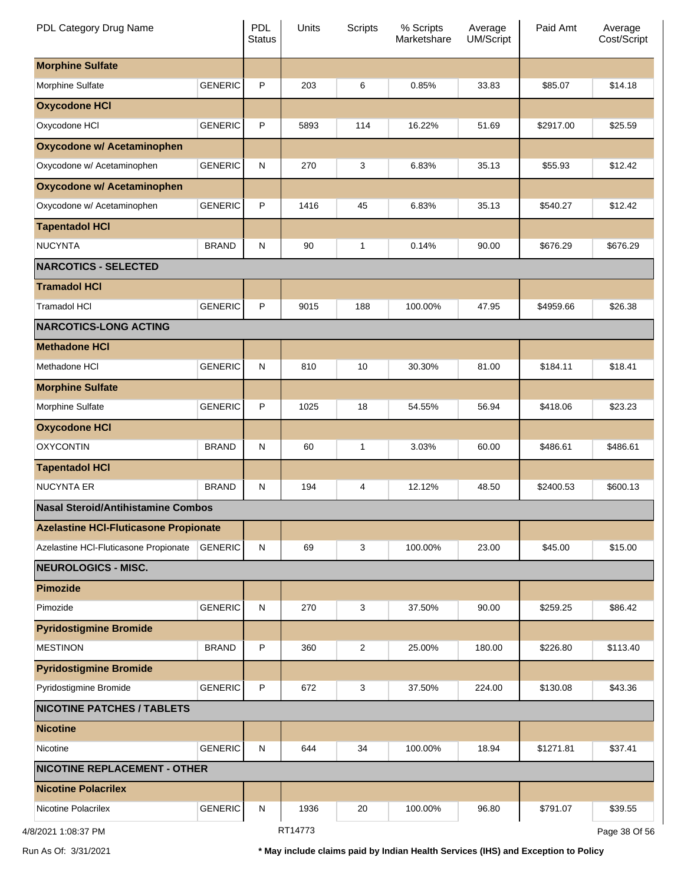| PDL Category Drug Name                       |                | <b>PDL</b><br><b>Status</b> | Units   | <b>Scripts</b> | % Scripts<br>Marketshare | Average<br><b>UM/Script</b> | Paid Amt  | Average<br>Cost/Script |
|----------------------------------------------|----------------|-----------------------------|---------|----------------|--------------------------|-----------------------------|-----------|------------------------|
| <b>Morphine Sulfate</b>                      |                |                             |         |                |                          |                             |           |                        |
| Morphine Sulfate                             | <b>GENERIC</b> | P                           | 203     | 6              | 0.85%                    | 33.83                       | \$85.07   | \$14.18                |
| <b>Oxycodone HCI</b>                         |                |                             |         |                |                          |                             |           |                        |
| Oxycodone HCI                                | <b>GENERIC</b> | $\mathsf{P}$                | 5893    | 114            | 16.22%                   | 51.69                       | \$2917.00 | \$25.59                |
| <b>Oxycodone w/ Acetaminophen</b>            |                |                             |         |                |                          |                             |           |                        |
| Oxycodone w/ Acetaminophen                   | <b>GENERIC</b> | ${\sf N}$                   | 270     | 3              | 6.83%                    | 35.13                       | \$55.93   | \$12.42                |
| Oxycodone w/ Acetaminophen                   |                |                             |         |                |                          |                             |           |                        |
| Oxycodone w/ Acetaminophen                   | <b>GENERIC</b> | $\mathsf{P}$                | 1416    | 45             | 6.83%                    | 35.13                       | \$540.27  | \$12.42                |
| <b>Tapentadol HCI</b>                        |                |                             |         |                |                          |                             |           |                        |
| <b>NUCYNTA</b>                               | <b>BRAND</b>   | $\mathsf{N}$                | 90      | $\mathbf{1}$   | 0.14%                    | 90.00                       | \$676.29  | \$676.29               |
| <b>NARCOTICS - SELECTED</b>                  |                |                             |         |                |                          |                             |           |                        |
| <b>Tramadol HCI</b>                          |                |                             |         |                |                          |                             |           |                        |
| <b>Tramadol HCI</b>                          | <b>GENERIC</b> | $\mathsf P$                 | 9015    | 188            | 100.00%                  | 47.95                       | \$4959.66 | \$26.38                |
| <b>NARCOTICS-LONG ACTING</b>                 |                |                             |         |                |                          |                             |           |                        |
| <b>Methadone HCI</b>                         |                |                             |         |                |                          |                             |           |                        |
| Methadone HCI                                | <b>GENERIC</b> | ${\sf N}$                   | 810     | 10             | 30.30%                   | 81.00                       | \$184.11  | \$18.41                |
| <b>Morphine Sulfate</b>                      |                |                             |         |                |                          |                             |           |                        |
| Morphine Sulfate                             | <b>GENERIC</b> | $\mathsf{P}$                | 1025    | 18             | 54.55%                   | 56.94                       | \$418.06  | \$23.23                |
| <b>Oxycodone HCI</b>                         |                |                             |         |                |                          |                             |           |                        |
| <b>OXYCONTIN</b>                             | <b>BRAND</b>   | $\mathsf{N}$                | 60      | $\mathbf{1}$   | 3.03%                    | 60.00                       | \$486.61  | \$486.61               |
| <b>Tapentadol HCI</b>                        |                |                             |         |                |                          |                             |           |                        |
| <b>NUCYNTA ER</b>                            | <b>BRAND</b>   | $\mathsf{N}$                | 194     | 4              | 12.12%                   | 48.50                       | \$2400.53 | \$600.13               |
| <b>Nasal Steroid/Antihistamine Combos</b>    |                |                             |         |                |                          |                             |           |                        |
| <b>Azelastine HCI-Fluticasone Propionate</b> |                |                             |         |                |                          |                             |           |                        |
| Azelastine HCI-Fluticasone Propionate        | <b>GENERIC</b> | N                           | 69      | 3              | 100.00%                  | 23.00                       | \$45.00   | \$15.00                |
| <b>NEUROLOGICS - MISC.</b>                   |                |                             |         |                |                          |                             |           |                        |
| <b>Pimozide</b>                              |                |                             |         |                |                          |                             |           |                        |
| Pimozide                                     | <b>GENERIC</b> | ${\sf N}$                   | 270     | 3              | 37.50%                   | 90.00                       | \$259.25  | \$86.42                |
| <b>Pyridostigmine Bromide</b>                |                |                             |         |                |                          |                             |           |                        |
| <b>MESTINON</b>                              | <b>BRAND</b>   | $\mathsf{P}$                | 360     | $\overline{2}$ | 25.00%                   | 180.00                      | \$226.80  | \$113.40               |
| <b>Pyridostigmine Bromide</b>                |                |                             |         |                |                          |                             |           |                        |
| Pyridostigmine Bromide                       | <b>GENERIC</b> | $\mathsf{P}$                | 672     | 3              | 37.50%                   | 224.00                      | \$130.08  | \$43.36                |
| <b>NICOTINE PATCHES / TABLETS</b>            |                |                             |         |                |                          |                             |           |                        |
| <b>Nicotine</b>                              |                |                             |         |                |                          |                             |           |                        |
| Nicotine                                     | <b>GENERIC</b> | $\mathsf{N}$                | 644     | 34             | 100.00%                  | 18.94                       | \$1271.81 | \$37.41                |
| <b>NICOTINE REPLACEMENT - OTHER</b>          |                |                             |         |                |                          |                             |           |                        |
| <b>Nicotine Polacrilex</b>                   |                |                             |         |                |                          |                             |           |                        |
| Nicotine Polacrilex                          | <b>GENERIC</b> | N                           | 1936    | 20             | 100.00%                  | 96.80                       | \$791.07  | \$39.55                |
| 4/8/2021 1:08:37 PM                          |                |                             | RT14773 |                |                          |                             |           | Page 38 Of 56          |

Run As Of: 3/31/2021 **\* May include claims paid by Indian Health Services (IHS) and Exception to Policy**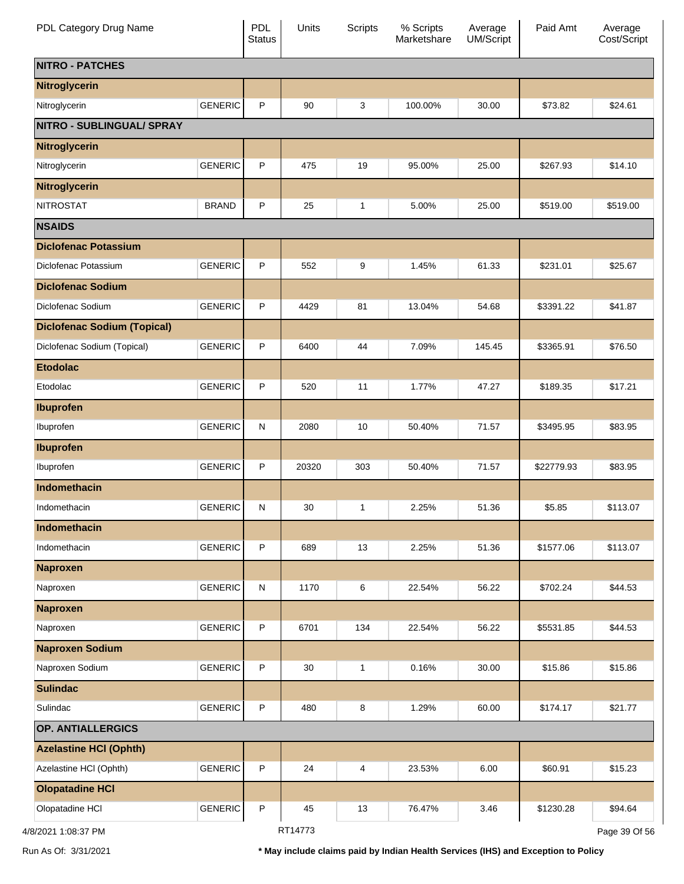| PDL Category Drug Name             |                | PDL<br><b>Status</b> | Units   | Scripts      | % Scripts<br>Marketshare | Average<br>UM/Script | Paid Amt   | Average<br>Cost/Script |
|------------------------------------|----------------|----------------------|---------|--------------|--------------------------|----------------------|------------|------------------------|
| <b>NITRO - PATCHES</b>             |                |                      |         |              |                          |                      |            |                        |
| Nitroglycerin                      |                |                      |         |              |                          |                      |            |                        |
| Nitroglycerin                      | <b>GENERIC</b> | P                    | 90      | 3            | 100.00%                  | 30.00                | \$73.82    | \$24.61                |
| <b>NITRO - SUBLINGUAL/ SPRAY</b>   |                |                      |         |              |                          |                      |            |                        |
| <b>Nitroglycerin</b>               |                |                      |         |              |                          |                      |            |                        |
| Nitroglycerin                      | <b>GENERIC</b> | P                    | 475     | 19           | 95.00%                   | 25.00                | \$267.93   | \$14.10                |
| Nitroglycerin                      |                |                      |         |              |                          |                      |            |                        |
| <b>NITROSTAT</b>                   | <b>BRAND</b>   | P                    | 25      | $\mathbf{1}$ | 5.00%                    | 25.00                | \$519.00   | \$519.00               |
| <b>NSAIDS</b>                      |                |                      |         |              |                          |                      |            |                        |
| <b>Diclofenac Potassium</b>        |                |                      |         |              |                          |                      |            |                        |
| Diclofenac Potassium               | <b>GENERIC</b> | P                    | 552     | 9            | 1.45%                    | 61.33                | \$231.01   | \$25.67                |
| <b>Diclofenac Sodium</b>           |                |                      |         |              |                          |                      |            |                        |
| Diclofenac Sodium                  | <b>GENERIC</b> | P                    | 4429    | 81           | 13.04%                   | 54.68                | \$3391.22  | \$41.87                |
| <b>Diclofenac Sodium (Topical)</b> |                |                      |         |              |                          |                      |            |                        |
| Diclofenac Sodium (Topical)        | <b>GENERIC</b> | P                    | 6400    | 44           | 7.09%                    | 145.45               | \$3365.91  | \$76.50                |
| <b>Etodolac</b>                    |                |                      |         |              |                          |                      |            |                        |
| Etodolac                           | <b>GENERIC</b> | P                    | 520     | 11           | 1.77%                    | 47.27                | \$189.35   | \$17.21                |
| <b>Ibuprofen</b>                   |                |                      |         |              |                          |                      |            |                        |
| Ibuprofen                          | <b>GENERIC</b> | $\mathsf{N}$         | 2080    | 10           | 50.40%                   | 71.57                | \$3495.95  | \$83.95                |
| <b>Ibuprofen</b>                   |                |                      |         |              |                          |                      |            |                        |
| Ibuprofen                          | <b>GENERIC</b> | P                    | 20320   | 303          | 50.40%                   | 71.57                | \$22779.93 | \$83.95                |
| <b>Indomethacin</b>                |                |                      |         |              |                          |                      |            |                        |
| Indomethacin                       | <b>GENERIC</b> | $\mathsf{N}$         | 30      | 1            | 2.25%                    | 51.36                | \$5.85     | \$113.07               |
| Indomethacin                       |                |                      |         |              |                          |                      |            |                        |
| Indomethacin                       | <b>GENERIC</b> | P                    | 689     | 13           | 2.25%                    | 51.36                | \$1577.06  | \$113.07               |
| <b>Naproxen</b>                    |                |                      |         |              |                          |                      |            |                        |
| Naproxen                           | <b>GENERIC</b> | N                    | 1170    | 6            | 22.54%                   | 56.22                | \$702.24   | \$44.53                |
| <b>Naproxen</b>                    |                |                      |         |              |                          |                      |            |                        |
| Naproxen                           | <b>GENERIC</b> | P                    | 6701    | 134          | 22.54%                   | 56.22                | \$5531.85  | \$44.53                |
| <b>Naproxen Sodium</b>             |                |                      |         |              |                          |                      |            |                        |
| Naproxen Sodium                    | <b>GENERIC</b> | P                    | 30      | $\mathbf{1}$ | 0.16%                    | 30.00                | \$15.86    | \$15.86                |
| <b>Sulindac</b>                    |                |                      |         |              |                          |                      |            |                        |
| Sulindac                           | <b>GENERIC</b> | P                    | 480     | 8            | 1.29%                    | 60.00                | \$174.17   | \$21.77                |
| <b>OP. ANTIALLERGICS</b>           |                |                      |         |              |                          |                      |            |                        |
| <b>Azelastine HCI (Ophth)</b>      |                |                      |         |              |                          |                      |            |                        |
| Azelastine HCI (Ophth)             | <b>GENERIC</b> | P                    | 24      | 4            | 23.53%                   | 6.00                 | \$60.91    | \$15.23                |
| <b>Olopatadine HCI</b>             |                |                      |         |              |                          |                      |            |                        |
| Olopatadine HCI                    | <b>GENERIC</b> | P                    | 45      | 13           | 76.47%                   | 3.46                 | \$1230.28  | \$94.64                |
| 4/8/2021 1:08:37 PM                |                |                      | RT14773 |              |                          |                      |            | Page 39 Of 56          |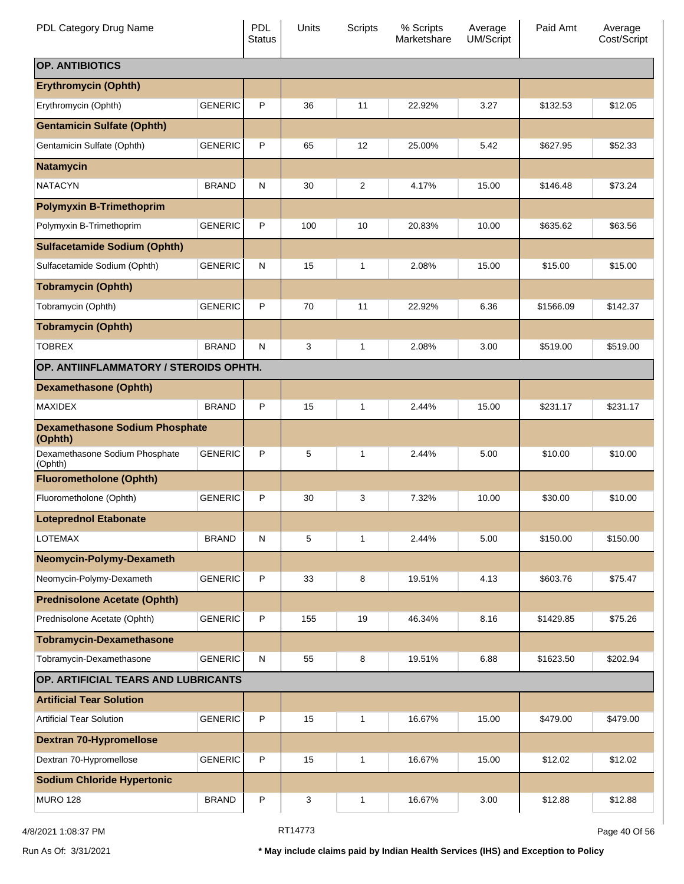| PDL Category Drug Name                           |                | <b>PDL</b><br><b>Status</b> | Units | <b>Scripts</b> | % Scripts<br>Marketshare | Average<br><b>UM/Script</b> | Paid Amt  | Average<br>Cost/Script |
|--------------------------------------------------|----------------|-----------------------------|-------|----------------|--------------------------|-----------------------------|-----------|------------------------|
| <b>OP. ANTIBIOTICS</b>                           |                |                             |       |                |                          |                             |           |                        |
| <b>Erythromycin (Ophth)</b>                      |                |                             |       |                |                          |                             |           |                        |
| Erythromycin (Ophth)                             | <b>GENERIC</b> | P                           | 36    | 11             | 22.92%                   | 3.27                        | \$132.53  | \$12.05                |
| <b>Gentamicin Sulfate (Ophth)</b>                |                |                             |       |                |                          |                             |           |                        |
| Gentamicin Sulfate (Ophth)                       | <b>GENERIC</b> | P                           | 65    | 12             | 25.00%                   | 5.42                        | \$627.95  | \$52.33                |
| <b>Natamycin</b>                                 |                |                             |       |                |                          |                             |           |                        |
| <b>NATACYN</b>                                   | <b>BRAND</b>   | N                           | 30    | 2              | 4.17%                    | 15.00                       | \$146.48  | \$73.24                |
| <b>Polymyxin B-Trimethoprim</b>                  |                |                             |       |                |                          |                             |           |                        |
| Polymyxin B-Trimethoprim                         | <b>GENERIC</b> | P                           | 100   | 10             | 20.83%                   | 10.00                       | \$635.62  | \$63.56                |
| <b>Sulfacetamide Sodium (Ophth)</b>              |                |                             |       |                |                          |                             |           |                        |
| Sulfacetamide Sodium (Ophth)                     | <b>GENERIC</b> | N                           | 15    | 1              | 2.08%                    | 15.00                       | \$15.00   | \$15.00                |
| <b>Tobramycin (Ophth)</b>                        |                |                             |       |                |                          |                             |           |                        |
| Tobramycin (Ophth)                               | <b>GENERIC</b> | P                           | 70    | 11             | 22.92%                   | 6.36                        | \$1566.09 | \$142.37               |
| <b>Tobramycin (Ophth)</b>                        |                |                             |       |                |                          |                             |           |                        |
| <b>TOBREX</b>                                    | <b>BRAND</b>   | N                           | 3     | $\mathbf{1}$   | 2.08%                    | 3.00                        | \$519.00  | \$519.00               |
| OP. ANTIINFLAMMATORY / STEROIDS OPHTH.           |                |                             |       |                |                          |                             |           |                        |
| <b>Dexamethasone (Ophth)</b>                     |                |                             |       |                |                          |                             |           |                        |
| <b>MAXIDEX</b>                                   | <b>BRAND</b>   | P                           | 15    | 1              | 2.44%                    | 15.00                       | \$231.17  | \$231.17               |
| <b>Dexamethasone Sodium Phosphate</b><br>(Ophth) |                |                             |       |                |                          |                             |           |                        |
| Dexamethasone Sodium Phosphate<br>(Ophth)        | <b>GENERIC</b> | P                           | 5     | 1              | 2.44%                    | 5.00                        | \$10.00   | \$10.00                |
| <b>Fluorometholone (Ophth)</b>                   |                |                             |       |                |                          |                             |           |                        |
| Fluorometholone (Ophth)                          | <b>GENERIC</b> | P                           | 30    | 3              | 7.32%                    | 10.00                       | \$30.00   | \$10.00                |
| <b>Loteprednol Etabonate</b>                     |                |                             |       |                |                          |                             |           |                        |
| <b>LOTEMAX</b>                                   | <b>BRAND</b>   | ${\sf N}$                   | 5     | 1              | 2.44%                    | 5.00                        | \$150.00  | \$150.00               |
| Neomycin-Polymy-Dexameth                         |                |                             |       |                |                          |                             |           |                        |
| Neomycin-Polymy-Dexameth                         | <b>GENERIC</b> | P                           | 33    | 8              | 19.51%                   | 4.13                        | \$603.76  | \$75.47                |
| <b>Prednisolone Acetate (Ophth)</b>              |                |                             |       |                |                          |                             |           |                        |
| Prednisolone Acetate (Ophth)                     | <b>GENERIC</b> | P                           | 155   | 19             | 46.34%                   | 8.16                        | \$1429.85 | \$75.26                |
| <b>Tobramycin-Dexamethasone</b>                  |                |                             |       |                |                          |                             |           |                        |
| Tobramycin-Dexamethasone                         | <b>GENERIC</b> | ${\sf N}$                   | 55    | 8              | 19.51%                   | 6.88                        | \$1623.50 | \$202.94               |
| OP. ARTIFICIAL TEARS AND LUBRICANTS              |                |                             |       |                |                          |                             |           |                        |
| <b>Artificial Tear Solution</b>                  |                |                             |       |                |                          |                             |           |                        |
| <b>Artificial Tear Solution</b>                  | <b>GENERIC</b> | $\sf P$                     | 15    | $\mathbf{1}$   | 16.67%                   | 15.00                       | \$479.00  | \$479.00               |
| <b>Dextran 70-Hypromellose</b>                   |                |                             |       |                |                          |                             |           |                        |
| Dextran 70-Hypromellose                          | <b>GENERIC</b> | P                           | 15    | $\mathbf{1}$   | 16.67%                   | 15.00                       | \$12.02   | \$12.02                |
| <b>Sodium Chloride Hypertonic</b>                |                |                             |       |                |                          |                             |           |                        |
| <b>MURO 128</b>                                  | <b>BRAND</b>   | ${\sf P}$                   | 3     | 1              | 16.67%                   | 3.00                        | \$12.88   | \$12.88                |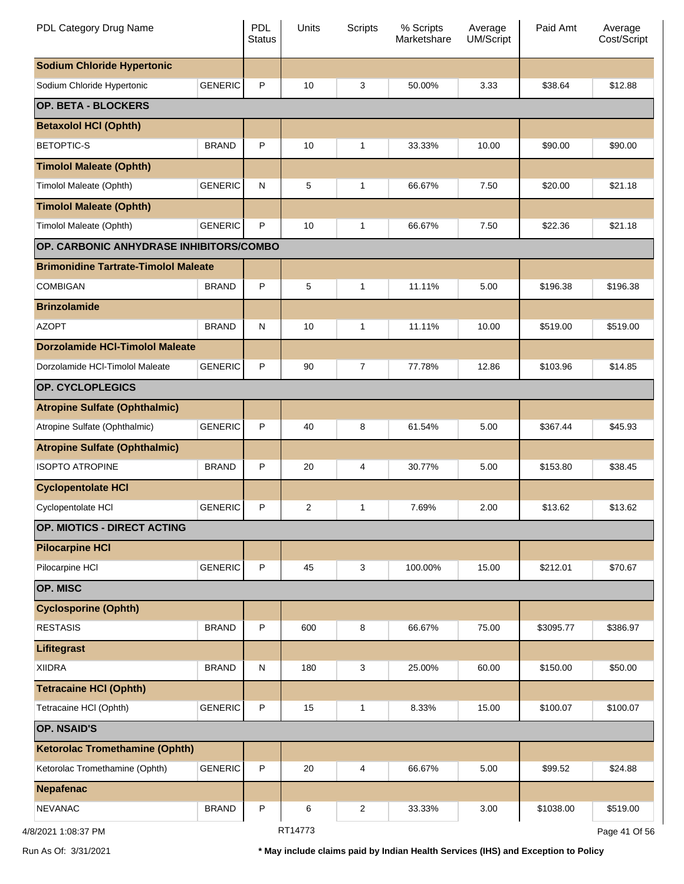| PDL Category Drug Name                      |                | <b>PDL</b><br><b>Status</b> | Units   | <b>Scripts</b> | % Scripts<br>Marketshare | Average<br><b>UM/Script</b> | Paid Amt  | Average<br>Cost/Script |
|---------------------------------------------|----------------|-----------------------------|---------|----------------|--------------------------|-----------------------------|-----------|------------------------|
| <b>Sodium Chloride Hypertonic</b>           |                |                             |         |                |                          |                             |           |                        |
| Sodium Chloride Hypertonic                  | <b>GENERIC</b> | $\mathsf{P}$                | 10      | 3              | 50.00%                   | 3.33                        | \$38.64   | \$12.88                |
| OP. BETA - BLOCKERS                         |                |                             |         |                |                          |                             |           |                        |
| <b>Betaxolol HCI (Ophth)</b>                |                |                             |         |                |                          |                             |           |                        |
| <b>BETOPTIC-S</b>                           | <b>BRAND</b>   | $\mathsf{P}$                | 10      | $\mathbf{1}$   | 33.33%                   | 10.00                       | \$90.00   | \$90.00                |
| <b>Timolol Maleate (Ophth)</b>              |                |                             |         |                |                          |                             |           |                        |
| Timolol Maleate (Ophth)                     | <b>GENERIC</b> | $\mathsf{N}$                | 5       | $\mathbf{1}$   | 66.67%                   | 7.50                        | \$20.00   | \$21.18                |
| <b>Timolol Maleate (Ophth)</b>              |                |                             |         |                |                          |                             |           |                        |
| Timolol Maleate (Ophth)                     | <b>GENERIC</b> | P                           | 10      | 1              | 66.67%                   | 7.50                        | \$22.36   | \$21.18                |
| OP. CARBONIC ANHYDRASE INHIBITORS/COMBO     |                |                             |         |                |                          |                             |           |                        |
| <b>Brimonidine Tartrate-Timolol Maleate</b> |                |                             |         |                |                          |                             |           |                        |
| <b>COMBIGAN</b>                             | <b>BRAND</b>   | $\mathsf{P}$                | 5       | $\mathbf{1}$   | 11.11%                   | 5.00                        | \$196.38  | \$196.38               |
| <b>Brinzolamide</b>                         |                |                             |         |                |                          |                             |           |                        |
| <b>AZOPT</b>                                | <b>BRAND</b>   | $\mathsf{N}$                | 10      | $\mathbf{1}$   | 11.11%                   | 10.00                       | \$519.00  | \$519.00               |
| <b>Dorzolamide HCI-Timolol Maleate</b>      |                |                             |         |                |                          |                             |           |                        |
| Dorzolamide HCI-Timolol Maleate             | <b>GENERIC</b> | $\mathsf{P}$                | 90      | $\overline{7}$ | 77.78%                   | 12.86                       | \$103.96  | \$14.85                |
| OP. CYCLOPLEGICS                            |                |                             |         |                |                          |                             |           |                        |
| <b>Atropine Sulfate (Ophthalmic)</b>        |                |                             |         |                |                          |                             |           |                        |
| Atropine Sulfate (Ophthalmic)               | <b>GENERIC</b> | $\mathsf{P}$                | 40      | 8              | 61.54%                   | 5.00                        | \$367.44  | \$45.93                |
| <b>Atropine Sulfate (Ophthalmic)</b>        |                |                             |         |                |                          |                             |           |                        |
| <b>ISOPTO ATROPINE</b>                      | <b>BRAND</b>   | $\mathsf{P}$                | 20      | 4              | 30.77%                   | 5.00                        | \$153.80  | \$38.45                |
| <b>Cyclopentolate HCI</b>                   |                |                             |         |                |                          |                             |           |                        |
| Cyclopentolate HCI                          | <b>GENERIC</b> | P                           | 2       | 1              | 7.69%                    | 2.00                        | \$13.62   | \$13.62                |
| OP. MIOTICS - DIRECT ACTING                 |                |                             |         |                |                          |                             |           |                        |
| <b>Pilocarpine HCI</b>                      |                |                             |         |                |                          |                             |           |                        |
| Pilocarpine HCI                             | <b>GENERIC</b> | $\mathsf P$                 | 45      | 3              | 100.00%                  | 15.00                       | \$212.01  | \$70.67                |
| OP. MISC                                    |                |                             |         |                |                          |                             |           |                        |
| <b>Cyclosporine (Ophth)</b>                 |                |                             |         |                |                          |                             |           |                        |
| <b>RESTASIS</b>                             | <b>BRAND</b>   | $\mathsf{P}$                | 600     | 8              | 66.67%                   | 75.00                       | \$3095.77 | \$386.97               |
| Lifitegrast                                 |                |                             |         |                |                          |                             |           |                        |
| <b>XIIDRA</b>                               | <b>BRAND</b>   | $\mathsf{N}$                | 180     | 3              | 25.00%                   | 60.00                       | \$150.00  | \$50.00                |
| <b>Tetracaine HCI (Ophth)</b>               |                |                             |         |                |                          |                             |           |                        |
| Tetracaine HCI (Ophth)                      | <b>GENERIC</b> | $\mathsf{P}$                | 15      | $\mathbf{1}$   | 8.33%                    | 15.00                       | \$100.07  | \$100.07               |
| <b>OP. NSAID'S</b>                          |                |                             |         |                |                          |                             |           |                        |
| <b>Ketorolac Tromethamine (Ophth)</b>       |                |                             |         |                |                          |                             |           |                        |
| Ketorolac Tromethamine (Ophth)              | <b>GENERIC</b> | $\mathsf P$                 | 20      | 4              | 66.67%                   | 5.00                        | \$99.52   | \$24.88                |
| <b>Nepafenac</b>                            |                |                             |         |                |                          |                             |           |                        |
| <b>NEVANAC</b>                              | <b>BRAND</b>   | $\mathsf{P}$                | 6       | 2              | 33.33%                   | 3.00                        | \$1038.00 | \$519.00               |
| 4/8/2021 1:08:37 PM                         |                |                             | RT14773 |                |                          |                             |           | Page 41 Of 56          |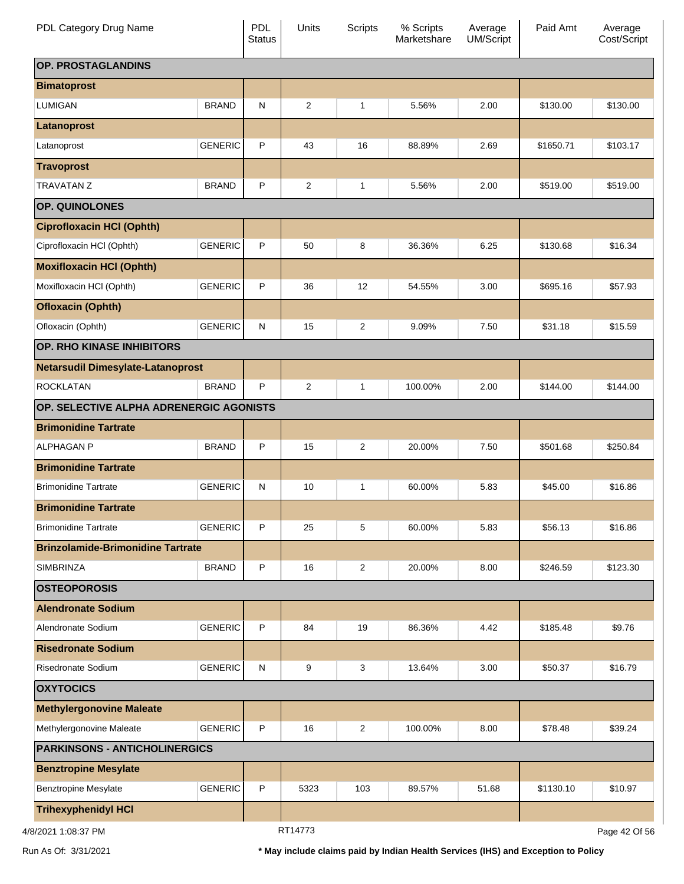| PDL Category Drug Name                   |                | PDL<br><b>Status</b> | Units          | <b>Scripts</b> | % Scripts<br>Marketshare | Average<br>UM/Script | Paid Amt  | Average<br>Cost/Script |
|------------------------------------------|----------------|----------------------|----------------|----------------|--------------------------|----------------------|-----------|------------------------|
| OP. PROSTAGLANDINS                       |                |                      |                |                |                          |                      |           |                        |
| <b>Bimatoprost</b>                       |                |                      |                |                |                          |                      |           |                        |
| <b>LUMIGAN</b>                           | <b>BRAND</b>   | ${\sf N}$            | 2              | 1              | 5.56%                    | 2.00                 | \$130.00  | \$130.00               |
| Latanoprost                              |                |                      |                |                |                          |                      |           |                        |
| Latanoprost                              | <b>GENERIC</b> | P                    | 43             | 16             | 88.89%                   | 2.69                 | \$1650.71 | \$103.17               |
| <b>Travoprost</b>                        |                |                      |                |                |                          |                      |           |                        |
| <b>TRAVATAN Z</b>                        | <b>BRAND</b>   | P                    | $\overline{2}$ | 1              | 5.56%                    | 2.00                 | \$519.00  | \$519.00               |
| OP. QUINOLONES                           |                |                      |                |                |                          |                      |           |                        |
| <b>Ciprofloxacin HCI (Ophth)</b>         |                |                      |                |                |                          |                      |           |                        |
| Ciprofloxacin HCI (Ophth)                | <b>GENERIC</b> | P                    | 50             | 8              | 36.36%                   | 6.25                 | \$130.68  | \$16.34                |
| <b>Moxifloxacin HCI (Ophth)</b>          |                |                      |                |                |                          |                      |           |                        |
| Moxifloxacin HCl (Ophth)                 | <b>GENERIC</b> | P                    | 36             | 12             | 54.55%                   | 3.00                 | \$695.16  | \$57.93                |
| <b>Ofloxacin (Ophth)</b>                 |                |                      |                |                |                          |                      |           |                        |
| Ofloxacin (Ophth)                        | <b>GENERIC</b> | N                    | 15             | 2              | 9.09%                    | 7.50                 | \$31.18   | \$15.59                |
| OP. RHO KINASE INHIBITORS                |                |                      |                |                |                          |                      |           |                        |
| <b>Netarsudil Dimesylate-Latanoprost</b> |                |                      |                |                |                          |                      |           |                        |
| <b>ROCKLATAN</b>                         | <b>BRAND</b>   | P                    | 2              | 1              | 100.00%                  | 2.00                 | \$144.00  | \$144.00               |
| OP. SELECTIVE ALPHA ADRENERGIC AGONISTS  |                |                      |                |                |                          |                      |           |                        |
| <b>Brimonidine Tartrate</b>              |                |                      |                |                |                          |                      |           |                        |
| <b>ALPHAGAN P</b>                        | <b>BRAND</b>   | P                    | 15             | 2              | 20.00%                   | 7.50                 | \$501.68  | \$250.84               |
| <b>Brimonidine Tartrate</b>              |                |                      |                |                |                          |                      |           |                        |
| <b>Brimonidine Tartrate</b>              | <b>GENERIC</b> | ${\sf N}$            | 10             | 1              | 60.00%                   | 5.83                 | \$45.00   | \$16.86                |
| <b>Brimonidine Tartrate</b>              |                |                      |                |                |                          |                      |           |                        |
| <b>Brimonidine Tartrate</b>              | <b>GENERIC</b> | P                    | 25             | 5              | 60.00%                   | 5.83                 | \$56.13   | \$16.86                |
| <b>Brinzolamide-Brimonidine Tartrate</b> |                |                      |                |                |                          |                      |           |                        |
| SIMBRINZA                                | <b>BRAND</b>   | P                    | 16             | 2              | 20.00%                   | 8.00                 | \$246.59  | \$123.30               |
| <b>OSTEOPOROSIS</b>                      |                |                      |                |                |                          |                      |           |                        |
| <b>Alendronate Sodium</b>                |                |                      |                |                |                          |                      |           |                        |
| Alendronate Sodium                       | <b>GENERIC</b> | P                    | 84             | 19             | 86.36%                   | 4.42                 | \$185.48  | \$9.76                 |
| <b>Risedronate Sodium</b>                |                |                      |                |                |                          |                      |           |                        |
| Risedronate Sodium                       | <b>GENERIC</b> | ${\sf N}$            | 9              | 3              | 13.64%                   | 3.00                 | \$50.37   | \$16.79                |
| <b>OXYTOCICS</b>                         |                |                      |                |                |                          |                      |           |                        |
| <b>Methylergonovine Maleate</b>          |                |                      |                |                |                          |                      |           |                        |
| Methylergonovine Maleate                 | <b>GENERIC</b> | P                    | 16             | 2              | 100.00%                  | 8.00                 | \$78.48   | \$39.24                |
| <b>PARKINSONS - ANTICHOLINERGICS</b>     |                |                      |                |                |                          |                      |           |                        |
| <b>Benztropine Mesylate</b>              |                |                      |                |                |                          |                      |           |                        |
| <b>Benztropine Mesylate</b>              | <b>GENERIC</b> | P                    | 5323           | 103            | 89.57%                   | 51.68                | \$1130.10 | \$10.97                |
| <b>Trihexyphenidyl HCI</b>               |                |                      |                |                |                          |                      |           |                        |
| 4/8/2021 1:08:37 PM                      |                |                      | RT14773        |                |                          |                      |           | Page 42 Of 56          |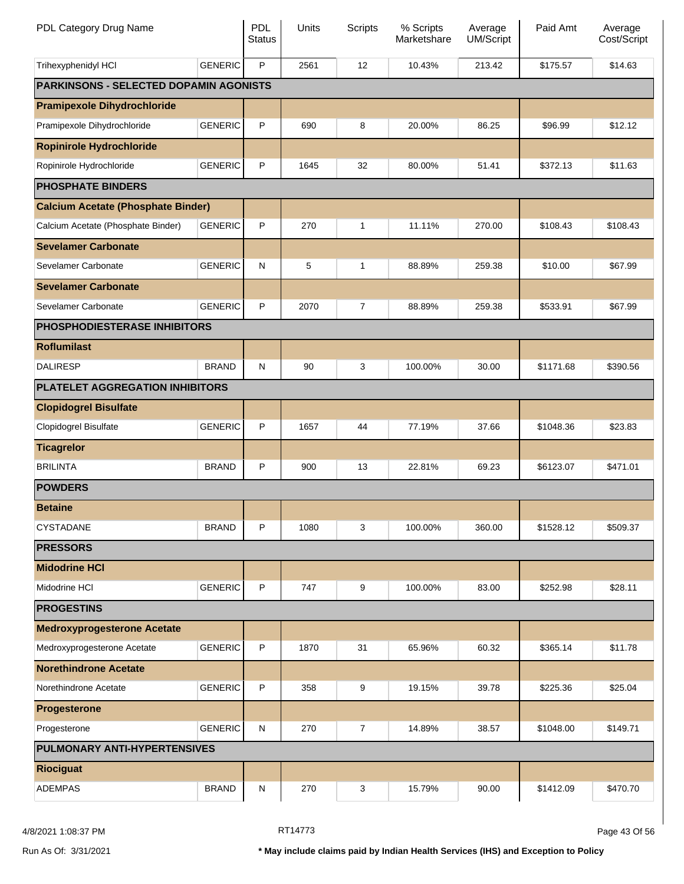| PDL Category Drug Name                        |                | <b>PDL</b><br><b>Status</b> | Units | <b>Scripts</b> | % Scripts<br>Marketshare | Average<br><b>UM/Script</b> | Paid Amt  | Average<br>Cost/Script |
|-----------------------------------------------|----------------|-----------------------------|-------|----------------|--------------------------|-----------------------------|-----------|------------------------|
| Trihexyphenidyl HCI                           | <b>GENERIC</b> | P                           | 2561  | 12             | 10.43%                   | 213.42                      | \$175.57  | \$14.63                |
| <b>PARKINSONS - SELECTED DOPAMIN AGONISTS</b> |                |                             |       |                |                          |                             |           |                        |
| <b>Pramipexole Dihydrochloride</b>            |                |                             |       |                |                          |                             |           |                        |
| Pramipexole Dihydrochloride                   | <b>GENERIC</b> | $\sf P$                     | 690   | 8              | 20.00%                   | 86.25                       | \$96.99   | \$12.12                |
| <b>Ropinirole Hydrochloride</b>               |                |                             |       |                |                          |                             |           |                        |
| Ropinirole Hydrochloride                      | <b>GENERIC</b> | P                           | 1645  | 32             | 80.00%                   | 51.41                       | \$372.13  | \$11.63                |
| <b>PHOSPHATE BINDERS</b>                      |                |                             |       |                |                          |                             |           |                        |
| <b>Calcium Acetate (Phosphate Binder)</b>     |                |                             |       |                |                          |                             |           |                        |
| Calcium Acetate (Phosphate Binder)            | <b>GENERIC</b> | P                           | 270   | 1              | 11.11%                   | 270.00                      | \$108.43  | \$108.43               |
| <b>Sevelamer Carbonate</b>                    |                |                             |       |                |                          |                             |           |                        |
| Sevelamer Carbonate                           | <b>GENERIC</b> | N                           | 5     | 1              | 88.89%                   | 259.38                      | \$10.00   | \$67.99                |
| <b>Sevelamer Carbonate</b>                    |                |                             |       |                |                          |                             |           |                        |
| Sevelamer Carbonate                           | <b>GENERIC</b> | P                           | 2070  | 7              | 88.89%                   | 259.38                      | \$533.91  | \$67.99                |
| <b>PHOSPHODIESTERASE INHIBITORS</b>           |                |                             |       |                |                          |                             |           |                        |
| <b>Roflumilast</b>                            |                |                             |       |                |                          |                             |           |                        |
| <b>DALIRESP</b>                               | <b>BRAND</b>   | N                           | 90    | 3              | 100.00%                  | 30.00                       | \$1171.68 | \$390.56               |
| PLATELET AGGREGATION INHIBITORS               |                |                             |       |                |                          |                             |           |                        |
| <b>Clopidogrel Bisulfate</b>                  |                |                             |       |                |                          |                             |           |                        |
| Clopidogrel Bisulfate                         | <b>GENERIC</b> | P                           | 1657  | 44             | 77.19%                   | 37.66                       | \$1048.36 | \$23.83                |
| <b>Ticagrelor</b>                             |                |                             |       |                |                          |                             |           |                        |
| <b>BRILINTA</b>                               | <b>BRAND</b>   | P                           | 900   | 13             | 22.81%                   | 69.23                       | \$6123.07 | \$471.01               |
| <b>POWDERS</b>                                |                |                             |       |                |                          |                             |           |                        |
| <b>Betaine</b>                                |                |                             |       |                |                          |                             |           |                        |
| CYSTADANE                                     | <b>BRAND</b>   | P                           | 1080  | 3              | 100.00%                  | 360.00                      | \$1528.12 | \$509.37               |
| <b>PRESSORS</b>                               |                |                             |       |                |                          |                             |           |                        |
| <b>Midodrine HCI</b>                          |                |                             |       |                |                          |                             |           |                        |
| Midodrine HCI                                 | <b>GENERIC</b> | $\sf P$                     | 747   | 9              | 100.00%                  | 83.00                       | \$252.98  | \$28.11                |
| <b>PROGESTINS</b>                             |                |                             |       |                |                          |                             |           |                        |
| <b>Medroxyprogesterone Acetate</b>            |                |                             |       |                |                          |                             |           |                        |
| Medroxyprogesterone Acetate                   | <b>GENERIC</b> | P                           | 1870  | 31             | 65.96%                   | 60.32                       | \$365.14  | \$11.78                |
| <b>Norethindrone Acetate</b>                  |                |                             |       |                |                          |                             |           |                        |
| Norethindrone Acetate                         | <b>GENERIC</b> | P                           | 358   | 9              | 19.15%                   | 39.78                       | \$225.36  | \$25.04                |
| Progesterone                                  |                |                             |       |                |                          |                             |           |                        |
| Progesterone                                  | <b>GENERIC</b> | N                           | 270   | 7              | 14.89%                   | 38.57                       | \$1048.00 | \$149.71               |
| <b>PULMONARY ANTI-HYPERTENSIVES</b>           |                |                             |       |                |                          |                             |           |                        |
| <b>Riociguat</b>                              |                |                             |       |                |                          |                             |           |                        |
| <b>ADEMPAS</b>                                | <b>BRAND</b>   | ${\sf N}$                   | 270   | 3              | 15.79%                   | 90.00                       | \$1412.09 | \$470.70               |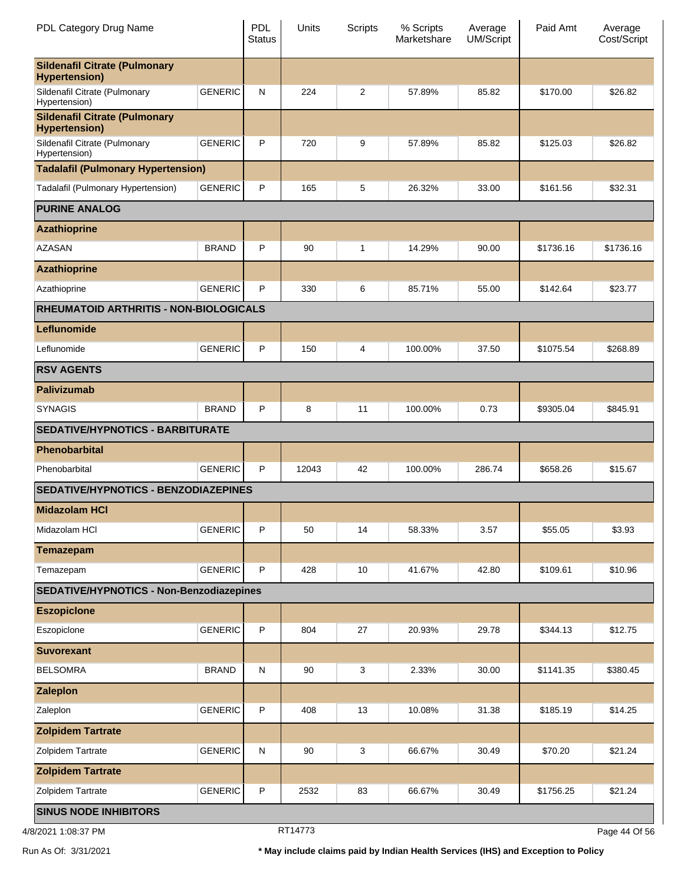| PDL Category Drug Name                                       |                | <b>PDL</b><br><b>Status</b> | Units | <b>Scripts</b> | % Scripts<br>Marketshare | Average<br><b>UM/Script</b> | Paid Amt  | Average<br>Cost/Script |
|--------------------------------------------------------------|----------------|-----------------------------|-------|----------------|--------------------------|-----------------------------|-----------|------------------------|
| <b>Sildenafil Citrate (Pulmonary</b><br><b>Hypertension)</b> |                |                             |       |                |                          |                             |           |                        |
| Sildenafil Citrate (Pulmonary<br>Hypertension)               | <b>GENERIC</b> | N                           | 224   | 2              | 57.89%                   | 85.82                       | \$170.00  | \$26.82                |
| <b>Sildenafil Citrate (Pulmonary</b><br><b>Hypertension)</b> |                |                             |       |                |                          |                             |           |                        |
| Sildenafil Citrate (Pulmonary<br>Hypertension)               | <b>GENERIC</b> | P                           | 720   | 9              | 57.89%                   | 85.82                       | \$125.03  | \$26.82                |
| <b>Tadalafil (Pulmonary Hypertension)</b>                    |                |                             |       |                |                          |                             |           |                        |
| Tadalafil (Pulmonary Hypertension)                           | <b>GENERIC</b> | P                           | 165   | 5              | 26.32%                   | 33.00                       | \$161.56  | \$32.31                |
| <b>PURINE ANALOG</b>                                         |                |                             |       |                |                          |                             |           |                        |
| <b>Azathioprine</b>                                          |                |                             |       |                |                          |                             |           |                        |
| <b>AZASAN</b>                                                | <b>BRAND</b>   | P                           | 90    | 1              | 14.29%                   | 90.00                       | \$1736.16 | \$1736.16              |
| <b>Azathioprine</b>                                          |                |                             |       |                |                          |                             |           |                        |
| Azathioprine                                                 | <b>GENERIC</b> | P                           | 330   | 6              | 85.71%                   | 55.00                       | \$142.64  | \$23.77                |
| <b>RHEUMATOID ARTHRITIS - NON-BIOLOGICALS</b>                |                |                             |       |                |                          |                             |           |                        |
| Leflunomide                                                  |                |                             |       |                |                          |                             |           |                        |
| Leflunomide                                                  | <b>GENERIC</b> | P                           | 150   | 4              | 100.00%                  | 37.50                       | \$1075.54 | \$268.89               |
| <b>RSV AGENTS</b>                                            |                |                             |       |                |                          |                             |           |                        |
| <b>Palivizumab</b>                                           |                |                             |       |                |                          |                             |           |                        |
| <b>SYNAGIS</b>                                               | <b>BRAND</b>   | P                           | 8     | 11             | 100.00%                  | 0.73                        | \$9305.04 | \$845.91               |
| <b>SEDATIVE/HYPNOTICS - BARBITURATE</b>                      |                |                             |       |                |                          |                             |           |                        |
| Phenobarbital                                                |                |                             |       |                |                          |                             |           |                        |
| Phenobarbital                                                | <b>GENERIC</b> | P                           | 12043 | 42             | 100.00%                  | 286.74                      | \$658.26  | \$15.67                |
| <b>SEDATIVE/HYPNOTICS - BENZODIAZEPINES</b>                  |                |                             |       |                |                          |                             |           |                        |
| <b>Midazolam HCI</b>                                         |                |                             |       |                |                          |                             |           |                        |
| Midazolam HCI                                                | <b>GENERIC</b> | P                           | 50    | 14             | 58.33%                   | 3.57                        | \$55.05   | \$3.93                 |
| <b>Temazepam</b>                                             |                |                             |       |                |                          |                             |           |                        |
| Temazepam                                                    | <b>GENERIC</b> | $\sf P$                     | 428   | 10             | 41.67%                   | 42.80                       | \$109.61  | \$10.96                |
| SEDATIVE/HYPNOTICS - Non-Benzodiazepines                     |                |                             |       |                |                          |                             |           |                        |
| <b>Eszopicione</b>                                           |                |                             |       |                |                          |                             |           |                        |
| Eszopiclone                                                  | <b>GENERIC</b> | $\sf P$                     | 804   | 27             | 20.93%                   | 29.78                       | \$344.13  | \$12.75                |
| <b>Suvorexant</b>                                            |                |                             |       |                |                          |                             |           |                        |
| <b>BELSOMRA</b>                                              | <b>BRAND</b>   | N                           | 90    | 3              | 2.33%                    | 30.00                       | \$1141.35 | \$380.45               |
| <b>Zaleplon</b>                                              |                |                             |       |                |                          |                             |           |                        |
| Zaleplon                                                     | <b>GENERIC</b> | P                           | 408   | 13             | 10.08%                   | 31.38                       | \$185.19  | \$14.25                |
| <b>Zolpidem Tartrate</b>                                     |                |                             |       |                |                          |                             |           |                        |
| Zolpidem Tartrate                                            | <b>GENERIC</b> | ${\sf N}$                   | 90    | 3              | 66.67%                   | 30.49                       | \$70.20   | \$21.24                |
| <b>Zolpidem Tartrate</b>                                     |                |                             |       |                |                          |                             |           |                        |
| Zolpidem Tartrate                                            | <b>GENERIC</b> | $\sf P$                     | 2532  | 83             | 66.67%                   | 30.49                       | \$1756.25 | \$21.24                |
| <b>SINUS NODE INHIBITORS</b>                                 |                |                             |       |                |                          |                             |           |                        |

4/8/2021 1:08:37 PM

RT14773

Page 44 Of 56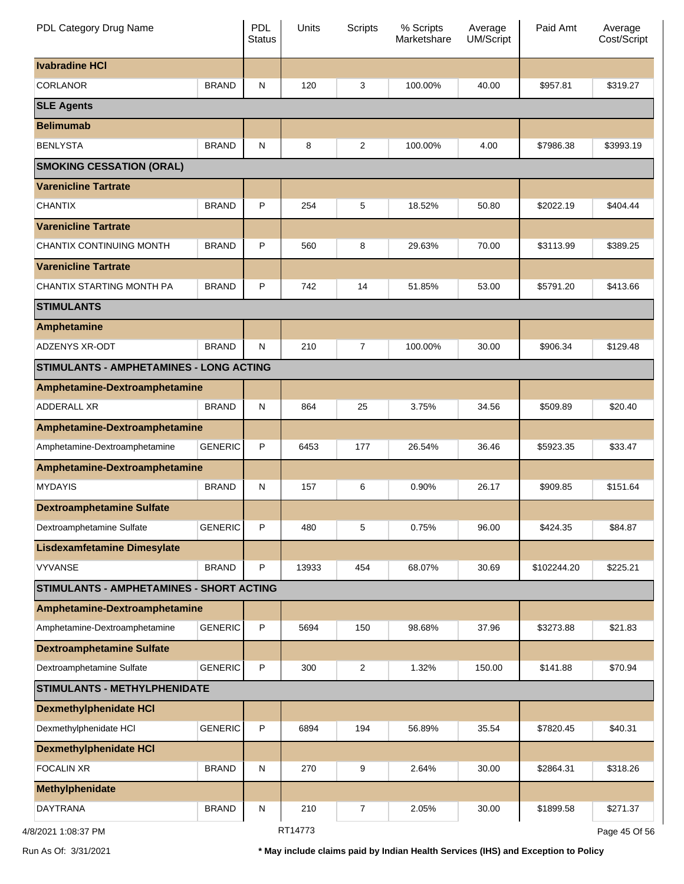| PDL Category Drug Name                   |                | <b>PDL</b><br><b>Status</b> | Units   | <b>Scripts</b> | % Scripts<br>Marketshare | Average<br><b>UM/Script</b> | Paid Amt    | Average<br>Cost/Script |
|------------------------------------------|----------------|-----------------------------|---------|----------------|--------------------------|-----------------------------|-------------|------------------------|
| <b>Ivabradine HCI</b>                    |                |                             |         |                |                          |                             |             |                        |
| <b>CORLANOR</b>                          | <b>BRAND</b>   | $\mathsf{N}$                | 120     | 3              | 100.00%                  | 40.00                       | \$957.81    | \$319.27               |
| <b>SLE Agents</b>                        |                |                             |         |                |                          |                             |             |                        |
| <b>Belimumab</b>                         |                |                             |         |                |                          |                             |             |                        |
| <b>BENLYSTA</b>                          | <b>BRAND</b>   | ${\sf N}$                   | 8       | $\overline{2}$ | 100.00%                  | 4.00                        | \$7986.38   | \$3993.19              |
| <b>SMOKING CESSATION (ORAL)</b>          |                |                             |         |                |                          |                             |             |                        |
| <b>Varenicline Tartrate</b>              |                |                             |         |                |                          |                             |             |                        |
| <b>CHANTIX</b>                           | <b>BRAND</b>   | P                           | 254     | 5              | 18.52%                   | 50.80                       | \$2022.19   | \$404.44               |
| <b>Varenicline Tartrate</b>              |                |                             |         |                |                          |                             |             |                        |
| CHANTIX CONTINUING MONTH                 | <b>BRAND</b>   | P                           | 560     | 8              | 29.63%                   | 70.00                       | \$3113.99   | \$389.25               |
| <b>Varenicline Tartrate</b>              |                |                             |         |                |                          |                             |             |                        |
| CHANTIX STARTING MONTH PA                | <b>BRAND</b>   | P                           | 742     | 14             | 51.85%                   | 53.00                       | \$5791.20   | \$413.66               |
| <b>STIMULANTS</b>                        |                |                             |         |                |                          |                             |             |                        |
| Amphetamine                              |                |                             |         |                |                          |                             |             |                        |
| ADZENYS XR-ODT                           | <b>BRAND</b>   | N                           | 210     | $\overline{7}$ | 100.00%                  | 30.00                       | \$906.34    | \$129.48               |
| STIMULANTS - AMPHETAMINES - LONG ACTING  |                |                             |         |                |                          |                             |             |                        |
| Amphetamine-Dextroamphetamine            |                |                             |         |                |                          |                             |             |                        |
| ADDERALL XR                              | <b>BRAND</b>   | ${\sf N}$                   | 864     | 25             | 3.75%                    | 34.56                       | \$509.89    | \$20.40                |
| Amphetamine-Dextroamphetamine            |                |                             |         |                |                          |                             |             |                        |
| Amphetamine-Dextroamphetamine            | <b>GENERIC</b> | P                           | 6453    | 177            | 26.54%                   | 36.46                       | \$5923.35   | \$33.47                |
| Amphetamine-Dextroamphetamine            |                |                             |         |                |                          |                             |             |                        |
| <b>MYDAYIS</b>                           | <b>BRAND</b>   | $\mathsf{N}$                | 157     | 6              | 0.90%                    | 26.17                       | \$909.85    | \$151.64               |
| <b>Dextroamphetamine Sulfate</b>         |                |                             |         |                |                          |                             |             |                        |
| Dextroamphetamine Sulfate                | <b>GENERIC</b> | $\mathsf P$                 | 480     | 5              | 0.75%                    | 96.00                       | \$424.35    | \$84.87                |
| <b>Lisdexamfetamine Dimesylate</b>       |                |                             |         |                |                          |                             |             |                        |
| <b>VYVANSE</b>                           | <b>BRAND</b>   | $\mathsf{P}$                | 13933   | 454            | 68.07%                   | 30.69                       | \$102244.20 | \$225.21               |
| STIMULANTS - AMPHETAMINES - SHORT ACTING |                |                             |         |                |                          |                             |             |                        |
| Amphetamine-Dextroamphetamine            |                |                             |         |                |                          |                             |             |                        |
| Amphetamine-Dextroamphetamine            | <b>GENERIC</b> | $\mathsf{P}$                | 5694    | 150            | 98.68%                   | 37.96                       | \$3273.88   | \$21.83                |
| <b>Dextroamphetamine Sulfate</b>         |                |                             |         |                |                          |                             |             |                        |
| Dextroamphetamine Sulfate                | <b>GENERIC</b> | $\mathsf{P}$                | 300     | $\overline{2}$ | 1.32%                    | 150.00                      | \$141.88    | \$70.94                |
| <b>STIMULANTS - METHYLPHENIDATE</b>      |                |                             |         |                |                          |                             |             |                        |
| <b>Dexmethylphenidate HCI</b>            |                |                             |         |                |                          |                             |             |                        |
| Dexmethylphenidate HCl                   | <b>GENERIC</b> | $\mathsf P$                 | 6894    | 194            | 56.89%                   | 35.54                       | \$7820.45   | \$40.31                |
| <b>Dexmethylphenidate HCI</b>            |                |                             |         |                |                          |                             |             |                        |
| <b>FOCALIN XR</b>                        | <b>BRAND</b>   | $\mathsf{N}$                | 270     | 9              | 2.64%                    | 30.00                       | \$2864.31   | \$318.26               |
| Methylphenidate                          |                |                             |         |                |                          |                             |             |                        |
| <b>DAYTRANA</b>                          | <b>BRAND</b>   | N                           | 210     | 7              | 2.05%                    | 30.00                       | \$1899.58   | \$271.37               |
| 4/8/2021 1:08:37 PM                      |                |                             | RT14773 |                |                          |                             |             | Page 45 Of 56          |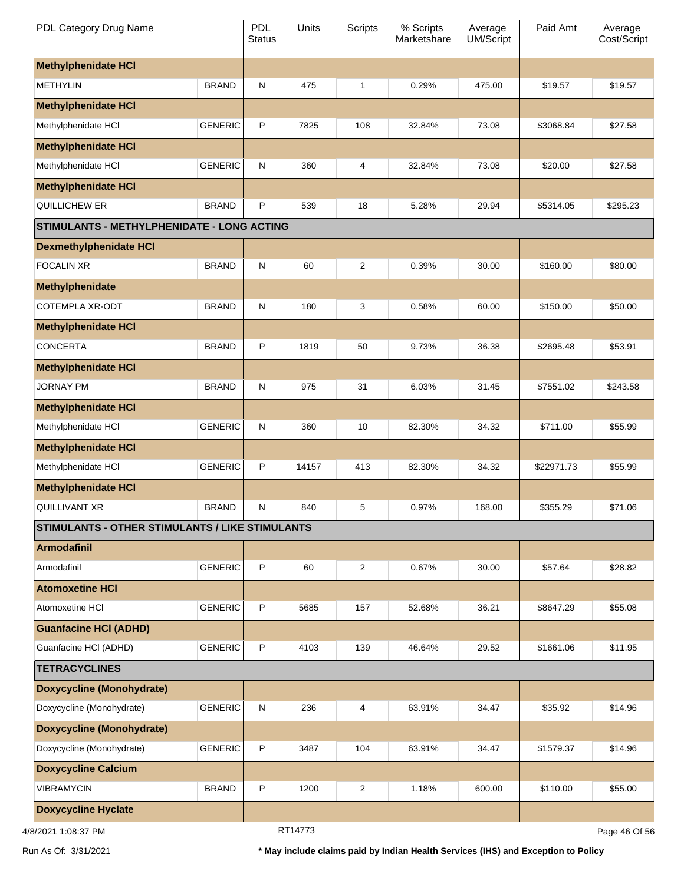| PDL Category Drug Name                          |                | <b>PDL</b><br><b>Status</b> | Units   | <b>Scripts</b> | % Scripts<br>Marketshare | Average<br><b>UM/Script</b> | Paid Amt   | Average<br>Cost/Script |
|-------------------------------------------------|----------------|-----------------------------|---------|----------------|--------------------------|-----------------------------|------------|------------------------|
| <b>Methylphenidate HCI</b>                      |                |                             |         |                |                          |                             |            |                        |
| <b>METHYLIN</b>                                 | <b>BRAND</b>   | $\mathsf{N}$                | 475     | $\mathbf{1}$   | 0.29%                    | 475.00                      | \$19.57    | \$19.57                |
| <b>Methylphenidate HCI</b>                      |                |                             |         |                |                          |                             |            |                        |
| Methylphenidate HCI                             | <b>GENERIC</b> | $\mathsf{P}$                | 7825    | 108            | 32.84%                   | 73.08                       | \$3068.84  | \$27.58                |
| <b>Methylphenidate HCI</b>                      |                |                             |         |                |                          |                             |            |                        |
| Methylphenidate HCI                             | <b>GENERIC</b> | ${\sf N}$                   | 360     | 4              | 32.84%                   | 73.08                       | \$20.00    | \$27.58                |
| <b>Methylphenidate HCI</b>                      |                |                             |         |                |                          |                             |            |                        |
| QUILLICHEW ER                                   | <b>BRAND</b>   | $\mathsf{P}$                | 539     | 18             | 5.28%                    | 29.94                       | \$5314.05  | \$295.23               |
| STIMULANTS - METHYLPHENIDATE - LONG ACTING      |                |                             |         |                |                          |                             |            |                        |
| <b>Dexmethylphenidate HCI</b>                   |                |                             |         |                |                          |                             |            |                        |
| <b>FOCALIN XR</b>                               | <b>BRAND</b>   | ${\sf N}$                   | 60      | $\overline{2}$ | 0.39%                    | 30.00                       | \$160.00   | \$80.00                |
| Methylphenidate                                 |                |                             |         |                |                          |                             |            |                        |
| COTEMPLA XR-ODT                                 | <b>BRAND</b>   | $\mathsf{N}$                | 180     | 3              | 0.58%                    | 60.00                       | \$150.00   | \$50.00                |
| <b>Methylphenidate HCI</b>                      |                |                             |         |                |                          |                             |            |                        |
| <b>CONCERTA</b>                                 | <b>BRAND</b>   | $\mathsf{P}$                | 1819    | 50             | 9.73%                    | 36.38                       | \$2695.48  | \$53.91                |
| <b>Methylphenidate HCI</b>                      |                |                             |         |                |                          |                             |            |                        |
| <b>JORNAY PM</b>                                | <b>BRAND</b>   | $\mathsf{N}$                | 975     | 31             | 6.03%                    | 31.45                       | \$7551.02  | \$243.58               |
| <b>Methylphenidate HCI</b>                      |                |                             |         |                |                          |                             |            |                        |
| Methylphenidate HCI                             | <b>GENERIC</b> | $\mathsf{N}$                | 360     | 10             | 82.30%                   | 34.32                       | \$711.00   | \$55.99                |
| <b>Methylphenidate HCI</b>                      |                |                             |         |                |                          |                             |            |                        |
| Methylphenidate HCI                             | <b>GENERIC</b> | $\mathsf{P}$                | 14157   | 413            | 82.30%                   | 34.32                       | \$22971.73 | \$55.99                |
| <b>Methylphenidate HCI</b>                      |                |                             |         |                |                          |                             |            |                        |
| <b>QUILLIVANT XR</b>                            | <b>BRAND</b>   | $\mathsf{N}$                | 840     | 5              | 0.97%                    | 168.00                      | \$355.29   | \$71.06                |
| STIMULANTS - OTHER STIMULANTS / LIKE STIMULANTS |                |                             |         |                |                          |                             |            |                        |
| <b>Armodafinil</b>                              |                |                             |         |                |                          |                             |            |                        |
| Armodafinil                                     | <b>GENERIC</b> | $\mathsf P$                 | 60      | $\overline{2}$ | 0.67%                    | 30.00                       | \$57.64    | \$28.82                |
| <b>Atomoxetine HCI</b>                          |                |                             |         |                |                          |                             |            |                        |
| Atomoxetine HCI                                 | <b>GENERIC</b> | $\mathsf{P}$                | 5685    | 157            | 52.68%                   | 36.21                       | \$8647.29  | \$55.08                |
| <b>Guanfacine HCI (ADHD)</b>                    |                |                             |         |                |                          |                             |            |                        |
| Guanfacine HCI (ADHD)                           | <b>GENERIC</b> | $\mathsf{P}$                | 4103    | 139            | 46.64%                   | 29.52                       | \$1661.06  | \$11.95                |
| <b>TETRACYCLINES</b>                            |                |                             |         |                |                          |                             |            |                        |
| <b>Doxycycline (Monohydrate)</b>                |                |                             |         |                |                          |                             |            |                        |
| Doxycycline (Monohydrate)                       | <b>GENERIC</b> | ${\sf N}$                   | 236     | 4              | 63.91%                   | 34.47                       | \$35.92    | \$14.96                |
| <b>Doxycycline (Monohydrate)</b>                |                |                             |         |                |                          |                             |            |                        |
| Doxycycline (Monohydrate)                       | <b>GENERIC</b> | $\mathsf{P}$                | 3487    | 104            | 63.91%                   | 34.47                       | \$1579.37  | \$14.96                |
| <b>Doxycycline Calcium</b>                      |                |                             |         |                |                          |                             |            |                        |
| <b>VIBRAMYCIN</b>                               | <b>BRAND</b>   | $\mathsf{P}$                | 1200    | $\overline{2}$ | 1.18%                    | 600.00                      | \$110.00   | \$55.00                |
| <b>Doxycycline Hyclate</b>                      |                |                             |         |                |                          |                             |            |                        |
| 4/8/2021 1:08:37 PM                             |                |                             | RT14773 |                |                          |                             |            | Page 46 Of 56          |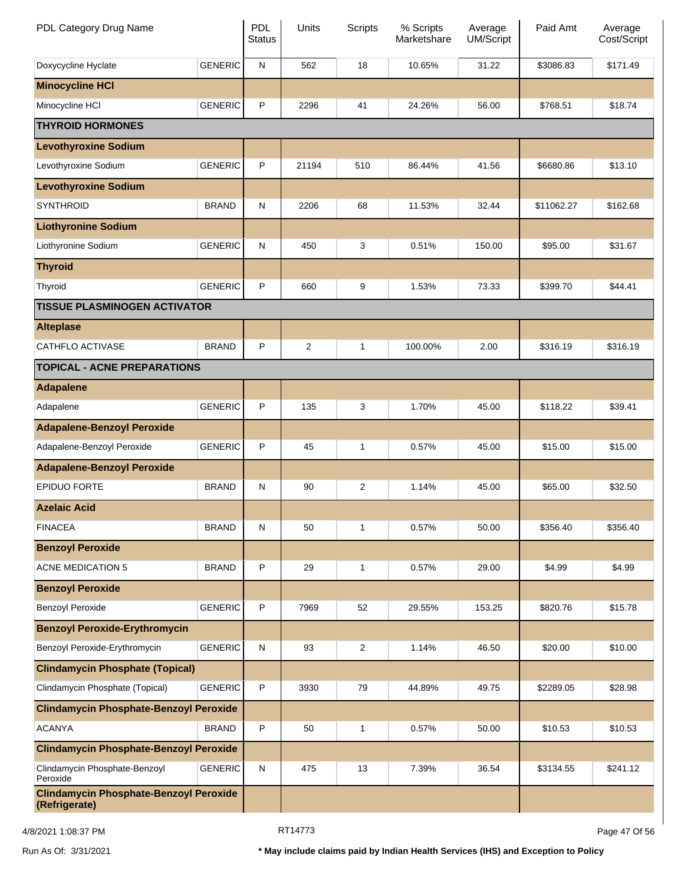| PDL Category Drug Name                                         |                | <b>PDL</b><br><b>Status</b> | Units          | Scripts        | % Scripts<br>Marketshare | Average<br><b>UM/Script</b> | Paid Amt   | Average<br>Cost/Script |
|----------------------------------------------------------------|----------------|-----------------------------|----------------|----------------|--------------------------|-----------------------------|------------|------------------------|
| Doxycycline Hyclate                                            | <b>GENERIC</b> | ${\sf N}$                   | 562            | 18             | 10.65%                   | 31.22                       | \$3086.83  | \$171.49               |
| <b>Minocycline HCI</b>                                         |                |                             |                |                |                          |                             |            |                        |
| Minocycline HCI                                                | <b>GENERIC</b> | P                           | 2296           | 41             | 24.26%                   | 56.00                       | \$768.51   | \$18.74                |
| <b>THYROID HORMONES</b>                                        |                |                             |                |                |                          |                             |            |                        |
| <b>Levothyroxine Sodium</b>                                    |                |                             |                |                |                          |                             |            |                        |
| Levothyroxine Sodium                                           | <b>GENERIC</b> | P                           | 21194          | 510            | 86.44%                   | 41.56                       | \$6680.86  | \$13.10                |
| <b>Levothyroxine Sodium</b>                                    |                |                             |                |                |                          |                             |            |                        |
| <b>SYNTHROID</b>                                               | <b>BRAND</b>   | $\mathsf{N}$                | 2206           | 68             | 11.53%                   | 32.44                       | \$11062.27 | \$162.68               |
| <b>Liothyronine Sodium</b>                                     |                |                             |                |                |                          |                             |            |                        |
| Liothyronine Sodium                                            | <b>GENERIC</b> | $\mathsf{N}$                | 450            | 3              | 0.51%                    | 150.00                      | \$95.00    | \$31.67                |
| <b>Thyroid</b>                                                 |                |                             |                |                |                          |                             |            |                        |
| Thyroid                                                        | <b>GENERIC</b> | P                           | 660            | 9              | 1.53%                    | 73.33                       | \$399.70   | \$44.41                |
| <b>TISSUE PLASMINOGEN ACTIVATOR</b>                            |                |                             |                |                |                          |                             |            |                        |
| <b>Alteplase</b>                                               |                |                             |                |                |                          |                             |            |                        |
| <b>CATHFLO ACTIVASE</b>                                        | <b>BRAND</b>   | P                           | $\overline{2}$ | $\mathbf{1}$   | 100.00%                  | 2.00                        | \$316.19   | \$316.19               |
| <b>TOPICAL - ACNE PREPARATIONS</b>                             |                |                             |                |                |                          |                             |            |                        |
| <b>Adapalene</b>                                               |                |                             |                |                |                          |                             |            |                        |
| Adapalene                                                      | <b>GENERIC</b> | P                           | 135            | 3              | 1.70%                    | 45.00                       | \$118.22   | \$39.41                |
| <b>Adapalene-Benzoyl Peroxide</b>                              |                |                             |                |                |                          |                             |            |                        |
| Adapalene-Benzoyl Peroxide                                     | <b>GENERIC</b> | P                           | 45             | 1              | 0.57%                    | 45.00                       | \$15.00    | \$15.00                |
| <b>Adapalene-Benzoyl Peroxide</b>                              |                |                             |                |                |                          |                             |            |                        |
| <b>EPIDUO FORTE</b>                                            | <b>BRAND</b>   | $\mathsf{N}$                | 90             | $\overline{2}$ | 1.14%                    | 45.00                       | \$65.00    | \$32.50                |
| <b>Azelaic Acid</b>                                            |                |                             |                |                |                          |                             |            |                        |
| <b>FINACEA</b>                                                 | <b>BRAND</b>   | N                           | 50             | $\mathbf{1}$   | 0.57%                    | 50.00                       | \$356.40   | \$356.40               |
| <b>Benzoyl Peroxide</b>                                        |                |                             |                |                |                          |                             |            |                        |
| <b>ACNE MEDICATION 5</b>                                       | <b>BRAND</b>   | P                           | 29             | 1              | 0.57%                    | 29.00                       | \$4.99     | \$4.99                 |
| <b>Benzoyl Peroxide</b>                                        |                |                             |                |                |                          |                             |            |                        |
| <b>Benzoyl Peroxide</b>                                        | <b>GENERIC</b> | P                           | 7969           | 52             | 29.55%                   | 153.25                      | \$820.76   | \$15.78                |
| <b>Benzoyl Peroxide-Erythromycin</b>                           |                |                             |                |                |                          |                             |            |                        |
| Benzoyl Peroxide-Erythromycin                                  | <b>GENERIC</b> | $\mathsf{N}$                | 93             | $\overline{c}$ | 1.14%                    | 46.50                       | \$20.00    | \$10.00                |
| <b>Clindamycin Phosphate (Topical)</b>                         |                |                             |                |                |                          |                             |            |                        |
| Clindamycin Phosphate (Topical)                                | <b>GENERIC</b> | P                           | 3930           | 79             | 44.89%                   | 49.75                       | \$2289.05  | \$28.98                |
| <b>Clindamycin Phosphate-Benzoyl Peroxide</b>                  |                |                             |                |                |                          |                             |            |                        |
| <b>ACANYA</b>                                                  | <b>BRAND</b>   | P                           | 50             | 1              | 0.57%                    | 50.00                       | \$10.53    | \$10.53                |
| <b>Clindamycin Phosphate-Benzoyl Peroxide</b>                  |                |                             |                |                |                          |                             |            |                        |
| Clindamycin Phosphate-Benzoyl<br>Peroxide                      | <b>GENERIC</b> | ${\sf N}$                   | 475            | 13             | 7.39%                    | 36.54                       | \$3134.55  | \$241.12               |
| <b>Clindamycin Phosphate-Benzoyl Peroxide</b><br>(Refrigerate) |                |                             |                |                |                          |                             |            |                        |

4/8/2021 1:08:37 PM Page 47 Of 56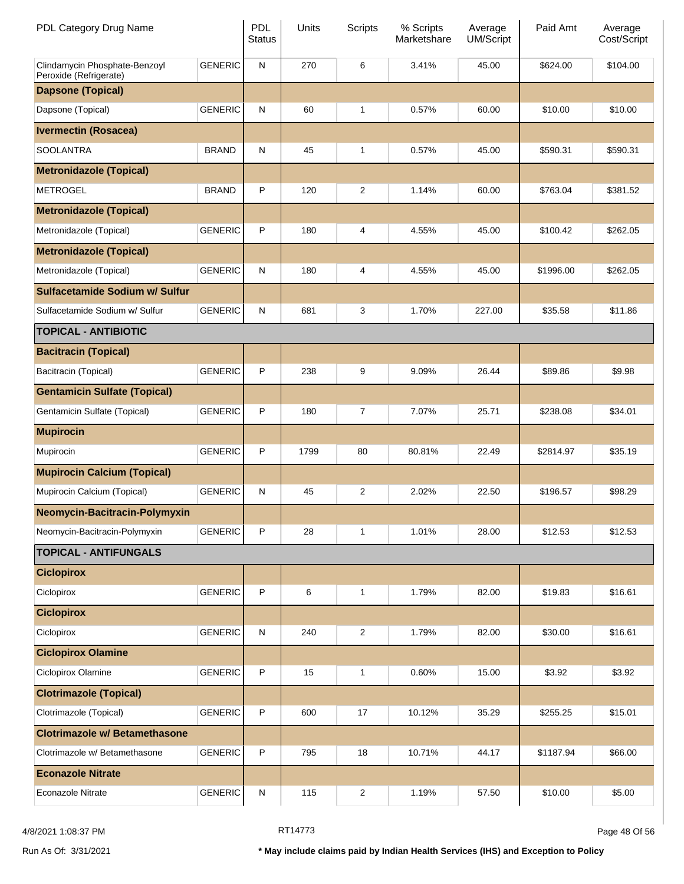| PDL Category Drug Name                                  |                | <b>PDL</b><br><b>Status</b> | Units | <b>Scripts</b>          | % Scripts<br>Marketshare | Average<br><b>UM/Script</b> | Paid Amt  | Average<br>Cost/Script |
|---------------------------------------------------------|----------------|-----------------------------|-------|-------------------------|--------------------------|-----------------------------|-----------|------------------------|
| Clindamycin Phosphate-Benzoyl<br>Peroxide (Refrigerate) | <b>GENERIC</b> | ${\sf N}$                   | 270   | 6                       | 3.41%                    | 45.00                       | \$624.00  | \$104.00               |
| <b>Dapsone (Topical)</b>                                |                |                             |       |                         |                          |                             |           |                        |
| Dapsone (Topical)                                       | <b>GENERIC</b> | N                           | 60    | 1                       | 0.57%                    | 60.00                       | \$10.00   | \$10.00                |
| <b>Ivermectin (Rosacea)</b>                             |                |                             |       |                         |                          |                             |           |                        |
| <b>SOOLANTRA</b>                                        | <b>BRAND</b>   | N                           | 45    | 1                       | 0.57%                    | 45.00                       | \$590.31  | \$590.31               |
| <b>Metronidazole (Topical)</b>                          |                |                             |       |                         |                          |                             |           |                        |
| <b>METROGEL</b>                                         | <b>BRAND</b>   | P                           | 120   | 2                       | 1.14%                    | 60.00                       | \$763.04  | \$381.52               |
| <b>Metronidazole (Topical)</b>                          |                |                             |       |                         |                          |                             |           |                        |
| Metronidazole (Topical)                                 | <b>GENERIC</b> | P                           | 180   | 4                       | 4.55%                    | 45.00                       | \$100.42  | \$262.05               |
| <b>Metronidazole (Topical)</b>                          |                |                             |       |                         |                          |                             |           |                        |
| Metronidazole (Topical)                                 | <b>GENERIC</b> | N                           | 180   | 4                       | 4.55%                    | 45.00                       | \$1996.00 | \$262.05               |
| Sulfacetamide Sodium w/ Sulfur                          |                |                             |       |                         |                          |                             |           |                        |
| Sulfacetamide Sodium w/ Sulfur                          | <b>GENERIC</b> | ${\sf N}$                   | 681   | 3                       | 1.70%                    | 227.00                      | \$35.58   | \$11.86                |
| <b>TOPICAL - ANTIBIOTIC</b>                             |                |                             |       |                         |                          |                             |           |                        |
| <b>Bacitracin (Topical)</b>                             |                |                             |       |                         |                          |                             |           |                        |
| Bacitracin (Topical)                                    | <b>GENERIC</b> | P                           | 238   | 9                       | 9.09%                    | 26.44                       | \$89.86   | \$9.98                 |
| <b>Gentamicin Sulfate (Topical)</b>                     |                |                             |       |                         |                          |                             |           |                        |
| Gentamicin Sulfate (Topical)                            | <b>GENERIC</b> | P                           | 180   | 7                       | 7.07%                    | 25.71                       | \$238.08  | \$34.01                |
| <b>Mupirocin</b>                                        |                |                             |       |                         |                          |                             |           |                        |
| Mupirocin                                               | <b>GENERIC</b> | P                           | 1799  | 80                      | 80.81%                   | 22.49                       | \$2814.97 | \$35.19                |
| <b>Mupirocin Calcium (Topical)</b>                      |                |                             |       |                         |                          |                             |           |                        |
| Mupirocin Calcium (Topical)                             | <b>GENERIC</b> | N                           | 45    | 2                       | 2.02%                    | 22.50                       | \$196.57  | \$98.29                |
| Neomycin-Bacitracin-Polymyxin                           |                |                             |       |                         |                          |                             |           |                        |
| Neomycin-Bacitracin-Polymyxin                           | <b>GENERIC</b> | P                           | 28    | 1                       | 1.01%                    | 28.00                       | \$12.53   | \$12.53                |
| <b>TOPICAL - ANTIFUNGALS</b>                            |                |                             |       |                         |                          |                             |           |                        |
| <b>Ciclopirox</b>                                       |                |                             |       |                         |                          |                             |           |                        |
| Ciclopirox                                              | <b>GENERIC</b> | $\sf P$                     | 6     | $\mathbf{1}$            | 1.79%                    | 82.00                       | \$19.83   | \$16.61                |
| <b>Ciclopirox</b>                                       |                |                             |       |                         |                          |                             |           |                        |
| Ciclopirox                                              | <b>GENERIC</b> | ${\sf N}$                   | 240   | 2                       | 1.79%                    | 82.00                       | \$30.00   | \$16.61                |
| <b>Ciclopirox Olamine</b>                               |                |                             |       |                         |                          |                             |           |                        |
| Ciclopirox Olamine                                      | <b>GENERIC</b> | $\sf P$                     | 15    | 1                       | 0.60%                    | 15.00                       | \$3.92    | \$3.92                 |
| <b>Clotrimazole (Topical)</b>                           |                |                             |       |                         |                          |                             |           |                        |
| Clotrimazole (Topical)                                  | <b>GENERIC</b> | $\sf P$                     | 600   | 17                      | 10.12%                   | 35.29                       | \$255.25  | \$15.01                |
| <b>Clotrimazole w/ Betamethasone</b>                    |                |                             |       |                         |                          |                             |           |                        |
| Clotrimazole w/ Betamethasone                           | <b>GENERIC</b> | $\sf P$                     | 795   | 18                      | 10.71%                   | 44.17                       | \$1187.94 | \$66.00                |
| <b>Econazole Nitrate</b>                                |                |                             |       |                         |                          |                             |           |                        |
| Econazole Nitrate                                       | <b>GENERIC</b> | ${\sf N}$                   | 115   | $\overline{\mathbf{c}}$ | 1.19%                    | 57.50                       | \$10.00   | \$5.00                 |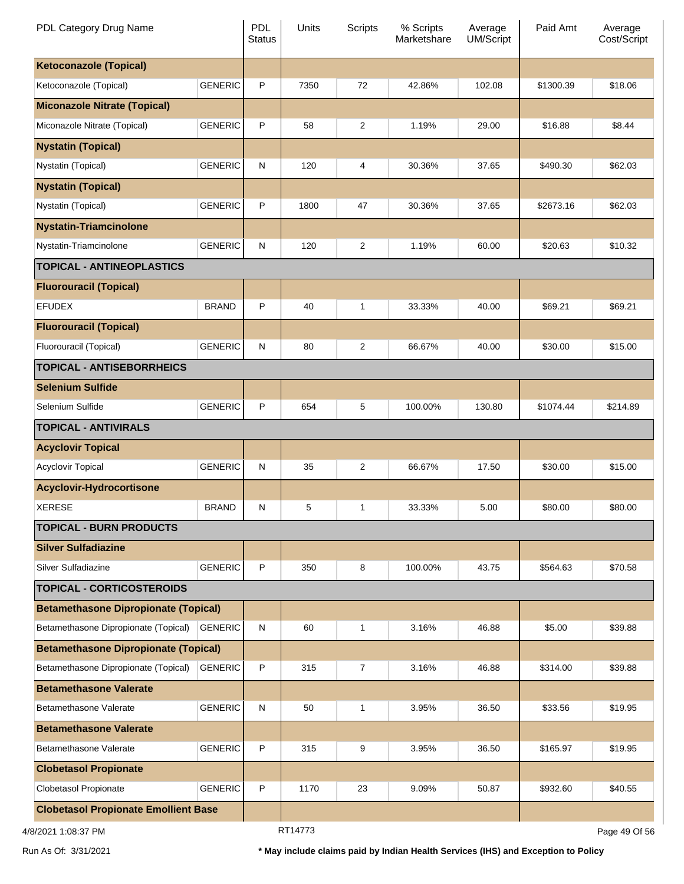| PDL Category Drug Name                      |                | PDL<br><b>Status</b> | Units   | <b>Scripts</b> | % Scripts<br>Marketshare | Average<br>UM/Script | Paid Amt  | Average<br>Cost/Script |
|---------------------------------------------|----------------|----------------------|---------|----------------|--------------------------|----------------------|-----------|------------------------|
| <b>Ketoconazole (Topical)</b>               |                |                      |         |                |                          |                      |           |                        |
| Ketoconazole (Topical)                      | <b>GENERIC</b> | P                    | 7350    | 72             | 42.86%                   | 102.08               | \$1300.39 | \$18.06                |
| <b>Miconazole Nitrate (Topical)</b>         |                |                      |         |                |                          |                      |           |                        |
| Miconazole Nitrate (Topical)                | <b>GENERIC</b> | P                    | 58      | 2              | 1.19%                    | 29.00                | \$16.88   | \$8.44                 |
| <b>Nystatin (Topical)</b>                   |                |                      |         |                |                          |                      |           |                        |
| Nystatin (Topical)                          | <b>GENERIC</b> | ${\sf N}$            | 120     | 4              | 30.36%                   | 37.65                | \$490.30  | \$62.03                |
| <b>Nystatin (Topical)</b>                   |                |                      |         |                |                          |                      |           |                        |
| Nystatin (Topical)                          | <b>GENERIC</b> | P                    | 1800    | 47             | 30.36%                   | 37.65                | \$2673.16 | \$62.03                |
| <b>Nystatin-Triamcinolone</b>               |                |                      |         |                |                          |                      |           |                        |
| Nystatin-Triamcinolone                      | <b>GENERIC</b> | ${\sf N}$            | 120     | 2              | 1.19%                    | 60.00                | \$20.63   | \$10.32                |
| <b>TOPICAL - ANTINEOPLASTICS</b>            |                |                      |         |                |                          |                      |           |                        |
| <b>Fluorouracil (Topical)</b>               |                |                      |         |                |                          |                      |           |                        |
| <b>EFUDEX</b>                               | <b>BRAND</b>   | P                    | 40      | 1              | 33.33%                   | 40.00                | \$69.21   | \$69.21                |
| <b>Fluorouracil (Topical)</b>               |                |                      |         |                |                          |                      |           |                        |
| Fluorouracil (Topical)                      | <b>GENERIC</b> | ${\sf N}$            | 80      | 2              | 66.67%                   | 40.00                | \$30.00   | \$15.00                |
| <b>TOPICAL - ANTISEBORRHEICS</b>            |                |                      |         |                |                          |                      |           |                        |
| <b>Selenium Sulfide</b>                     |                |                      |         |                |                          |                      |           |                        |
| Selenium Sulfide                            | <b>GENERIC</b> | P                    | 654     | 5              | 100.00%                  | 130.80               | \$1074.44 | \$214.89               |
| <b>TOPICAL - ANTIVIRALS</b>                 |                |                      |         |                |                          |                      |           |                        |
| <b>Acyclovir Topical</b>                    |                |                      |         |                |                          |                      |           |                        |
| <b>Acyclovir Topical</b>                    | <b>GENERIC</b> | ${\sf N}$            | 35      | 2              | 66.67%                   | 17.50                | \$30.00   | \$15.00                |
| <b>Acyclovir-Hydrocortisone</b>             |                |                      |         |                |                          |                      |           |                        |
| <b>XERESE</b>                               | <b>BRAND</b>   | N                    | 5       | 1              | 33.33%                   | 5.00                 | \$80.00   | \$80.00                |
| <b>TOPICAL - BURN PRODUCTS</b>              |                |                      |         |                |                          |                      |           |                        |
| <b>Silver Sulfadiazine</b>                  |                |                      |         |                |                          |                      |           |                        |
| Silver Sulfadiazine                         | <b>GENERIC</b> | P                    | 350     | 8              | 100.00%                  | 43.75                | \$564.63  | \$70.58                |
| <b>TOPICAL - CORTICOSTEROIDS</b>            |                |                      |         |                |                          |                      |           |                        |
| <b>Betamethasone Dipropionate (Topical)</b> |                |                      |         |                |                          |                      |           |                        |
| Betamethasone Dipropionate (Topical)        | <b>GENERIC</b> | ${\sf N}$            | 60      | 1              | 3.16%                    | 46.88                | \$5.00    | \$39.88                |
| <b>Betamethasone Dipropionate (Topical)</b> |                |                      |         |                |                          |                      |           |                        |
| Betamethasone Dipropionate (Topical)        | <b>GENERIC</b> | P                    | 315     | 7              | 3.16%                    | 46.88                | \$314.00  | \$39.88                |
| <b>Betamethasone Valerate</b>               |                |                      |         |                |                          |                      |           |                        |
| Betamethasone Valerate                      | <b>GENERIC</b> | ${\sf N}$            | 50      | 1              | 3.95%                    | 36.50                | \$33.56   | \$19.95                |
| <b>Betamethasone Valerate</b>               |                |                      |         |                |                          |                      |           |                        |
| Betamethasone Valerate                      | <b>GENERIC</b> | P                    | 315     | 9              | 3.95%                    | 36.50                | \$165.97  | \$19.95                |
| <b>Clobetasol Propionate</b>                |                |                      |         |                |                          |                      |           |                        |
| Clobetasol Propionate                       | <b>GENERIC</b> | P                    | 1170    | 23             | 9.09%                    | 50.87                | \$932.60  | \$40.55                |
| <b>Clobetasol Propionate Emollient Base</b> |                |                      |         |                |                          |                      |           |                        |
| 4/8/2021 1:08:37 PM                         |                |                      | RT14773 |                |                          |                      |           | Page 49 Of 56          |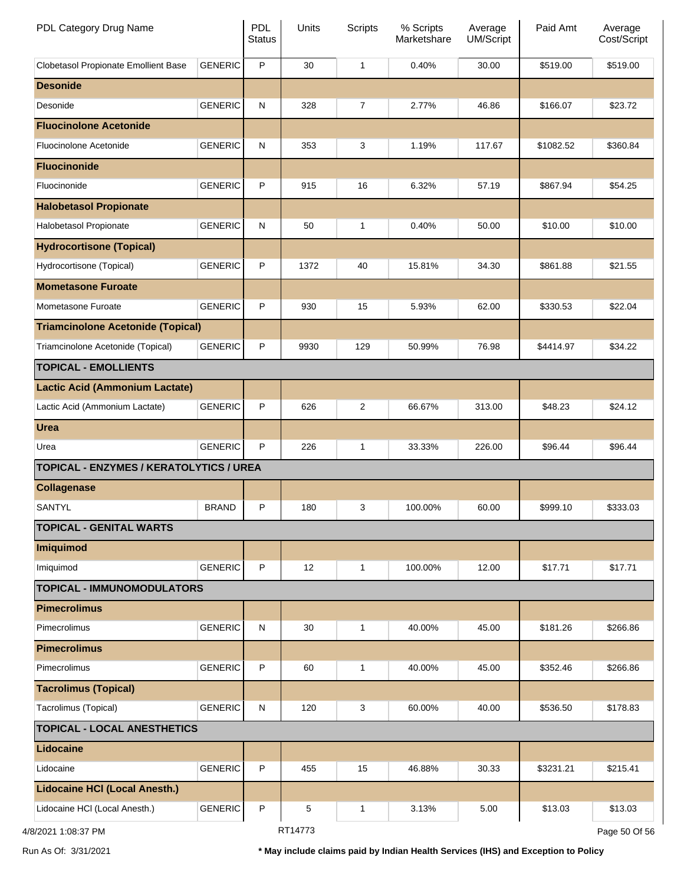| PDL Category Drug Name                         |                | <b>PDL</b><br><b>Status</b> | Units   | <b>Scripts</b> | % Scripts<br>Marketshare | Average<br>UM/Script | Paid Amt  | Average<br>Cost/Script |
|------------------------------------------------|----------------|-----------------------------|---------|----------------|--------------------------|----------------------|-----------|------------------------|
| Clobetasol Propionate Emollient Base           | <b>GENERIC</b> | P                           | 30      | 1              | 0.40%                    | 30.00                | \$519.00  | \$519.00               |
| <b>Desonide</b>                                |                |                             |         |                |                          |                      |           |                        |
| Desonide                                       | <b>GENERIC</b> | ${\sf N}$                   | 328     | $\overline{7}$ | 2.77%                    | 46.86                | \$166.07  | \$23.72                |
| <b>Fluocinolone Acetonide</b>                  |                |                             |         |                |                          |                      |           |                        |
| Fluocinolone Acetonide                         | <b>GENERIC</b> | ${\sf N}$                   | 353     | 3              | 1.19%                    | 117.67               | \$1082.52 | \$360.84               |
| <b>Fluocinonide</b>                            |                |                             |         |                |                          |                      |           |                        |
| Fluocinonide                                   | <b>GENERIC</b> | P                           | 915     | 16             | 6.32%                    | 57.19                | \$867.94  | \$54.25                |
| <b>Halobetasol Propionate</b>                  |                |                             |         |                |                          |                      |           |                        |
| Halobetasol Propionate                         | <b>GENERIC</b> | ${\sf N}$                   | 50      | 1              | 0.40%                    | 50.00                | \$10.00   | \$10.00                |
| <b>Hydrocortisone (Topical)</b>                |                |                             |         |                |                          |                      |           |                        |
| Hydrocortisone (Topical)                       | <b>GENERIC</b> | P                           | 1372    | 40             | 15.81%                   | 34.30                | \$861.88  | \$21.55                |
| <b>Mometasone Furoate</b>                      |                |                             |         |                |                          |                      |           |                        |
| Mometasone Furoate                             | <b>GENERIC</b> | P                           | 930     | 15             | 5.93%                    | 62.00                | \$330.53  | \$22.04                |
| <b>Triamcinolone Acetonide (Topical)</b>       |                |                             |         |                |                          |                      |           |                        |
| Triamcinolone Acetonide (Topical)              | <b>GENERIC</b> | P                           | 9930    | 129            | 50.99%                   | 76.98                | \$4414.97 | \$34.22                |
| <b>TOPICAL - EMOLLIENTS</b>                    |                |                             |         |                |                          |                      |           |                        |
| <b>Lactic Acid (Ammonium Lactate)</b>          |                |                             |         |                |                          |                      |           |                        |
| Lactic Acid (Ammonium Lactate)                 | <b>GENERIC</b> | P                           | 626     | 2              | 66.67%                   | 313.00               | \$48.23   | \$24.12                |
| <b>Urea</b>                                    |                |                             |         |                |                          |                      |           |                        |
| Urea                                           | <b>GENERIC</b> | P                           | 226     | 1              | 33.33%                   | 226.00               | \$96.44   | \$96.44                |
| <b>TOPICAL - ENZYMES / KERATOLYTICS / UREA</b> |                |                             |         |                |                          |                      |           |                        |
| <b>Collagenase</b>                             |                |                             |         |                |                          |                      |           |                        |
| SANTYL                                         | <b>BRAND</b>   | P                           | 180     | 3              | 100.00%                  | 60.00                | \$999.10  | \$333.03               |
| <b>TOPICAL - GENITAL WARTS</b>                 |                |                             |         |                |                          |                      |           |                        |
| Imiquimod                                      |                |                             |         |                |                          |                      |           |                        |
| Imiquimod                                      | <b>GENERIC</b> | P                           | 12      | 1              | 100.00%                  | 12.00                | \$17.71   | \$17.71                |
| <b>TOPICAL - IMMUNOMODULATORS</b>              |                |                             |         |                |                          |                      |           |                        |
| <b>Pimecrolimus</b>                            |                |                             |         |                |                          |                      |           |                        |
| Pimecrolimus                                   | <b>GENERIC</b> | ${\sf N}$                   | 30      | 1              | 40.00%                   | 45.00                | \$181.26  | \$266.86               |
| <b>Pimecrolimus</b>                            |                |                             |         |                |                          |                      |           |                        |
| Pimecrolimus                                   | <b>GENERIC</b> | P                           | 60      | 1              | 40.00%                   | 45.00                | \$352.46  | \$266.86               |
| <b>Tacrolimus (Topical)</b>                    |                |                             |         |                |                          |                      |           |                        |
| Tacrolimus (Topical)                           | <b>GENERIC</b> | ${\sf N}$                   | 120     | 3              | 60.00%                   | 40.00                | \$536.50  | \$178.83               |
| <b>TOPICAL - LOCAL ANESTHETICS</b>             |                |                             |         |                |                          |                      |           |                        |
| Lidocaine                                      |                |                             |         |                |                          |                      |           |                        |
| Lidocaine                                      | <b>GENERIC</b> | P                           | 455     | 15             | 46.88%                   | 30.33                | \$3231.21 | \$215.41               |
| <b>Lidocaine HCI (Local Anesth.)</b>           |                |                             |         |                |                          |                      |           |                        |
| Lidocaine HCI (Local Anesth.)                  | <b>GENERIC</b> | P                           | 5       | 1              | 3.13%                    | 5.00                 | \$13.03   | \$13.03                |
| 4/8/2021 1:08:37 PM                            |                |                             | RT14773 |                |                          |                      |           | Page 50 Of 56          |

Run As Of: 3/31/2021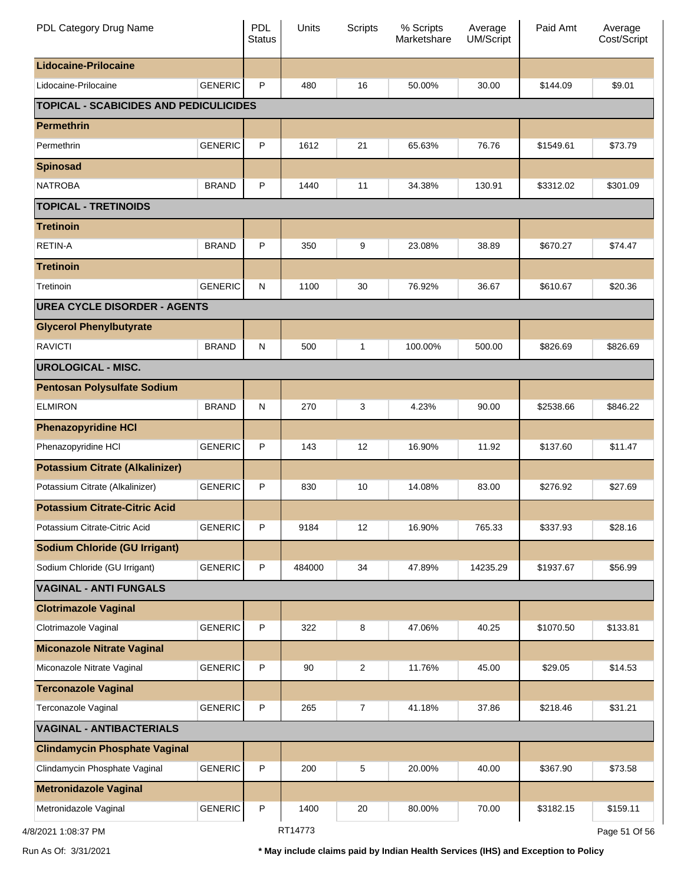| PDL Category Drug Name                        |                | <b>PDL</b><br><b>Status</b> | Units   | Scripts        | % Scripts<br>Marketshare | Average<br><b>UM/Script</b> | Paid Amt  | Average<br>Cost/Script |
|-----------------------------------------------|----------------|-----------------------------|---------|----------------|--------------------------|-----------------------------|-----------|------------------------|
| <b>Lidocaine-Prilocaine</b>                   |                |                             |         |                |                          |                             |           |                        |
| Lidocaine-Prilocaine                          | <b>GENERIC</b> | P                           | 480     | 16             | 50.00%                   | 30.00                       | \$144.09  | \$9.01                 |
| <b>TOPICAL - SCABICIDES AND PEDICULICIDES</b> |                |                             |         |                |                          |                             |           |                        |
| <b>Permethrin</b>                             |                |                             |         |                |                          |                             |           |                        |
| Permethrin                                    | <b>GENERIC</b> | P                           | 1612    | 21             | 65.63%                   | 76.76                       | \$1549.61 | \$73.79                |
| <b>Spinosad</b>                               |                |                             |         |                |                          |                             |           |                        |
| <b>NATROBA</b>                                | <b>BRAND</b>   | P                           | 1440    | 11             | 34.38%                   | 130.91                      | \$3312.02 | \$301.09               |
| <b>TOPICAL - TRETINOIDS</b>                   |                |                             |         |                |                          |                             |           |                        |
| <b>Tretinoin</b>                              |                |                             |         |                |                          |                             |           |                        |
| <b>RETIN-A</b>                                | <b>BRAND</b>   | P                           | 350     | 9              | 23.08%                   | 38.89                       | \$670.27  | \$74.47                |
| <b>Tretinoin</b>                              |                |                             |         |                |                          |                             |           |                        |
| Tretinoin                                     | <b>GENERIC</b> | $\mathsf{N}$                | 1100    | 30             | 76.92%                   | 36.67                       | \$610.67  | \$20.36                |
| <b>UREA CYCLE DISORDER - AGENTS</b>           |                |                             |         |                |                          |                             |           |                        |
| <b>Glycerol Phenylbutyrate</b>                |                |                             |         |                |                          |                             |           |                        |
| <b>RAVICTI</b>                                | <b>BRAND</b>   | $\mathsf{N}$                | 500     | 1              | 100.00%                  | 500.00                      | \$826.69  | \$826.69               |
| <b>UROLOGICAL - MISC.</b>                     |                |                             |         |                |                          |                             |           |                        |
| <b>Pentosan Polysulfate Sodium</b>            |                |                             |         |                |                          |                             |           |                        |
| <b>ELMIRON</b>                                | <b>BRAND</b>   | $\mathsf{N}$                | 270     | 3              | 4.23%                    | 90.00                       | \$2538.66 | \$846.22               |
| <b>Phenazopyridine HCI</b>                    |                |                             |         |                |                          |                             |           |                        |
| Phenazopyridine HCI                           | <b>GENERIC</b> | P                           | 143     | 12             | 16.90%                   | 11.92                       | \$137.60  | \$11.47                |
| <b>Potassium Citrate (Alkalinizer)</b>        |                |                             |         |                |                          |                             |           |                        |
| Potassium Citrate (Alkalinizer)               | <b>GENERIC</b> | P                           | 830     | 10             | 14.08%                   | 83.00                       | \$276.92  | \$27.69                |
| <b>Potassium Citrate-Citric Acid</b>          |                |                             |         |                |                          |                             |           |                        |
| Potassium Citrate-Citric Acid                 | <b>GENERIC</b> | P                           | 9184    | 12             | 16.90%                   | 765.33                      | \$337.93  | \$28.16                |
| <b>Sodium Chloride (GU Irrigant)</b>          |                |                             |         |                |                          |                             |           |                        |
| Sodium Chloride (GU Irrigant)                 | <b>GENERIC</b> | P                           | 484000  | 34             | 47.89%                   | 14235.29                    | \$1937.67 | \$56.99                |
| <b>VAGINAL - ANTI FUNGALS</b>                 |                |                             |         |                |                          |                             |           |                        |
| <b>Clotrimazole Vaginal</b>                   |                |                             |         |                |                          |                             |           |                        |
| Clotrimazole Vaginal                          | <b>GENERIC</b> | P                           | 322     | 8              | 47.06%                   | 40.25                       | \$1070.50 | \$133.81               |
| <b>Miconazole Nitrate Vaginal</b>             |                |                             |         |                |                          |                             |           |                        |
| Miconazole Nitrate Vaginal                    | <b>GENERIC</b> | P                           | 90      | 2              | 11.76%                   | 45.00                       | \$29.05   | \$14.53                |
| <b>Terconazole Vaginal</b>                    |                |                             |         |                |                          |                             |           |                        |
| Terconazole Vaginal                           | <b>GENERIC</b> | P                           | 265     | $\overline{7}$ | 41.18%                   | 37.86                       | \$218.46  | \$31.21                |
| <b>VAGINAL - ANTIBACTERIALS</b>               |                |                             |         |                |                          |                             |           |                        |
| <b>Clindamycin Phosphate Vaginal</b>          |                |                             |         |                |                          |                             |           |                        |
| Clindamycin Phosphate Vaginal                 | <b>GENERIC</b> | P                           | 200     | 5              | 20.00%                   | 40.00                       | \$367.90  | \$73.58                |
| <b>Metronidazole Vaginal</b>                  |                |                             |         |                |                          |                             |           |                        |
| Metronidazole Vaginal                         | <b>GENERIC</b> | P                           | 1400    | 20             | 80.00%                   | 70.00                       | \$3182.15 | \$159.11               |
| 3/2021 1:08:37 PM                             |                |                             | RT14773 |                |                          |                             |           | Page 51 Of 56          |

4/8/2021 1:08:37 PM

Run As Of: 3/31/2021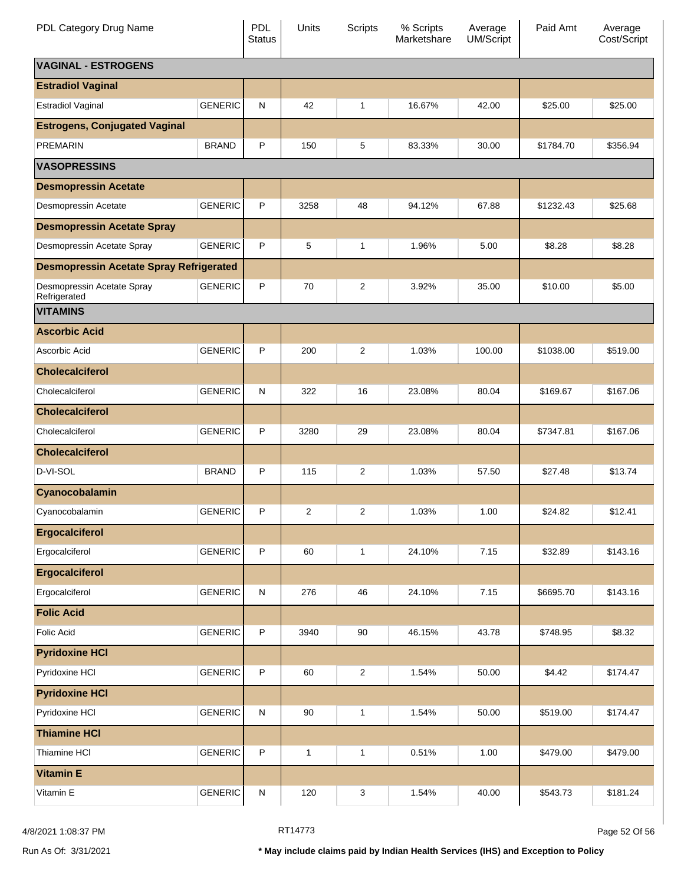| PDL Category Drug Name                         |                | PDL<br><b>Status</b> | Units        | Scripts                 | % Scripts<br>Marketshare | Average<br><b>UM/Script</b> | Paid Amt  | Average<br>Cost/Script |
|------------------------------------------------|----------------|----------------------|--------------|-------------------------|--------------------------|-----------------------------|-----------|------------------------|
| <b>VAGINAL - ESTROGENS</b>                     |                |                      |              |                         |                          |                             |           |                        |
| <b>Estradiol Vaginal</b>                       |                |                      |              |                         |                          |                             |           |                        |
| <b>Estradiol Vaginal</b>                       | <b>GENERIC</b> | N                    | 42           | $\mathbf{1}$            | 16.67%                   | 42.00                       | \$25.00   | \$25.00                |
| <b>Estrogens, Conjugated Vaginal</b>           |                |                      |              |                         |                          |                             |           |                        |
| <b>PREMARIN</b>                                | <b>BRAND</b>   | P                    | 150          | 5                       | 83.33%                   | 30.00                       | \$1784.70 | \$356.94               |
| <b>VASOPRESSINS</b>                            |                |                      |              |                         |                          |                             |           |                        |
| <b>Desmopressin Acetate</b>                    |                |                      |              |                         |                          |                             |           |                        |
| Desmopressin Acetate                           | <b>GENERIC</b> | P                    | 3258         | 48                      | 94.12%                   | 67.88                       | \$1232.43 | \$25.68                |
| <b>Desmopressin Acetate Spray</b>              |                |                      |              |                         |                          |                             |           |                        |
| Desmopressin Acetate Spray                     | <b>GENERIC</b> | P                    | 5            | 1                       | 1.96%                    | 5.00                        | \$8.28    | \$8.28                 |
| <b>Desmopressin Acetate Spray Refrigerated</b> |                |                      |              |                         |                          |                             |           |                        |
| Desmopressin Acetate Spray<br>Refrigerated     | <b>GENERIC</b> | P                    | 70           | 2                       | 3.92%                    | 35.00                       | \$10.00   | \$5.00                 |
| <b>VITAMINS</b>                                |                |                      |              |                         |                          |                             |           |                        |
| <b>Ascorbic Acid</b>                           |                |                      |              |                         |                          |                             |           |                        |
| Ascorbic Acid                                  | <b>GENERIC</b> | P                    | 200          | $\overline{2}$          | 1.03%                    | 100.00                      | \$1038.00 | \$519.00               |
| <b>Cholecalciferol</b>                         |                |                      |              |                         |                          |                             |           |                        |
| Cholecalciferol                                | <b>GENERIC</b> | N                    | 322          | 16                      | 23.08%                   | 80.04                       | \$169.67  | \$167.06               |
| <b>Cholecalciferol</b>                         |                |                      |              |                         |                          |                             |           |                        |
| Cholecalciferol                                | <b>GENERIC</b> | P                    | 3280         | 29                      | 23.08%                   | 80.04                       | \$7347.81 | \$167.06               |
| <b>Cholecalciferol</b>                         |                |                      |              |                         |                          |                             |           |                        |
| D-VI-SOL                                       | <b>BRAND</b>   | P                    | 115          | 2                       | 1.03%                    | 57.50                       | \$27.48   | \$13.74                |
| Cyanocobalamin                                 |                |                      |              |                         |                          |                             |           |                        |
| Cyanocobalamin                                 | <b>GENERIC</b> | P                    | 2            | 2                       | 1.03%                    | 1.00                        | \$24.82   | \$12.41                |
| <b>Ergocalciferol</b>                          |                |                      |              |                         |                          |                             |           |                        |
| Ergocalciferol                                 | <b>GENERIC</b> | P                    | 60           | $\mathbf{1}$            | 24.10%                   | 7.15                        | \$32.89   | \$143.16               |
| <b>Ergocalciferol</b>                          |                |                      |              |                         |                          |                             |           |                        |
| Ergocalciferol                                 | <b>GENERIC</b> | $\mathsf{N}$         | 276          | 46                      | 24.10%                   | 7.15                        | \$6695.70 | \$143.16               |
| <b>Folic Acid</b>                              |                |                      |              |                         |                          |                             |           |                        |
| <b>Folic Acid</b>                              | <b>GENERIC</b> | P                    | 3940         | 90                      | 46.15%                   | 43.78                       | \$748.95  | \$8.32                 |
| <b>Pyridoxine HCI</b>                          |                |                      |              |                         |                          |                             |           |                        |
| Pyridoxine HCI                                 | <b>GENERIC</b> | P                    | 60           | $\overline{\mathbf{c}}$ | 1.54%                    | 50.00                       | \$4.42    | \$174.47               |
| <b>Pyridoxine HCI</b>                          |                |                      |              |                         |                          |                             |           |                        |
| Pyridoxine HCI                                 | <b>GENERIC</b> | N                    | 90           | $\mathbf{1}$            | 1.54%                    | 50.00                       | \$519.00  | \$174.47               |
| <b>Thiamine HCI</b>                            |                |                      |              |                         |                          |                             |           |                        |
| Thiamine HCI                                   | <b>GENERIC</b> | P                    | $\mathbf{1}$ | 1                       | 0.51%                    | 1.00                        | \$479.00  | \$479.00               |
| <b>Vitamin E</b>                               |                |                      |              |                         |                          |                             |           |                        |
| Vitamin E                                      | <b>GENERIC</b> | N                    | 120          | 3                       | 1.54%                    | 40.00                       | \$543.73  | \$181.24               |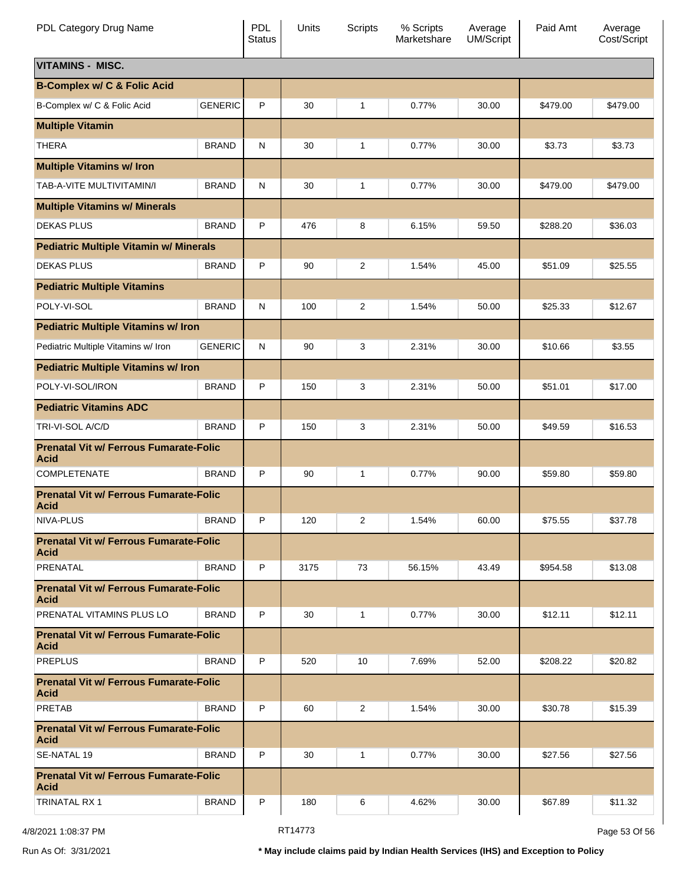| PDL Category Drug Name                                       |                | <b>PDL</b><br><b>Status</b> | Units | Scripts        | % Scripts<br>Marketshare | Average<br><b>UM/Script</b> | Paid Amt | Average<br>Cost/Script |
|--------------------------------------------------------------|----------------|-----------------------------|-------|----------------|--------------------------|-----------------------------|----------|------------------------|
| <b>VITAMINS - MISC.</b>                                      |                |                             |       |                |                          |                             |          |                        |
| <b>B-Complex w/ C &amp; Folic Acid</b>                       |                |                             |       |                |                          |                             |          |                        |
| B-Complex w/ C & Folic Acid                                  | <b>GENERIC</b> | P                           | 30    | 1              | 0.77%                    | 30.00                       | \$479.00 | \$479.00               |
| <b>Multiple Vitamin</b>                                      |                |                             |       |                |                          |                             |          |                        |
| <b>THERA</b>                                                 | <b>BRAND</b>   | N                           | 30    | 1              | 0.77%                    | 30.00                       | \$3.73   | \$3.73                 |
| <b>Multiple Vitamins w/ Iron</b>                             |                |                             |       |                |                          |                             |          |                        |
| TAB-A-VITE MULTIVITAMIN/I                                    | <b>BRAND</b>   | N                           | 30    | 1              | 0.77%                    | 30.00                       | \$479.00 | \$479.00               |
| <b>Multiple Vitamins w/ Minerals</b>                         |                |                             |       |                |                          |                             |          |                        |
| <b>DEKAS PLUS</b>                                            | <b>BRAND</b>   | P                           | 476   | 8              | 6.15%                    | 59.50                       | \$288.20 | \$36.03                |
| <b>Pediatric Multiple Vitamin w/ Minerals</b>                |                |                             |       |                |                          |                             |          |                        |
| <b>DEKAS PLUS</b>                                            | <b>BRAND</b>   | P                           | 90    | 2              | 1.54%                    | 45.00                       | \$51.09  | \$25.55                |
| <b>Pediatric Multiple Vitamins</b>                           |                |                             |       |                |                          |                             |          |                        |
| POLY-VI-SOL                                                  | <b>BRAND</b>   | N                           | 100   | 2              | 1.54%                    | 50.00                       | \$25.33  | \$12.67                |
| <b>Pediatric Multiple Vitamins w/ Iron</b>                   |                |                             |       |                |                          |                             |          |                        |
| Pediatric Multiple Vitamins w/ Iron                          | <b>GENERIC</b> | N                           | 90    | 3              | 2.31%                    | 30.00                       | \$10.66  | \$3.55                 |
| <b>Pediatric Multiple Vitamins w/ Iron</b>                   |                |                             |       |                |                          |                             |          |                        |
| POLY-VI-SOL/IRON                                             | <b>BRAND</b>   | P                           | 150   | 3              | 2.31%                    | 50.00                       | \$51.01  | \$17.00                |
| <b>Pediatric Vitamins ADC</b>                                |                |                             |       |                |                          |                             |          |                        |
| TRI-VI-SOL A/C/D                                             | <b>BRAND</b>   | P                           | 150   | 3              | 2.31%                    | 50.00                       | \$49.59  | \$16.53                |
| <b>Prenatal Vit w/ Ferrous Fumarate-Folic</b><br><b>Acid</b> |                |                             |       |                |                          |                             |          |                        |
| <b>COMPLETENATE</b>                                          | <b>BRAND</b>   | P                           | 90    | 1              | 0.77%                    | 90.00                       | \$59.80  | \$59.80                |
| <b>Prenatal Vit w/ Ferrous Fumarate-Folic</b><br><b>Acid</b> |                |                             |       |                |                          |                             |          |                        |
| NIVA-PLUS                                                    | <b>BRAND</b>   | P                           | 120   | $\overline{2}$ | 1.54%                    | 60.00                       | \$75.55  | \$37.78                |
| <b>Prenatal Vit w/ Ferrous Fumarate-Folic</b><br><b>Acid</b> |                |                             |       |                |                          |                             |          |                        |
| PRENATAL                                                     | <b>BRAND</b>   | P                           | 3175  | 73             | 56.15%                   | 43.49                       | \$954.58 | \$13.08                |
| <b>Prenatal Vit w/ Ferrous Fumarate-Folic</b><br><b>Acid</b> |                |                             |       |                |                          |                             |          |                        |
| PRENATAL VITAMINS PLUS LO                                    | <b>BRAND</b>   | P                           | 30    | $\mathbf{1}$   | 0.77%                    | 30.00                       | \$12.11  | \$12.11                |
| <b>Prenatal Vit w/ Ferrous Fumarate-Folic</b><br><b>Acid</b> |                |                             |       |                |                          |                             |          |                        |
| <b>PREPLUS</b>                                               | <b>BRAND</b>   | P                           | 520   | 10             | 7.69%                    | 52.00                       | \$208.22 | \$20.82                |
| <b>Prenatal Vit w/ Ferrous Fumarate-Folic</b><br><b>Acid</b> |                |                             |       |                |                          |                             |          |                        |
| <b>PRETAB</b>                                                | <b>BRAND</b>   | P                           | 60    | 2              | 1.54%                    | 30.00                       | \$30.78  | \$15.39                |
| <b>Prenatal Vit w/ Ferrous Fumarate-Folic</b><br><b>Acid</b> |                |                             |       |                |                          |                             |          |                        |
| SE-NATAL 19                                                  | <b>BRAND</b>   | P                           | 30    | 1              | 0.77%                    | 30.00                       | \$27.56  | \$27.56                |
| <b>Prenatal Vit w/ Ferrous Fumarate-Folic</b><br><b>Acid</b> |                |                             |       |                |                          |                             |          |                        |
| <b>TRINATAL RX 1</b>                                         | <b>BRAND</b>   | P                           | 180   | 6              | 4.62%                    | 30.00                       | \$67.89  | \$11.32                |

4/8/2021 1:08:37 PM Page 53 Of 56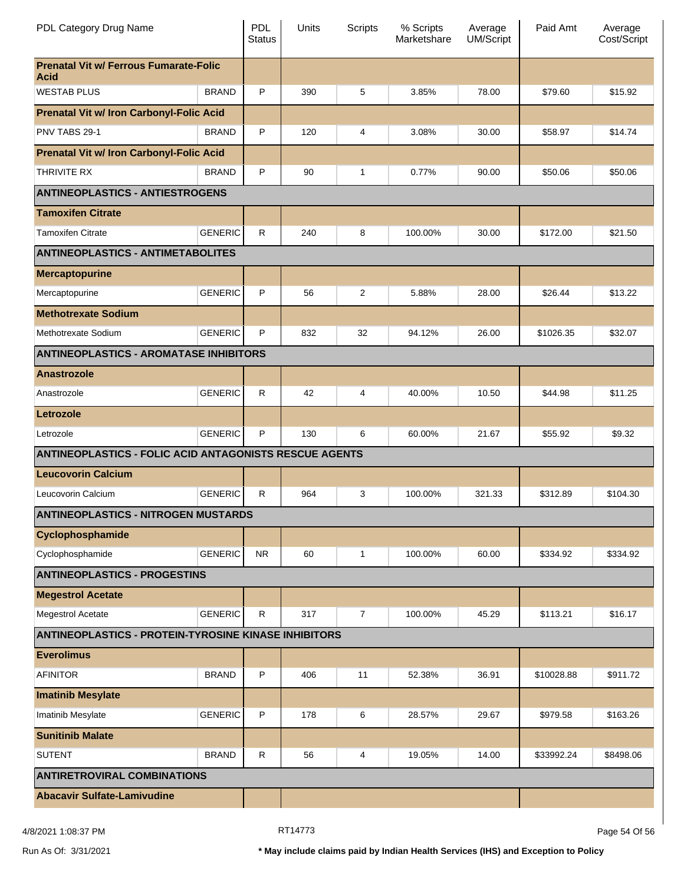| PDL Category Drug Name                                        |                | <b>PDL</b><br><b>Status</b> | Units | Scripts        | % Scripts<br>Marketshare | Average<br><b>UM/Script</b> | Paid Amt   | Average<br>Cost/Script |
|---------------------------------------------------------------|----------------|-----------------------------|-------|----------------|--------------------------|-----------------------------|------------|------------------------|
| <b>Prenatal Vit w/ Ferrous Fumarate-Folic</b><br><b>Acid</b>  |                |                             |       |                |                          |                             |            |                        |
| <b>WESTAB PLUS</b>                                            | <b>BRAND</b>   | P                           | 390   | 5              | 3.85%                    | 78.00                       | \$79.60    | \$15.92                |
| <b>Prenatal Vit w/ Iron Carbonyl-Folic Acid</b>               |                |                             |       |                |                          |                             |            |                        |
| PNV TABS 29-1                                                 | <b>BRAND</b>   | P                           | 120   | 4              | 3.08%                    | 30.00                       | \$58.97    | \$14.74                |
| <b>Prenatal Vit w/ Iron Carbonyl-Folic Acid</b>               |                |                             |       |                |                          |                             |            |                        |
| THRIVITE RX                                                   | <b>BRAND</b>   | P                           | 90    | 1              | 0.77%                    | 90.00                       | \$50.06    | \$50.06                |
| <b>ANTINEOPLASTICS - ANTIESTROGENS</b>                        |                |                             |       |                |                          |                             |            |                        |
| <b>Tamoxifen Citrate</b>                                      |                |                             |       |                |                          |                             |            |                        |
| <b>Tamoxifen Citrate</b>                                      | <b>GENERIC</b> | $\mathsf{R}$                | 240   | 8              | 100.00%                  | 30.00                       | \$172.00   | \$21.50                |
| <b>ANTINEOPLASTICS - ANTIMETABOLITES</b>                      |                |                             |       |                |                          |                             |            |                        |
| <b>Mercaptopurine</b>                                         |                |                             |       |                |                          |                             |            |                        |
| Mercaptopurine                                                | <b>GENERIC</b> | P                           | 56    | $\overline{2}$ | 5.88%                    | 28.00                       | \$26.44    | \$13.22                |
| <b>Methotrexate Sodium</b>                                    |                |                             |       |                |                          |                             |            |                        |
| Methotrexate Sodium                                           | <b>GENERIC</b> | P                           | 832   | 32             | 94.12%                   | 26.00                       | \$1026.35  | \$32.07                |
| <b>ANTINEOPLASTICS - AROMATASE INHIBITORS</b>                 |                |                             |       |                |                          |                             |            |                        |
| <b>Anastrozole</b>                                            |                |                             |       |                |                          |                             |            |                        |
| Anastrozole                                                   | <b>GENERIC</b> | R.                          | 42    | 4              | 40.00%                   | 10.50                       | \$44.98    | \$11.25                |
| Letrozole                                                     |                |                             |       |                |                          |                             |            |                        |
| Letrozole                                                     | <b>GENERIC</b> | P                           | 130   | 6              | 60.00%                   | 21.67                       | \$55.92    | \$9.32                 |
| <b>ANTINEOPLASTICS - FOLIC ACID ANTAGONISTS RESCUE AGENTS</b> |                |                             |       |                |                          |                             |            |                        |
| <b>Leucovorin Calcium</b>                                     |                |                             |       |                |                          |                             |            |                        |
| Leucovorin Calcium                                            | <b>GENERIC</b> | R.                          | 964   | 3              | 100.00%                  | 321.33                      | \$312.89   | \$104.30               |
| <b>ANTINEOPLASTICS - NITROGEN MUSTARDS</b>                    |                |                             |       |                |                          |                             |            |                        |
| Cyclophosphamide                                              |                |                             |       |                |                          |                             |            |                        |
| Cyclophosphamide                                              | <b>GENERIC</b> | <b>NR</b>                   | 60    | 1              | 100.00%                  | 60.00                       | \$334.92   | \$334.92               |
| <b>ANTINEOPLASTICS - PROGESTINS</b>                           |                |                             |       |                |                          |                             |            |                        |
| <b>Megestrol Acetate</b>                                      |                |                             |       |                |                          |                             |            |                        |
| Megestrol Acetate                                             | <b>GENERIC</b> | $\mathsf{R}$                | 317   | $\overline{7}$ | 100.00%                  | 45.29                       | \$113.21   | \$16.17                |
| <b>ANTINEOPLASTICS - PROTEIN-TYROSINE KINASE INHIBITORS</b>   |                |                             |       |                |                          |                             |            |                        |
| <b>Everolimus</b>                                             |                |                             |       |                |                          |                             |            |                        |
| <b>AFINITOR</b>                                               | <b>BRAND</b>   | $\sf P$                     | 406   | 11             | 52.38%                   | 36.91                       | \$10028.88 | \$911.72               |
| <b>Imatinib Mesylate</b>                                      |                |                             |       |                |                          |                             |            |                        |
| Imatinib Mesylate                                             | <b>GENERIC</b> | P                           | 178   | 6              | 28.57%                   | 29.67                       | \$979.58   | \$163.26               |
| <b>Sunitinib Malate</b>                                       |                |                             |       |                |                          |                             |            |                        |
| <b>SUTENT</b>                                                 | <b>BRAND</b>   | $\mathsf{R}$                | 56    | 4              | 19.05%                   | 14.00                       | \$33992.24 | \$8498.06              |
| <b>ANTIRETROVIRAL COMBINATIONS</b>                            |                |                             |       |                |                          |                             |            |                        |
| <b>Abacavir Sulfate-Lamivudine</b>                            |                |                             |       |                |                          |                             |            |                        |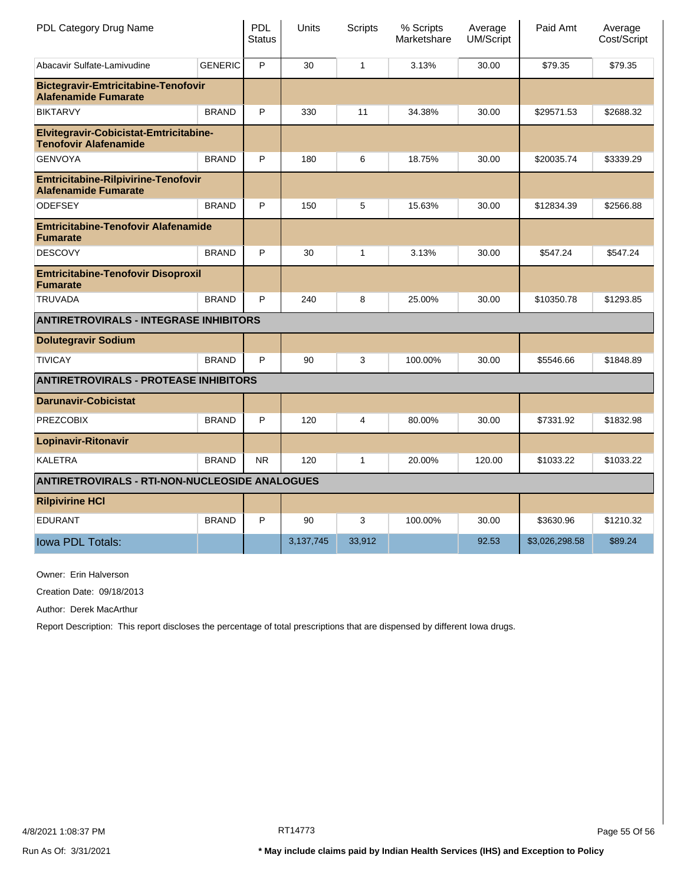| PDL Category Drug Name                                                    |                | PDL<br><b>Status</b> | Units     | <b>Scripts</b> | % Scripts<br>Marketshare | Average<br>UM/Script | Paid Amt       | Average<br>Cost/Script |
|---------------------------------------------------------------------------|----------------|----------------------|-----------|----------------|--------------------------|----------------------|----------------|------------------------|
| Abacavir Sulfate-Lamivudine                                               | <b>GENERIC</b> | P                    | 30        | $\mathbf{1}$   | 3.13%                    | 30.00                | \$79.35        | \$79.35                |
| <b>Bictegravir-Emtricitabine-Tenofovir</b><br><b>Alafenamide Fumarate</b> |                |                      |           |                |                          |                      |                |                        |
| <b>BIKTARVY</b>                                                           | <b>BRAND</b>   | P                    | 330       | 11             | 34.38%                   | 30.00                | \$29571.53     | \$2688.32              |
| Elvitegravir-Cobicistat-Emtricitabine-<br><b>Tenofovir Alafenamide</b>    |                |                      |           |                |                          |                      |                |                        |
| <b>GENVOYA</b>                                                            | <b>BRAND</b>   | P                    | 180       | 6              | 18.75%                   | 30.00                | \$20035.74     | \$3339.29              |
| <b>Emtricitabine-Rilpivirine-Tenofovir</b><br><b>Alafenamide Fumarate</b> |                |                      |           |                |                          |                      |                |                        |
| <b>ODEFSEY</b>                                                            | <b>BRAND</b>   | P                    | 150       | 5              | 15.63%                   | 30.00                | \$12834.39     | \$2566.88              |
| <b>Emtricitabine-Tenofovir Alafenamide</b><br><b>Fumarate</b>             |                |                      |           |                |                          |                      |                |                        |
| <b>DESCOVY</b>                                                            | <b>BRAND</b>   | P                    | 30        | $\mathbf{1}$   | 3.13%                    | 30.00                | \$547.24       | \$547.24               |
| <b>Emtricitabine-Tenofovir Disoproxil</b><br><b>Fumarate</b>              |                |                      |           |                |                          |                      |                |                        |
| <b>TRUVADA</b>                                                            | <b>BRAND</b>   | P                    | 240       | 8              | 25.00%                   | 30.00                | \$10350.78     | \$1293.85              |
| <b>ANTIRETROVIRALS - INTEGRASE INHIBITORS</b>                             |                |                      |           |                |                          |                      |                |                        |
| <b>Dolutegravir Sodium</b>                                                |                |                      |           |                |                          |                      |                |                        |
| <b>TIVICAY</b>                                                            | <b>BRAND</b>   | P                    | 90        | 3              | 100.00%                  | 30.00                | \$5546.66      | \$1848.89              |
| <b>ANTIRETROVIRALS - PROTEASE INHIBITORS</b>                              |                |                      |           |                |                          |                      |                |                        |
| <b>Darunavir-Cobicistat</b>                                               |                |                      |           |                |                          |                      |                |                        |
| <b>PREZCOBIX</b>                                                          | <b>BRAND</b>   | P                    | 120       | 4              | 80.00%                   | 30.00                | \$7331.92      | \$1832.98              |
| <b>Lopinavir-Ritonavir</b>                                                |                |                      |           |                |                          |                      |                |                        |
| <b>KALETRA</b>                                                            | <b>BRAND</b>   | N <sub>R</sub>       | 120       | $\mathbf{1}$   | 20.00%                   | 120.00               | \$1033.22      | \$1033.22              |
| <b>ANTIRETROVIRALS - RTI-NON-NUCLEOSIDE ANALOGUES</b>                     |                |                      |           |                |                          |                      |                |                        |
| <b>Rilpivirine HCI</b>                                                    |                |                      |           |                |                          |                      |                |                        |
| <b>EDURANT</b>                                                            | <b>BRAND</b>   | P                    | 90        | 3              | 100.00%                  | 30.00                | \$3630.96      | \$1210.32              |
| Iowa PDL Totals:                                                          |                |                      | 3,137,745 | 33,912         |                          | 92.53                | \$3,026,298.58 | \$89.24                |

Owner: Erin Halverson

Creation Date: 09/18/2013

Author: Derek MacArthur

Report Description: This report discloses the percentage of total prescriptions that are dispensed by different Iowa drugs.